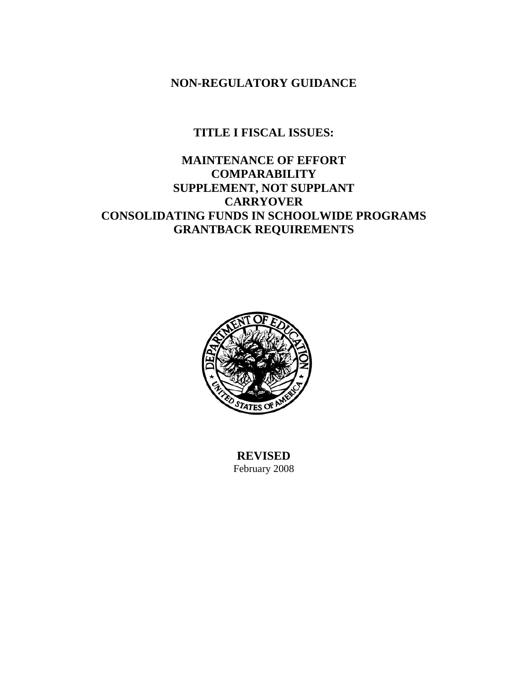**NON-REGULATORY GUIDANCE** 

# **TITLE I FISCAL ISSUES:**

# **MAINTENANCE OF EFFORT COMPARABILITY SUPPLEMENT, NOT SUPPLANT CARRYOVER CONSOLIDATING FUNDS IN SCHOOLWIDE PROGRAMS GRANTBACK REQUIREMENTS**



**REVISED**  February 2008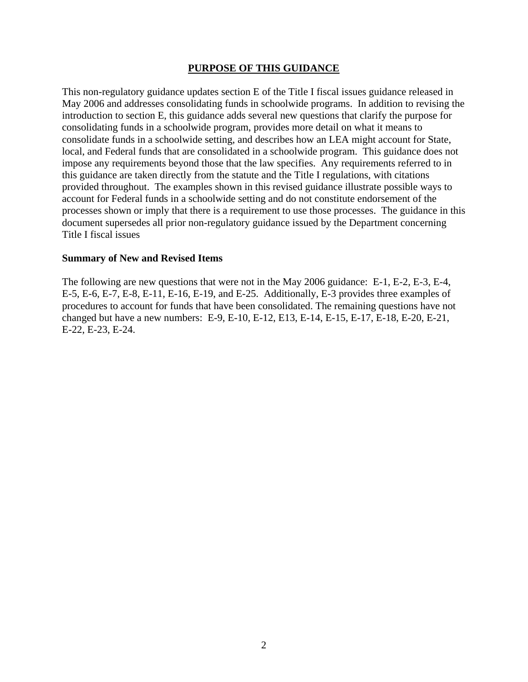#### **PURPOSE OF THIS GUIDANCE**

This non-regulatory guidance updates section E of the Title I fiscal issues guidance released in May 2006 and addresses consolidating funds in schoolwide programs. In addition to revising the introduction to section E, this guidance adds several new questions that clarify the purpose for consolidating funds in a schoolwide program, provides more detail on what it means to consolidate funds in a schoolwide setting, and describes how an LEA might account for State, local, and Federal funds that are consolidated in a schoolwide program. This guidance does not impose any requirements beyond those that the law specifies. Any requirements referred to in this guidance are taken directly from the statute and the Title I regulations, with citations provided throughout. The examples shown in this revised guidance illustrate possible ways to account for Federal funds in a schoolwide setting and do not constitute endorsement of the processes shown or imply that there is a requirement to use those processes. The guidance in this document supersedes all prior non-regulatory guidance issued by the Department concerning Title I fiscal issues

#### **Summary of New and Revised Items**

The following are new questions that were not in the May 2006 guidance: E-1, E-2, E-3, E-4, E-5, E-6, E-7, E-8, E-11, E-16, E-19, and E-25. Additionally, E-3 provides three examples of procedures to account for funds that have been consolidated. The remaining questions have not changed but have a new numbers: E-9, E-10, E-12, E13, E-14, E-15, E-17, E-18, E-20, E-21, E-22, E-23, E-24.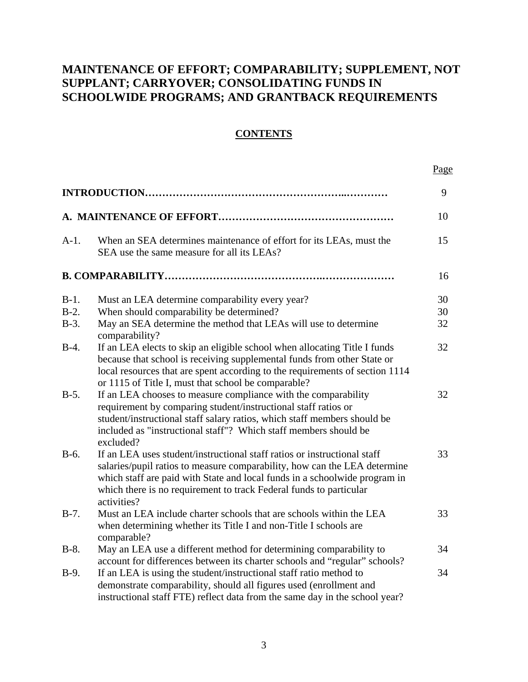# **MAINTENANCE OF EFFORT; COMPARABILITY; SUPPLEMENT, NOT SUPPLANT; CARRYOVER; CONSOLIDATING FUNDS IN SCHOOLWIDE PROGRAMS; AND GRANTBACK REQUIREMENTS**

# **CONTENTS**

|                              |                                                                                                                                                                                                                                                                                                                          | Page           |
|------------------------------|--------------------------------------------------------------------------------------------------------------------------------------------------------------------------------------------------------------------------------------------------------------------------------------------------------------------------|----------------|
|                              |                                                                                                                                                                                                                                                                                                                          | 9              |
|                              |                                                                                                                                                                                                                                                                                                                          | 10             |
| $A-1.$                       | When an SEA determines maintenance of effort for its LEAs, must the<br>SEA use the same measure for all its LEAs?                                                                                                                                                                                                        | 15             |
|                              |                                                                                                                                                                                                                                                                                                                          | 16             |
| $B-1.$<br>$B-2$ .<br>$B-3$ . | Must an LEA determine comparability every year?<br>When should comparability be determined?<br>May an SEA determine the method that LEAs will use to determine                                                                                                                                                           | 30<br>30<br>32 |
| $B-4.$                       | comparability?<br>If an LEA elects to skip an eligible school when allocating Title I funds<br>because that school is receiving supplemental funds from other State or<br>local resources that are spent according to the requirements of section 1114<br>or 1115 of Title I, must that school be comparable?            | 32             |
| $B-5.$                       | If an LEA chooses to measure compliance with the comparability<br>requirement by comparing student/instructional staff ratios or<br>student/instructional staff salary ratios, which staff members should be<br>included as "instructional staff"? Which staff members should be<br>excluded?                            | 32             |
| $B-6.$                       | If an LEA uses student/instructional staff ratios or instructional staff<br>salaries/pupil ratios to measure comparability, how can the LEA determine<br>which staff are paid with State and local funds in a schoolwide program in<br>which there is no requirement to track Federal funds to particular<br>activities? | 33             |
| $B-7.$                       | Must an LEA include charter schools that are schools within the LEA<br>when determining whether its Title I and non-Title I schools are<br>comparable?                                                                                                                                                                   | 33             |
| $B-8.$                       | May an LEA use a different method for determining comparability to<br>account for differences between its charter schools and "regular" schools?                                                                                                                                                                         | 34             |
| $B-9.$                       | If an LEA is using the student/instructional staff ratio method to<br>demonstrate comparability, should all figures used (enrollment and<br>instructional staff FTE) reflect data from the same day in the school year?                                                                                                  | 34             |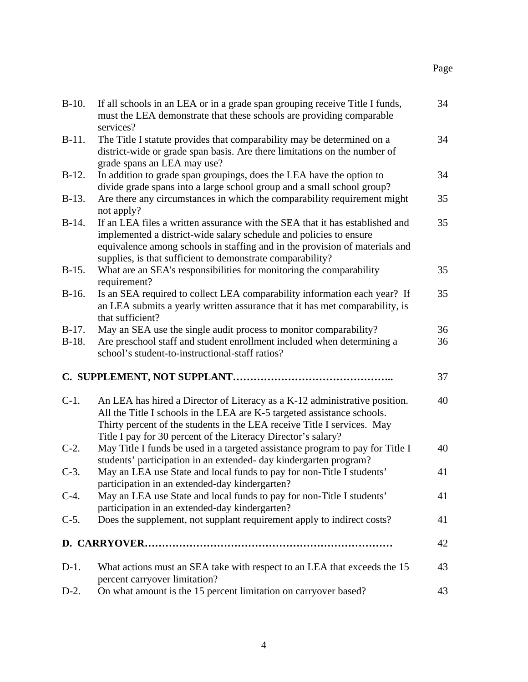| $B-10.$            | If all schools in an LEA or in a grade span grouping receive Title I funds,<br>must the LEA demonstrate that these schools are providing comparable<br>services?                                                                                                                                  | 34       |
|--------------------|---------------------------------------------------------------------------------------------------------------------------------------------------------------------------------------------------------------------------------------------------------------------------------------------------|----------|
| $B-11.$            | The Title I statute provides that comparability may be determined on a<br>district-wide or grade span basis. Are there limitations on the number of<br>grade spans an LEA may use?                                                                                                                | 34       |
| $B-12.$            | In addition to grade span groupings, does the LEA have the option to<br>divide grade spans into a large school group and a small school group?                                                                                                                                                    | 34       |
| $B-13.$            | Are there any circumstances in which the comparability requirement might<br>not apply?                                                                                                                                                                                                            | 35       |
| $B-14.$            | If an LEA files a written assurance with the SEA that it has established and<br>implemented a district-wide salary schedule and policies to ensure<br>equivalence among schools in staffing and in the provision of materials and<br>supplies, is that sufficient to demonstrate comparability?   | 35       |
| $B-15.$            | What are an SEA's responsibilities for monitoring the comparability<br>requirement?                                                                                                                                                                                                               | 35       |
| $B-16.$            | Is an SEA required to collect LEA comparability information each year? If<br>an LEA submits a yearly written assurance that it has met comparability, is<br>that sufficient?                                                                                                                      | 35       |
| $B-17.$<br>$B-18.$ | May an SEA use the single audit process to monitor comparability?<br>Are preschool staff and student enrollment included when determining a<br>school's student-to-instructional-staff ratios?                                                                                                    | 36<br>36 |
|                    |                                                                                                                                                                                                                                                                                                   | 37       |
| $C-1$ .            | An LEA has hired a Director of Literacy as a K-12 administrative position.<br>All the Title I schools in the LEA are K-5 targeted assistance schools.<br>Thirty percent of the students in the LEA receive Title I services. May<br>Title I pay for 30 percent of the Literacy Director's salary? | 40       |
| $C-2$ .            | May Title I funds be used in a targeted assistance program to pay for Title I<br>students' participation in an extended- day kindergarten program?                                                                                                                                                | 40       |
| $C-3$ .            | May an LEA use State and local funds to pay for non-Title I students'<br>participation in an extended-day kindergarten?                                                                                                                                                                           | 41       |
| $C-4.$             | May an LEA use State and local funds to pay for non-Title I students'<br>participation in an extended-day kindergarten?                                                                                                                                                                           | 41       |
| $C-5$ .            | Does the supplement, not supplant requirement apply to indirect costs?                                                                                                                                                                                                                            | 41       |
|                    |                                                                                                                                                                                                                                                                                                   | 42       |
| $D-1$ .            | What actions must an SEA take with respect to an LEA that exceeds the 15<br>percent carryover limitation?                                                                                                                                                                                         | 43       |
| $D-2$ .            | On what amount is the 15 percent limitation on carryover based?                                                                                                                                                                                                                                   | 43       |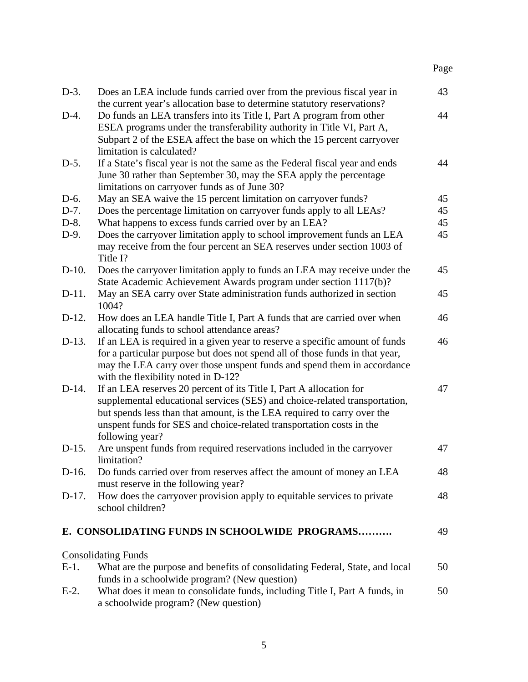| $D-3$ .  | Does an LEA include funds carried over from the previous fiscal year in<br>the current year's allocation base to determine statutory reservations?                                                                                                                                                                      | 43 |
|----------|-------------------------------------------------------------------------------------------------------------------------------------------------------------------------------------------------------------------------------------------------------------------------------------------------------------------------|----|
| $D-4.$   | Do funds an LEA transfers into its Title I, Part A program from other<br>ESEA programs under the transferability authority in Title VI, Part A,<br>Subpart 2 of the ESEA affect the base on which the 15 percent carryover<br>limitation is calculated?                                                                 | 44 |
| $D-5.$   | If a State's fiscal year is not the same as the Federal fiscal year and ends<br>June 30 rather than September 30, may the SEA apply the percentage<br>limitations on carryover funds as of June 30?                                                                                                                     | 44 |
| D-6.     | May an SEA waive the 15 percent limitation on carryover funds?                                                                                                                                                                                                                                                          | 45 |
| $D-7.$   | Does the percentage limitation on carryover funds apply to all LEAs?                                                                                                                                                                                                                                                    | 45 |
| $D-8.$   | What happens to excess funds carried over by an LEA?                                                                                                                                                                                                                                                                    | 45 |
| $D-9.$   | Does the carryover limitation apply to school improvement funds an LEA<br>may receive from the four percent an SEA reserves under section 1003 of<br>Title I?                                                                                                                                                           | 45 |
| $D-10$ . | Does the carryover limitation apply to funds an LEA may receive under the<br>State Academic Achievement Awards program under section 1117(b)?                                                                                                                                                                           | 45 |
| $D-11.$  | May an SEA carry over State administration funds authorized in section<br>1004?                                                                                                                                                                                                                                         | 45 |
| $D-12.$  | How does an LEA handle Title I, Part A funds that are carried over when<br>allocating funds to school attendance areas?                                                                                                                                                                                                 | 46 |
| $D-13.$  | If an LEA is required in a given year to reserve a specific amount of funds<br>for a particular purpose but does not spend all of those funds in that year,<br>may the LEA carry over those unspent funds and spend them in accordance<br>with the flexibility noted in D-12?                                           | 46 |
| $D-14.$  | If an LEA reserves 20 percent of its Title I, Part A allocation for<br>supplemental educational services (SES) and choice-related transportation,<br>but spends less than that amount, is the LEA required to carry over the<br>unspent funds for SES and choice-related transportation costs in the<br>following year? | 47 |
| $D-15.$  | Are unspent funds from required reservations included in the carryover<br>limitation?                                                                                                                                                                                                                                   | 47 |
| D-16.    | Do funds carried over from reserves affect the amount of money an LEA<br>must reserve in the following year?                                                                                                                                                                                                            | 48 |
| $D-17.$  | How does the carryover provision apply to equitable services to private<br>school children?                                                                                                                                                                                                                             | 48 |
|          | E. CONSOLIDATING FUNDS IN SCHOOLWIDE PROGRAMS                                                                                                                                                                                                                                                                           | 49 |
|          | <b>Consolidating Funds</b>                                                                                                                                                                                                                                                                                              |    |
| $E-1$ .  | What are the purpose and benefits of consolidating Federal, State, and local                                                                                                                                                                                                                                            | 50 |
|          | funds in a schoolwide program? (New question)                                                                                                                                                                                                                                                                           |    |
| $E-2$ .  | What does it mean to consolidate funds, including Title I, Part A funds, in<br>a schoolwide program? (New question)                                                                                                                                                                                                     | 50 |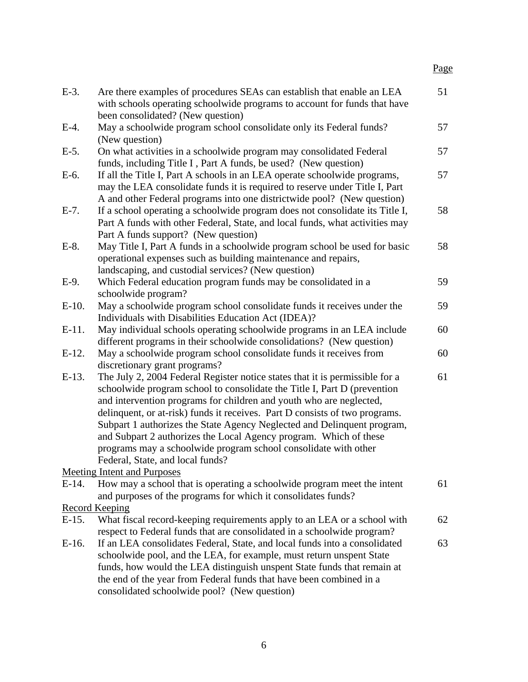| $E-3$ .  | Are there examples of procedures SEAs can establish that enable an LEA<br>with schools operating schoolwide programs to account for funds that have                                                                                                                                                                                                                                                                                                                                                                                                                   | 51 |
|----------|-----------------------------------------------------------------------------------------------------------------------------------------------------------------------------------------------------------------------------------------------------------------------------------------------------------------------------------------------------------------------------------------------------------------------------------------------------------------------------------------------------------------------------------------------------------------------|----|
| $E-4$ .  | been consolidated? (New question)<br>May a schoolwide program school consolidate only its Federal funds?<br>(New question)                                                                                                                                                                                                                                                                                                                                                                                                                                            | 57 |
| $E-5$ .  | On what activities in a schoolwide program may consolidated Federal<br>funds, including Title I, Part A funds, be used? (New question)                                                                                                                                                                                                                                                                                                                                                                                                                                | 57 |
| $E-6$ .  | If all the Title I, Part A schools in an LEA operate schoolwide programs,<br>may the LEA consolidate funds it is required to reserve under Title I, Part<br>A and other Federal programs into one districtwide pool? (New question)                                                                                                                                                                                                                                                                                                                                   | 57 |
| $E-7$ .  | If a school operating a schoolwide program does not consolidate its Title I,<br>Part A funds with other Federal, State, and local funds, what activities may<br>Part A funds support? (New question)                                                                                                                                                                                                                                                                                                                                                                  | 58 |
| $E-8$ .  | May Title I, Part A funds in a schoolwide program school be used for basic<br>operational expenses such as building maintenance and repairs,<br>landscaping, and custodial services? (New question)                                                                                                                                                                                                                                                                                                                                                                   | 58 |
| $E-9$ .  | Which Federal education program funds may be consolidated in a<br>schoolwide program?                                                                                                                                                                                                                                                                                                                                                                                                                                                                                 | 59 |
| $E-10$ . | May a schoolwide program school consolidate funds it receives under the<br>Individuals with Disabilities Education Act (IDEA)?                                                                                                                                                                                                                                                                                                                                                                                                                                        | 59 |
| $E-11.$  | May individual schools operating schoolwide programs in an LEA include<br>different programs in their schoolwide consolidations? (New question)                                                                                                                                                                                                                                                                                                                                                                                                                       | 60 |
| $E-12$ . | May a schoolwide program school consolidate funds it receives from<br>discretionary grant programs?                                                                                                                                                                                                                                                                                                                                                                                                                                                                   | 60 |
| $E-13$ . | The July 2, 2004 Federal Register notice states that it is permissible for a<br>schoolwide program school to consolidate the Title I, Part D (prevention<br>and intervention programs for children and youth who are neglected,<br>delinquent, or at-risk) funds it receives. Part D consists of two programs.<br>Subpart 1 authorizes the State Agency Neglected and Delinquent program,<br>and Subpart 2 authorizes the Local Agency program. Which of these<br>programs may a schoolwide program school consolidate with other<br>Federal, State, and local funds? | 61 |
|          | Meeting Intent and Purposes                                                                                                                                                                                                                                                                                                                                                                                                                                                                                                                                           |    |
| $E-14.$  | How may a school that is operating a schoolwide program meet the intent<br>and purposes of the programs for which it consolidates funds?                                                                                                                                                                                                                                                                                                                                                                                                                              | 61 |
|          | Record Keeping                                                                                                                                                                                                                                                                                                                                                                                                                                                                                                                                                        |    |
| $E-15.$  | What fiscal record-keeping requirements apply to an LEA or a school with<br>respect to Federal funds that are consolidated in a schoolwide program?                                                                                                                                                                                                                                                                                                                                                                                                                   | 62 |
| $E-16$ . | If an LEA consolidates Federal, State, and local funds into a consolidated<br>schoolwide pool, and the LEA, for example, must return unspent State<br>funds, how would the LEA distinguish unspent State funds that remain at<br>the end of the year from Federal funds that have been combined in a<br>consolidated schoolwide pool? (New question)                                                                                                                                                                                                                  | 63 |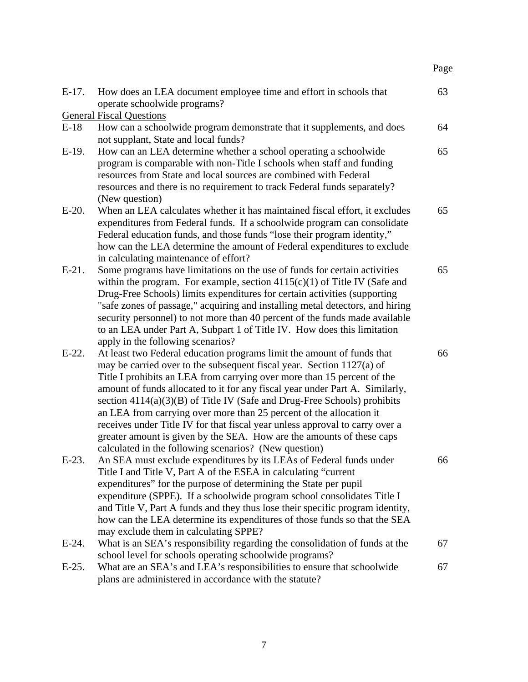| $E-17$ . | How does an LEA document employee time and effort in schools that<br>operate schoolwide programs?                                                                                                                                                                                                                                                                                                                                                                                                                                                                                                                                                                                 | 63 |
|----------|-----------------------------------------------------------------------------------------------------------------------------------------------------------------------------------------------------------------------------------------------------------------------------------------------------------------------------------------------------------------------------------------------------------------------------------------------------------------------------------------------------------------------------------------------------------------------------------------------------------------------------------------------------------------------------------|----|
|          | <b>General Fiscal Questions</b>                                                                                                                                                                                                                                                                                                                                                                                                                                                                                                                                                                                                                                                   |    |
| $E-18$   | How can a schoolwide program demonstrate that it supplements, and does                                                                                                                                                                                                                                                                                                                                                                                                                                                                                                                                                                                                            | 64 |
|          | not supplant, State and local funds?                                                                                                                                                                                                                                                                                                                                                                                                                                                                                                                                                                                                                                              |    |
| $E-19$ . | How can an LEA determine whether a school operating a schoolwide<br>program is comparable with non-Title I schools when staff and funding<br>resources from State and local sources are combined with Federal<br>resources and there is no requirement to track Federal funds separately?<br>(New question)                                                                                                                                                                                                                                                                                                                                                                       | 65 |
| $E-20$ . | When an LEA calculates whether it has maintained fiscal effort, it excludes<br>expenditures from Federal funds. If a schoolwide program can consolidate<br>Federal education funds, and those funds "lose their program identity,"<br>how can the LEA determine the amount of Federal expenditures to exclude<br>in calculating maintenance of effort?                                                                                                                                                                                                                                                                                                                            | 65 |
| $E-21$ . | Some programs have limitations on the use of funds for certain activities<br>within the program. For example, section $4115(c)(1)$ of Title IV (Safe and<br>Drug-Free Schools) limits expenditures for certain activities (supporting<br>"safe zones of passage," acquiring and installing metal detectors, and hiring<br>security personnel) to not more than 40 percent of the funds made available<br>to an LEA under Part A, Subpart 1 of Title IV. How does this limitation<br>apply in the following scenarios?                                                                                                                                                             | 65 |
| $E-22$ . | At least two Federal education programs limit the amount of funds that<br>may be carried over to the subsequent fiscal year. Section 1127(a) of<br>Title I prohibits an LEA from carrying over more than 15 percent of the<br>amount of funds allocated to it for any fiscal year under Part A. Similarly,<br>section $4114(a)(3)(B)$ of Title IV (Safe and Drug-Free Schools) prohibits<br>an LEA from carrying over more than 25 percent of the allocation it<br>receives under Title IV for that fiscal year unless approval to carry over a<br>greater amount is given by the SEA. How are the amounts of these caps<br>calculated in the following scenarios? (New question) | 66 |
| $E-23$ . | An SEA must exclude expenditures by its LEAs of Federal funds under<br>Title I and Title V, Part A of the ESEA in calculating "current"<br>expenditures" for the purpose of determining the State per pupil<br>expenditure (SPPE). If a schoolwide program school consolidates Title I<br>and Title V, Part A funds and they thus lose their specific program identity,<br>how can the LEA determine its expenditures of those funds so that the SEA<br>may exclude them in calculating SPPE?                                                                                                                                                                                     | 66 |
| $E-24$ . | What is an SEA's responsibility regarding the consolidation of funds at the<br>school level for schools operating schoolwide programs?                                                                                                                                                                                                                                                                                                                                                                                                                                                                                                                                            | 67 |
| $E-25$ . | What are an SEA's and LEA's responsibilities to ensure that schoolwide<br>plans are administered in accordance with the statute?                                                                                                                                                                                                                                                                                                                                                                                                                                                                                                                                                  | 67 |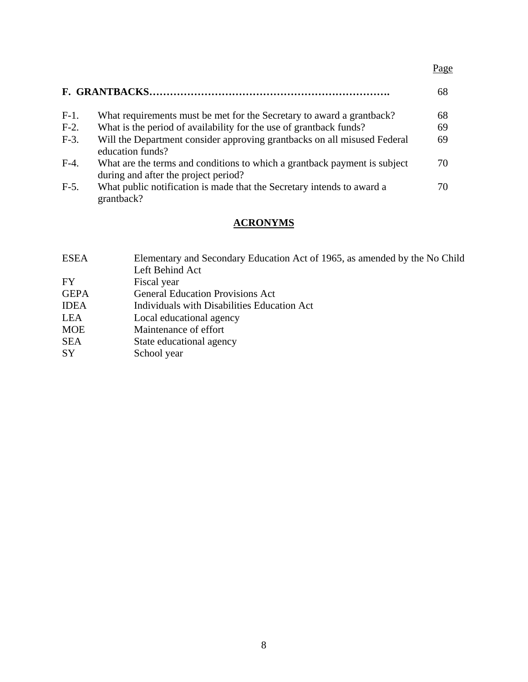|         |                                                                                                                   | 68 |
|---------|-------------------------------------------------------------------------------------------------------------------|----|
| $F-1$ . | What requirements must be met for the Secretary to award a grantback?                                             | 68 |
| $F-2$ . | What is the period of availability for the use of grantback funds?                                                | 69 |
| $F-3$ . | Will the Department consider approving grantbacks on all misused Federal<br>education funds?                      | 69 |
| $F-4.$  | What are the terms and conditions to which a grantback payment is subject<br>during and after the project period? | 70 |
| $F-5$ . | What public notification is made that the Secretary intends to award a<br>grantback?                              | 70 |

# **ACRONYMS**

| <b>ESEA</b> | Elementary and Secondary Education Act of 1965, as amended by the No Child |
|-------------|----------------------------------------------------------------------------|
|             | Left Behind Act                                                            |
| <b>FY</b>   | Fiscal year                                                                |
| <b>GEPA</b> | <b>General Education Provisions Act</b>                                    |
| <b>IDEA</b> | Individuals with Disabilities Education Act                                |
| LEA         | Local educational agency                                                   |
| <b>MOE</b>  | Maintenance of effort                                                      |
| <b>SEA</b>  | State educational agency                                                   |
| <b>SY</b>   | School year                                                                |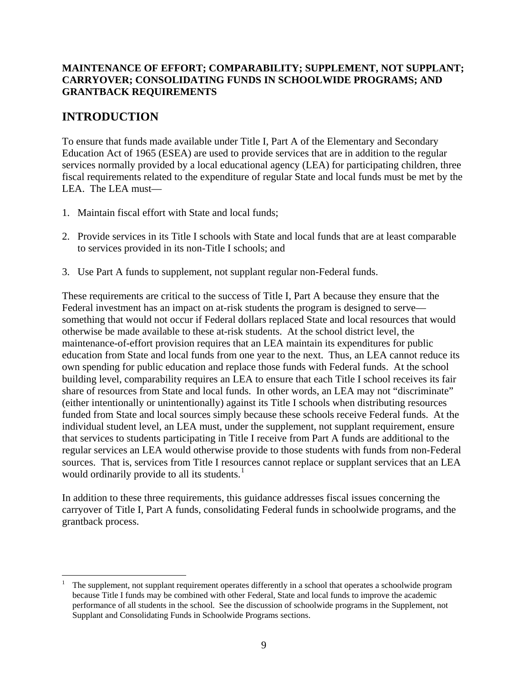# **MAINTENANCE OF EFFORT; COMPARABILITY; SUPPLEMENT, NOT SUPPLANT; CARRYOVER; CONSOLIDATING FUNDS IN SCHOOLWIDE PROGRAMS; AND GRANTBACK REQUIREMENTS**

# **INTRODUCTION**

<u>.</u>

To ensure that funds made available under Title I, Part A of the Elementary and Secondary Education Act of 1965 (ESEA) are used to provide services that are in addition to the regular services normally provided by a local educational agency (LEA) for participating children, three fiscal requirements related to the expenditure of regular State and local funds must be met by the LEA. The LEA must—

- 1. Maintain fiscal effort with State and local funds;
- 2. Provide services in its Title I schools with State and local funds that are at least comparable to services provided in its non-Title I schools; and
- 3. Use Part A funds to supplement, not supplant regular non-Federal funds.

These requirements are critical to the success of Title I, Part A because they ensure that the Federal investment has an impact on at-risk students the program is designed to serve something that would not occur if Federal dollars replaced State and local resources that would otherwise be made available to these at-risk students. At the school district level, the maintenance-of-effort provision requires that an LEA maintain its expenditures for public education from State and local funds from one year to the next. Thus, an LEA cannot reduce its own spending for public education and replace those funds with Federal funds. At the school building level, comparability requires an LEA to ensure that each Title I school receives its fair share of resources from State and local funds. In other words, an LEA may not "discriminate" (either intentionally or unintentionally) against its Title I schools when distributing resources funded from State and local sources simply because these schools receive Federal funds. At the individual student level, an LEA must, under the supplement, not supplant requirement, ensure that services to students participating in Title I receive from Part A funds are additional to the regular services an LEA would otherwise provide to those students with funds from non-Federal sources. That is, services from Title I resources cannot replace or supplant services that an LEA would ordinarily provide to all its students. $<sup>1</sup>$  $<sup>1</sup>$  $<sup>1</sup>$ </sup>

In addition to these three requirements, this guidance addresses fiscal issues concerning the carryover of Title I, Part A funds, consolidating Federal funds in schoolwide programs, and the grantback process.

<span id="page-8-0"></span><sup>1</sup> The supplement, not supplant requirement operates differently in a school that operates a schoolwide program because Title I funds may be combined with other Federal, State and local funds to improve the academic performance of all students in the school. See the discussion of schoolwide programs in the Supplement, not Supplant and Consolidating Funds in Schoolwide Programs sections.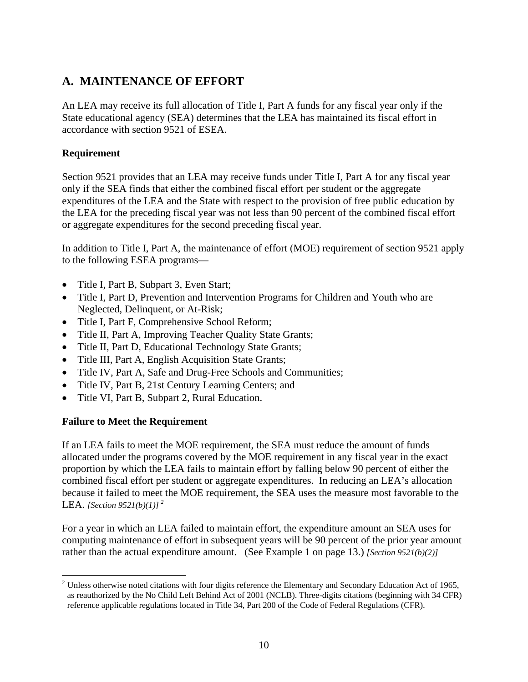# **A. MAINTENANCE OF EFFORT**

An LEA may receive its full allocation of Title I, Part A funds for any fiscal year only if the State educational agency (SEA) determines that the LEA has maintained its fiscal effort in accordance with section 9521 of ESEA.

# **Requirement**

Section 9521 provides that an LEA may receive funds under Title I, Part A for any fiscal year only if the SEA finds that either the combined fiscal effort per student or the aggregate expenditures of the LEA and the State with respect to the provision of free public education by the LEA for the preceding fiscal year was not less than 90 percent of the combined fiscal effort or aggregate expenditures for the second preceding fiscal year.

In addition to Title I, Part A, the maintenance of effort (MOE) requirement of section 9521 apply to the following ESEA programs—

- Title I, Part B, Subpart 3, Even Start;
- Title I, Part D, Prevention and Intervention Programs for Children and Youth who are Neglected, Delinquent, or At-Risk;
- Title I, Part F, Comprehensive School Reform;
- Title II, Part A, Improving Teacher Quality State Grants;
- Title II, Part D, Educational Technology State Grants;
- Title III, Part A, English Acquisition State Grants;
- Title IV, Part A, Safe and Drug-Free Schools and Communities;
- Title IV, Part B, 21st Century Learning Centers; and
- Title VI, Part B, Subpart 2, Rural Education.

# **Failure to Meet the Requirement**

If an LEA fails to meet the MOE requirement, the SEA must reduce the amount of funds allocated under the programs covered by the MOE requirement in any fiscal year in the exact proportion by which the LEA fails to maintain effort by falling below 90 percent of either the combined fiscal effort per student or aggregate expenditures. In reducing an LEA's allocation because it failed to meet the MOE requirement, the SEA uses the measure most favorable to the LEA. *[Section 9521(b)(1)] [2](#page-9-0)*

For a year in which an LEA failed to maintain effort, the expenditure amount an SEA uses for computing maintenance of effort in subsequent years will be 90 percent of the prior year amount rather than the actual expenditure amount. (See Example 1 on page 13.) *[Section 9521(b)(2)]*

<span id="page-9-0"></span><sup>&</sup>lt;u>.</u>  $2$  Unless otherwise noted citations with four digits reference the Elementary and Secondary Education Act of 1965, as reauthorized by the No Child Left Behind Act of 2001 (NCLB). Three-digits citations (beginning with 34 CFR) reference applicable regulations located in Title 34, Part 200 of the Code of Federal Regulations (CFR).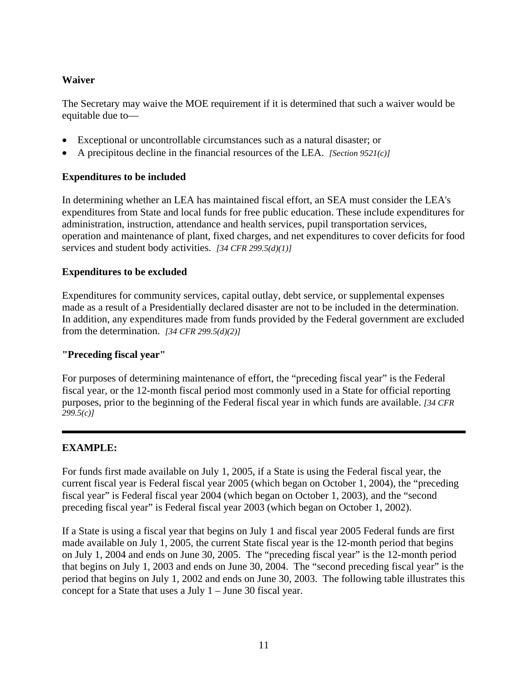# **Waiver**

The Secretary may waive the MOE requirement if it is determined that such a waiver would be equitable due to—

- Exceptional or uncontrollable circumstances such as a natural disaster; or
- A precipitous decline in the financial resources of the LEA. *[Section 9521(c)]*

# **Expenditures to be included**

In determining whether an LEA has maintained fiscal effort, an SEA must consider the LEA's expenditures from State and local funds for free public education. These include expenditures for administration, instruction, attendance and health services, pupil transportation services, operation and maintenance of plant, fixed charges, and net expenditures to cover deficits for food services and student body activities. *[34 CFR 299.5(d)(1)]* 

# **Expenditures to be excluded**

Expenditures for community services, capital outlay, debt service, or supplemental expenses made as a result of a Presidentially declared disaster are not to be included in the determination. In addition, any expenditures made from funds provided by the Federal government are excluded from the determination. *[34 CFR 299.5(d)(2)]*

# **"Preceding fiscal year"**

For purposes of determining maintenance of effort, the "preceding fiscal year" is the Federal fiscal year, or the 12-month fiscal period most commonly used in a State for official reporting purposes, prior to the beginning of the Federal fiscal year in which funds are available. *[34 CFR 299.5(c)]*

# **EXAMPLE:**

For funds first made available on July 1, 2005, if a State is using the Federal fiscal year, the current fiscal year is Federal fiscal year 2005 (which began on October 1, 2004), the "preceding fiscal year" is Federal fiscal year 2004 (which began on October 1, 2003), and the "second preceding fiscal year" is Federal fiscal year 2003 (which began on October 1, 2002).

If a State is using a fiscal year that begins on July 1 and fiscal year 2005 Federal funds are first made available on July 1, 2005, the current State fiscal year is the 12-month period that begins on July 1, 2004 and ends on June 30, 2005. The "preceding fiscal year" is the 12-month period that begins on July 1, 2003 and ends on June 30, 2004. The "second preceding fiscal year" is the period that begins on July 1, 2002 and ends on June 30, 2003. The following table illustrates this concept for a State that uses a July 1 – June 30 fiscal year.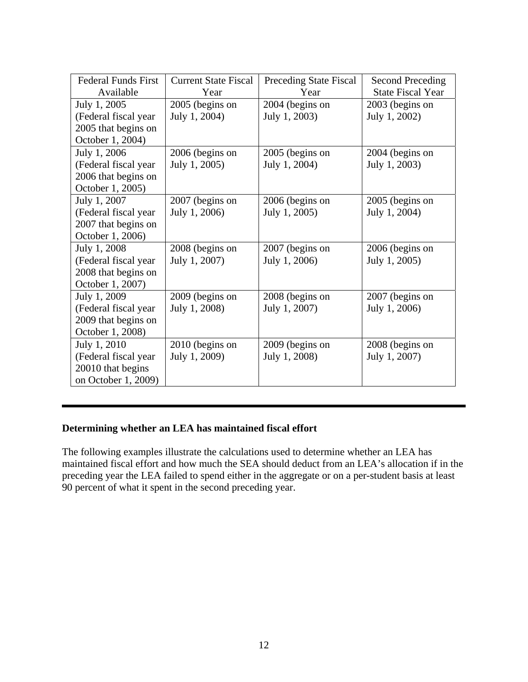| <b>Federal Funds First</b> | <b>Current State Fiscal</b> | Preceding State Fiscal | <b>Second Preceding</b>  |
|----------------------------|-----------------------------|------------------------|--------------------------|
| Available                  | Year                        | Year                   | <b>State Fiscal Year</b> |
| July 1, 2005               | 2005 (begins on             | 2004 (begins on        | 2003 (begins on          |
| (Federal fiscal year)      | July 1, 2004)               | July 1, 2003)          | July 1, 2002)            |
| 2005 that begins on        |                             |                        |                          |
| October 1, 2004)           |                             |                        |                          |
| July 1, 2006               | 2006 (begins on             | 2005 (begins on        | 2004 (begins on          |
| (Federal fiscal year       | July 1, 2005)               | July 1, 2004)          | July 1, 2003)            |
| 2006 that begins on        |                             |                        |                          |
| October 1, 2005)           |                             |                        |                          |
| July 1, 2007               | 2007 (begins on             | 2006 (begins on        | 2005 (begins on          |
| (Federal fiscal year       | July 1, 2006)               | July 1, 2005)          | July 1, 2004)            |
| 2007 that begins on        |                             |                        |                          |
| October 1, 2006)           |                             |                        |                          |
| July 1, 2008               | 2008 (begins on             | 2007 (begins on        | 2006 (begins on          |
| (Federal fiscal year       | July 1, 2007)               | July 1, 2006)          | July 1, 2005)            |
| 2008 that begins on        |                             |                        |                          |
| October 1, 2007)           |                             |                        |                          |
| July 1, 2009               | 2009 (begins on             | 2008 (begins on        | 2007 (begins on          |
| (Federal fiscal year       | July 1, 2008)               | July 1, 2007)          | July 1, 2006)            |
| 2009 that begins on        |                             |                        |                          |
| October 1, 2008)           |                             |                        |                          |
| July 1, 2010               | 2010 (begins on             | 2009 (begins on        | 2008 (begins on          |
| (Federal fiscal year)      | July 1, 2009)               | July 1, 2008)          | July 1, 2007)            |
| 20010 that begins          |                             |                        |                          |
| on October 1, 2009)        |                             |                        |                          |

# **Determining whether an LEA has maintained fiscal effort**

The following examples illustrate the calculations used to determine whether an LEA has maintained fiscal effort and how much the SEA should deduct from an LEA's allocation if in the preceding year the LEA failed to spend either in the aggregate or on a per-student basis at least 90 percent of what it spent in the second preceding year.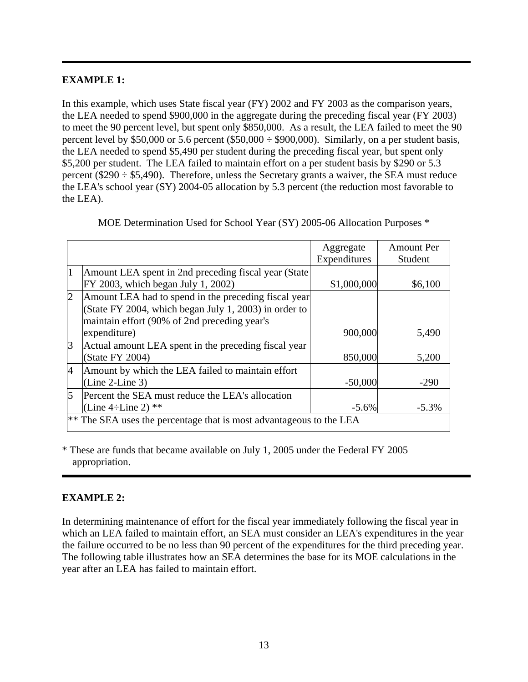# **EXAMPLE 1:**

In this example, which uses State fiscal year (FY) 2002 and FY 2003 as the comparison years, the LEA needed to spend \$900,000 in the aggregate during the preceding fiscal year (FY 2003) to meet the 90 percent level, but spent only \$850,000. As a result, the LEA failed to meet the 90 percent level by \$50,000 or 5.6 percent (\$50,000  $\div$  \$900,000). Similarly, on a per student basis, the LEA needed to spend \$5,490 per student during the preceding fiscal year, but spent only \$5,200 per student. The LEA failed to maintain effort on a per student basis by \$290 or 5.3 percent ( $$290 \div $5,490$ ). Therefore, unless the Secretary grants a waiver, the SEA must reduce the LEA's school year (SY) 2004-05 allocation by 5.3 percent (the reduction most favorable to the LEA).

|                |                                                                        | Aggregate<br>Expenditures | <b>Amount Per</b><br>Student |
|----------------|------------------------------------------------------------------------|---------------------------|------------------------------|
| 1              | Amount LEA spent in 2nd preceding fiscal year (State)                  |                           |                              |
|                | FY 2003, which began July 1, 2002)                                     | \$1,000,000               | \$6,100                      |
| $\overline{2}$ | Amount LEA had to spend in the preceding fiscal year                   |                           |                              |
|                | (State FY 2004, which began July 1, 2003) in order to                  |                           |                              |
|                | maintain effort (90% of 2nd preceding year's                           |                           |                              |
|                | expenditure)                                                           | 900,000                   | 5,490                        |
| 3              | Actual amount LEA spent in the preceding fiscal year                   |                           |                              |
|                | (State FY 2004)                                                        | 850,000                   | 5,200                        |
| $\overline{4}$ | Amount by which the LEA failed to maintain effort                      |                           |                              |
|                | $(Line 2-Line 3)$                                                      | $-50,000$                 | $-290$                       |
| 5              | Percent the SEA must reduce the LEA's allocation                       |                           |                              |
|                | (Line 4÷Line 2) $**$                                                   | $-5.6%$                   | $-5.3\%$                     |
|                | $ **$ The SEA uses the percentage that is most advantageous to the LEA |                           |                              |

MOE Determination Used for School Year (SY) 2005-06 Allocation Purposes \*

\* These are funds that became available on July 1, 2005 under the Federal FY 2005 appropriation.

# **EXAMPLE 2:**

In determining maintenance of effort for the fiscal year immediately following the fiscal year in which an LEA failed to maintain effort, an SEA must consider an LEA's expenditures in the year the failure occurred to be no less than 90 percent of the expenditures for the third preceding year. The following table illustrates how an SEA determines the base for its MOE calculations in the year after an LEA has failed to maintain effort.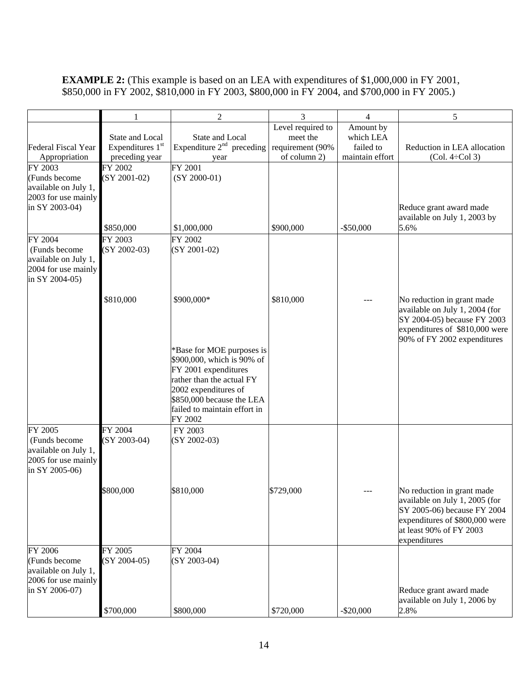# **EXAMPLE 2:** (This example is based on an LEA with expenditures of \$1,000,000 in FY 2001, \$850,000 in FY 2002, \$810,000 in FY 2003, \$800,000 in FY 2004, and \$700,000 in FY 2005.)

|                                                                                           | 1                                                                 | $\overline{2}$                                                                                                                                                                                               | $\overline{3}$                                                    | $\overline{4}$                                         | 5                                                                                                                                                                        |
|-------------------------------------------------------------------------------------------|-------------------------------------------------------------------|--------------------------------------------------------------------------------------------------------------------------------------------------------------------------------------------------------------|-------------------------------------------------------------------|--------------------------------------------------------|--------------------------------------------------------------------------------------------------------------------------------------------------------------------------|
| Federal Fiscal Year<br>Appropriation                                                      | State and Local<br>Expenditures 1 <sup>st</sup><br>preceding year | State and Local<br>Expenditure $2nd$ preceding<br>year                                                                                                                                                       | Level required to<br>meet the<br>requirement (90%<br>of column 2) | Amount by<br>which LEA<br>failed to<br>maintain effort | Reduction in LEA allocation<br>$(Col. 4 \div Col 3)$                                                                                                                     |
| FY 2003<br>(Funds become<br>available on July 1,<br>2003 for use mainly<br>in SY 2003-04) | FY 2002<br>$(SY 2001-02)$                                         | FY 2001<br>$(SY 2000-01)$                                                                                                                                                                                    |                                                                   |                                                        | Reduce grant award made<br>available on July 1, 2003 by                                                                                                                  |
|                                                                                           | \$850,000                                                         | \$1,000,000                                                                                                                                                                                                  | \$900,000                                                         | $-$ \$50,000                                           | 5.6%                                                                                                                                                                     |
| FY 2004<br>(Funds become<br>available on July 1,<br>2004 for use mainly<br>in SY 2004-05) | FY 2003<br>$(SY 2002-03)$                                         | FY 2002<br>(SY 2001-02)                                                                                                                                                                                      |                                                                   |                                                        |                                                                                                                                                                          |
|                                                                                           | \$810,000                                                         | \$900,000*                                                                                                                                                                                                   | \$810,000                                                         |                                                        | No reduction in grant made<br>available on July 1, 2004 (for<br>SY 2004-05) because FY 2003<br>expenditures of \$810,000 were<br>90% of FY 2002 expenditures             |
|                                                                                           |                                                                   | *Base for MOE purposes is<br>\$900,000, which is 90% of<br>FY 2001 expenditures<br>rather than the actual FY<br>2002 expenditures of<br>\$850,000 because the LEA<br>failed to maintain effort in<br>FY 2002 |                                                                   |                                                        |                                                                                                                                                                          |
| FY 2005<br>(Funds become<br>available on July 1,<br>2005 for use mainly<br>in SY 2005-06) | FY 2004<br>$(SY 2003-04)$                                         | FY 2003<br>$(SY 2002-03)$                                                                                                                                                                                    |                                                                   |                                                        |                                                                                                                                                                          |
|                                                                                           | \$800,000                                                         | \$810,000                                                                                                                                                                                                    | \$729,000                                                         |                                                        | No reduction in grant made<br>available on July 1, 2005 (for<br>SY 2005-06) because FY 2004<br>expenditures of \$800,000 were<br>at least 90% of FY 2003<br>expenditures |
| FY 2006<br>(Funds become<br>available on July 1,<br>2006 for use mainly<br>in SY 2006-07) | FY 2005<br>$(SY 2004-05)$                                         | FY 2004<br>$(SY 2003-04)$                                                                                                                                                                                    |                                                                   |                                                        | Reduce grant award made<br>available on July 1, 2006 by                                                                                                                  |
|                                                                                           | \$700,000                                                         | \$800,000                                                                                                                                                                                                    | \$720,000                                                         | $-$ \$20,000                                           | 2.8%                                                                                                                                                                     |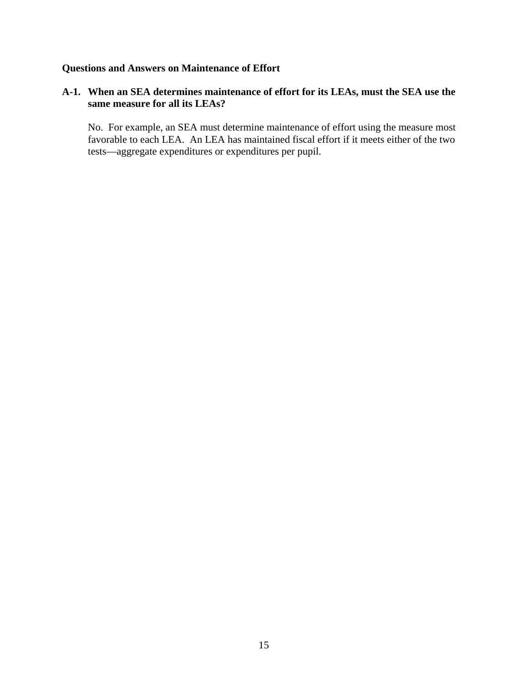# **Questions and Answers on Maintenance of Effort**

# **A-1. When an SEA determines maintenance of effort for its LEAs, must the SEA use the same measure for all its LEAs?**

 No. For example, an SEA must determine maintenance of effort using the measure most favorable to each LEA. An LEA has maintained fiscal effort if it meets either of the two tests—aggregate expenditures or expenditures per pupil.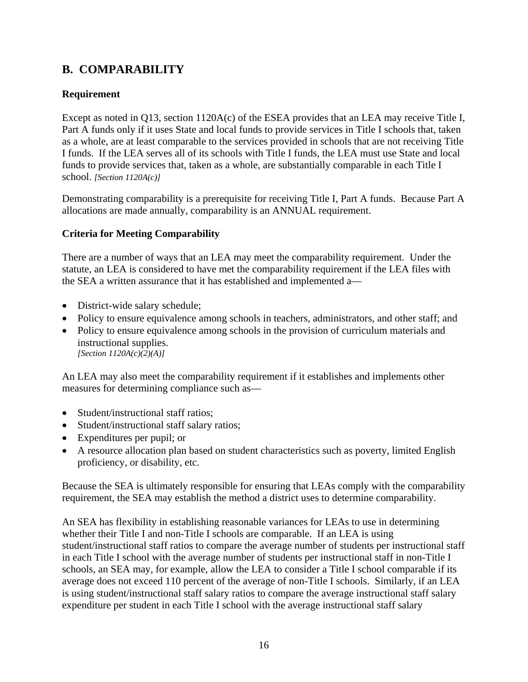# **B. COMPARABILITY**

# **Requirement**

Except as noted in Q13, section 1120A(c) of the ESEA provides that an LEA may receive Title I, Part A funds only if it uses State and local funds to provide services in Title I schools that, taken as a whole, are at least comparable to the services provided in schools that are not receiving Title I funds. If the LEA serves all of its schools with Title I funds, the LEA must use State and local funds to provide services that, taken as a whole, are substantially comparable in each Title I school. *[Section 1120A(c)]* 

Demonstrating comparability is a prerequisite for receiving Title I, Part A funds. Because Part A allocations are made annually, comparability is an ANNUAL requirement.

# **Criteria for Meeting Comparability**

There are a number of ways that an LEA may meet the comparability requirement. Under the statute, an LEA is considered to have met the comparability requirement if the LEA files with the SEA a written assurance that it has established and implemented a—

- District-wide salary schedule;
- Policy to ensure equivalence among schools in teachers, administrators, and other staff; and
- Policy to ensure equivalence among schools in the provision of curriculum materials and instructional supplies. *[Section 1120A(c)(2)(A)]*

An LEA may also meet the comparability requirement if it establishes and implements other measures for determining compliance such as—

- Student/instructional staff ratios;
- Student/instructional staff salary ratios;
- Expenditures per pupil; or
- A resource allocation plan based on student characteristics such as poverty, limited English proficiency, or disability, etc.

Because the SEA is ultimately responsible for ensuring that LEAs comply with the comparability requirement, the SEA may establish the method a district uses to determine comparability.

An SEA has flexibility in establishing reasonable variances for LEAs to use in determining whether their Title I and non-Title I schools are comparable. If an LEA is using student/instructional staff ratios to compare the average number of students per instructional staff in each Title I school with the average number of students per instructional staff in non-Title I schools, an SEA may, for example, allow the LEA to consider a Title I school comparable if its average does not exceed 110 percent of the average of non-Title I schools. Similarly, if an LEA is using student/instructional staff salary ratios to compare the average instructional staff salary expenditure per student in each Title I school with the average instructional staff salary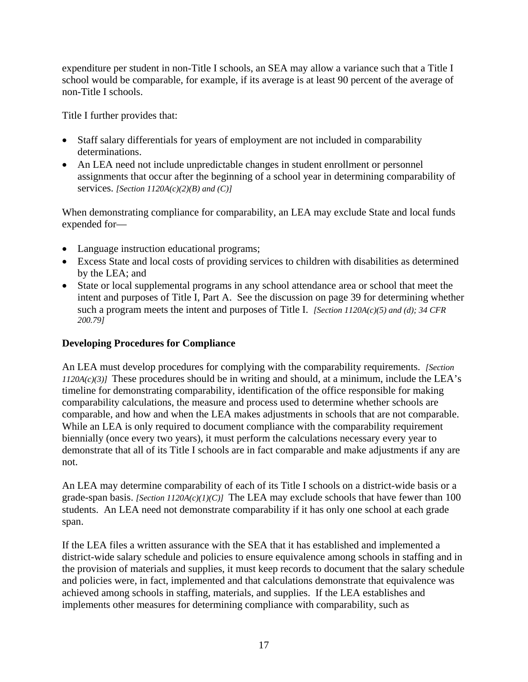expenditure per student in non-Title I schools, an SEA may allow a variance such that a Title I school would be comparable, for example, if its average is at least 90 percent of the average of non-Title I schools.

Title I further provides that:

- Staff salary differentials for years of employment are not included in comparability determinations.
- An LEA need not include unpredictable changes in student enrollment or personnel assignments that occur after the beginning of a school year in determining comparability of services. *[Section 1120A(c)(2)(B) and (C)]*

When demonstrating compliance for comparability, an LEA may exclude State and local funds expended for—

- Language instruction educational programs;
- Excess State and local costs of providing services to children with disabilities as determined by the LEA; and
- State or local supplemental programs in any school attendance area or school that meet the intent and purposes of Title I, Part A. See the discussion on page 39 for determining whether such a program meets the intent and purposes of Title I. *[Section 1120A(c)(5) and (d); 34 CFR 200.79]*

# **Developing Procedures for Compliance**

An LEA must develop procedures for complying with the comparability requirements. *[Section*   $1120A(c)(3)$  These procedures should be in writing and should, at a minimum, include the LEA's timeline for demonstrating comparability, identification of the office responsible for making comparability calculations, the measure and process used to determine whether schools are comparable, and how and when the LEA makes adjustments in schools that are not comparable. While an LEA is only required to document compliance with the comparability requirement biennially (once every two years), it must perform the calculations necessary every year to demonstrate that all of its Title I schools are in fact comparable and make adjustments if any are not.

An LEA may determine comparability of each of its Title I schools on a district-wide basis or a grade-span basis. *[Section 1120A(c)(1)(C)]* The LEA may exclude schools that have fewer than 100 students. An LEA need not demonstrate comparability if it has only one school at each grade span.

If the LEA files a written assurance with the SEA that it has established and implemented a district-wide salary schedule and policies to ensure equivalence among schools in staffing and in the provision of materials and supplies, it must keep records to document that the salary schedule and policies were, in fact, implemented and that calculations demonstrate that equivalence was achieved among schools in staffing, materials, and supplies. If the LEA establishes and implements other measures for determining compliance with comparability, such as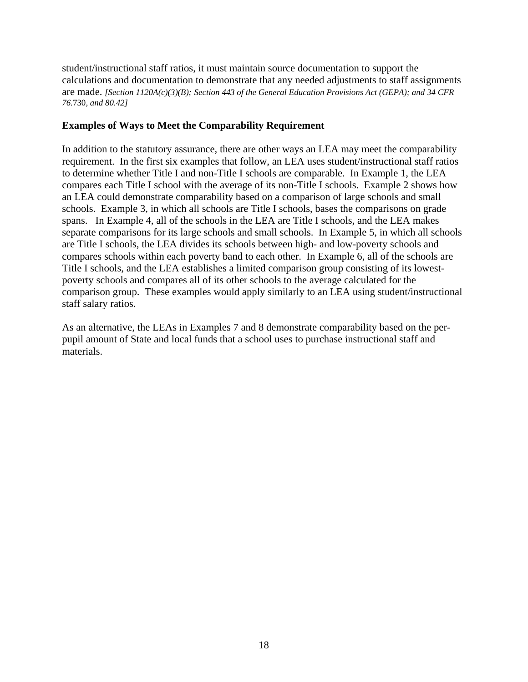student/instructional staff ratios, it must maintain source documentation to support the calculations and documentation to demonstrate that any needed adjustments to staff assignments are made. *[Section 1120A(c)(3)(B); Section 443 of the General Education Provisions Act (GEPA); and 34 CFR 76.*730*, and 80.42]*

#### **Examples of Ways to Meet the Comparability Requirement**

In addition to the statutory assurance, there are other ways an LEA may meet the comparability requirement. In the first six examples that follow, an LEA uses student/instructional staff ratios to determine whether Title I and non-Title I schools are comparable. In Example 1, the LEA compares each Title I school with the average of its non-Title I schools. Example 2 shows how an LEA could demonstrate comparability based on a comparison of large schools and small schools. Example 3, in which all schools are Title I schools, bases the comparisons on grade spans. In Example 4, all of the schools in the LEA are Title I schools, and the LEA makes separate comparisons for its large schools and small schools. In Example 5, in which all schools are Title I schools, the LEA divides its schools between high- and low-poverty schools and compares schools within each poverty band to each other. In Example 6, all of the schools are Title I schools, and the LEA establishes a limited comparison group consisting of its lowestpoverty schools and compares all of its other schools to the average calculated for the comparison group. These examples would apply similarly to an LEA using student/instructional staff salary ratios.

As an alternative, the LEAs in Examples 7 and 8 demonstrate comparability based on the perpupil amount of State and local funds that a school uses to purchase instructional staff and materials.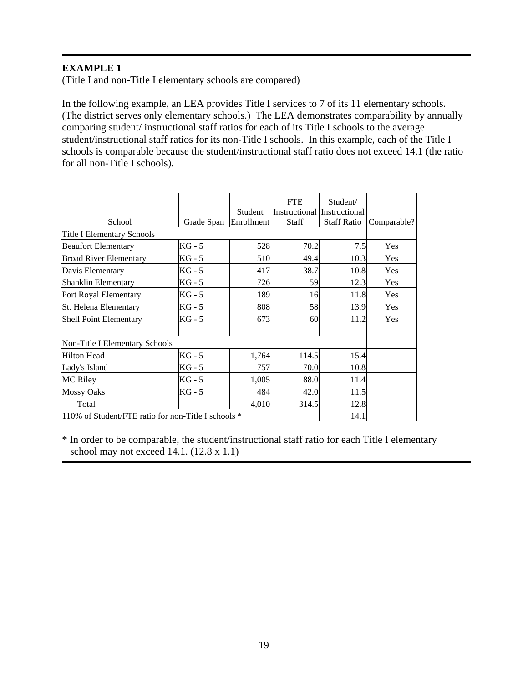(Title I and non-Title I elementary schools are compared)

In the following example, an LEA provides Title I services to 7 of its 11 elementary schools. (The district serves only elementary schools.) The LEA demonstrates comparability by annually comparing student/ instructional staff ratios for each of its Title I schools to the average student/instructional staff ratios for its non-Title I schools. In this example, each of the Title I schools is comparable because the student/instructional staff ratio does not exceed 14.1 (the ratio for all non-Title I schools).

| School                                              | Grade Span | Student<br>Enrollment | <b>FTE</b><br><b>Staff</b> | Student/<br>Instructional Instructional<br><b>Staff Ratio</b> | Comparable? |
|-----------------------------------------------------|------------|-----------------------|----------------------------|---------------------------------------------------------------|-------------|
| <b>Title I Elementary Schools</b>                   |            |                       |                            |                                                               |             |
| <b>Beaufort Elementary</b>                          | $KG - 5$   | 528                   | 70.2                       | 7.5                                                           | Yes         |
| <b>Broad River Elementary</b>                       | KG - 5     | 510                   | 49.4                       | 10.3                                                          | Yes         |
| Davis Elementary                                    | $KG - 5$   | 417                   | 38.7                       | 10.8                                                          | Yes         |
| Shanklin Elementary                                 | $KG - 5$   | 726                   | 59                         | 12.3                                                          | Yes         |
| Port Royal Elementary                               | $KG - 5$   | 189                   | 16                         | 11.8                                                          | Yes         |
| St. Helena Elementary                               | $KG - 5$   | 808                   | 58                         | 13.9                                                          | Yes         |
| <b>Shell Point Elementary</b>                       | $KG - 5$   | 673                   | 60                         | 11.2                                                          | Yes         |
| Non-Title I Elementary Schools                      |            |                       |                            |                                                               |             |
| <b>Hilton Head</b>                                  | $KG - 5$   | 1,764                 | 114.5                      | 15.4                                                          |             |
| Lady's Island                                       | $KG - 5$   | 757                   | 70.0                       | 10.8                                                          |             |
| <b>MC Riley</b>                                     | $KG - 5$   | 1,005                 | 88.0                       | 11.4                                                          |             |
| <b>Mossy Oaks</b>                                   | $KG - 5$   | 484                   | 42.0                       | 11.5                                                          |             |
| Total                                               |            | 4,010                 | 314.5                      | 12.8                                                          |             |
| 110% of Student/FTE ratio for non-Title I schools * |            |                       |                            | 14.1                                                          |             |

\* In order to be comparable, the student/instructional staff ratio for each Title I elementary school may not exceed 14.1. (12.8 x 1.1)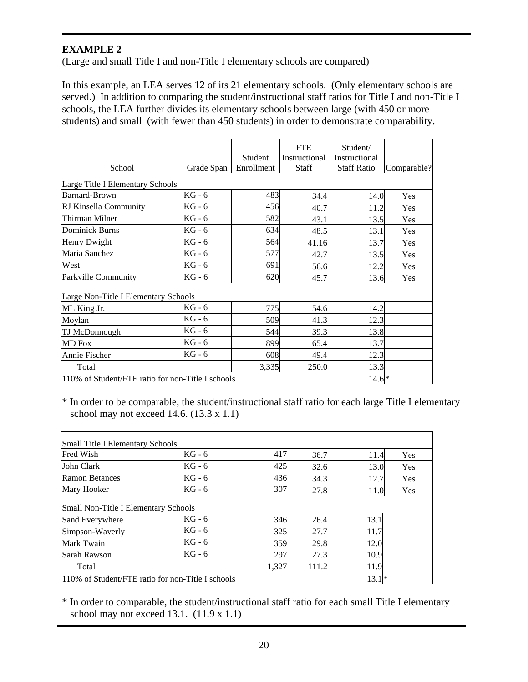(Large and small Title I and non-Title I elementary schools are compared)

In this example, an LEA serves 12 of its 21 elementary schools. (Only elementary schools are served.) In addition to comparing the student/instructional staff ratios for Title I and non-Title I schools, the LEA further divides its elementary schools between large (with 450 or more students) and small (with fewer than 450 students) in order to demonstrate comparability.

| School                                                       | Grade Span | Student<br>Enrollment | <b>FTE</b><br><b>Instructional</b><br><b>Staff</b> | Student/<br>Instructional<br><b>Staff Ratio</b> | Comparable? |
|--------------------------------------------------------------|------------|-----------------------|----------------------------------------------------|-------------------------------------------------|-------------|
| Large Title I Elementary Schools                             |            |                       |                                                    |                                                 |             |
| <b>Barnard-Brown</b>                                         | $KG - 6$   | 483                   | 34.4                                               | 14.0                                            | Yes         |
| RJ Kinsella Community                                        | $KG - 6$   | 456                   | 40.7                                               | 11.2                                            | Yes         |
| Thirman Milner                                               | KG - 6     | 582                   | 43.1                                               | 13.5                                            | Yes         |
| <b>Dominick Burns</b>                                        | $KG - 6$   | 634                   | 48.5                                               | 13.1                                            | Yes         |
| Henry Dwight                                                 | KG - 6     | 564                   | 41.16                                              | 13.7                                            | Yes         |
| Maria Sanchez                                                | $KG - 6$   | 577                   | 42.7                                               | 13.5                                            | Yes         |
| West                                                         | $KG - 6$   | 691                   | 56.6                                               | 12.2                                            | Yes         |
| Parkville Community                                          | $KG - 6$   | 620                   | 45.7                                               | 13.6                                            | Yes         |
| Large Non-Title I Elementary Schools                         |            |                       |                                                    |                                                 |             |
| ML King Jr.                                                  | $KG - 6$   | 775                   | 54.6                                               | 14.2                                            |             |
| Moylan                                                       | $KG - 6$   | 509                   | 41.3                                               | 12.3                                            |             |
| TJ McDonnough                                                | KG - 6     | 544                   | 39.3                                               | 13.8                                            |             |
| <b>MD</b> Fox                                                | $KG - 6$   | 899                   | 65.4                                               | 13.7                                            |             |
| Annie Fischer                                                | $KG - 6$   | 608                   | 49.4                                               | 12.3                                            |             |
| Total                                                        |            | 3,335                 | 250.0                                              | 13.3                                            |             |
| 110% of Student/FTE ratio for non-Title I schools<br>$14.6*$ |            |                       |                                                    |                                                 |             |

\* In order to be comparable, the student/instructional staff ratio for each large Title I elementary school may not exceed 14.6. (13.3 x 1.1)

| Small Title I Elementary Schools                  |          |       |       |      |     |  |  |  |  |
|---------------------------------------------------|----------|-------|-------|------|-----|--|--|--|--|
| <b>Fred Wish</b>                                  | KG - 6   | 417   | 36.7  | 11.4 | Yes |  |  |  |  |
| John Clark                                        | $KG - 6$ | 425   | 32.6  | 13.0 | Yes |  |  |  |  |
| Ramon Betances                                    | KG - 6   | 436   | 34.3  | 12.7 | Yes |  |  |  |  |
| Mary Hooker                                       | KG - 6   | 307   | 27.8  | 11.0 | Yes |  |  |  |  |
| Small Non-Title I Elementary Schools              |          |       |       |      |     |  |  |  |  |
| Sand Everywhere                                   | $KG - 6$ | 346   | 26.4  | 13.1 |     |  |  |  |  |
| Simpson-Waverly                                   | KG - 6   | 325   | 27.7  | 11.7 |     |  |  |  |  |
| Mark Twain                                        | KG - 6   | 359   | 29.8  | 12.0 |     |  |  |  |  |
| Sarah Rawson                                      | KG - 6   | 297   | 27.3  | 10.9 |     |  |  |  |  |
| Total                                             |          | 1,327 | 111.2 | 11.9 |     |  |  |  |  |
| 110% of Student/FTE ratio for non-Title I schools | $13.1*$  |       |       |      |     |  |  |  |  |

\* In order to comparable, the student/instructional staff ratio for each small Title I elementary school may not exceed  $13.1.$   $(11.9 \times 1.1)$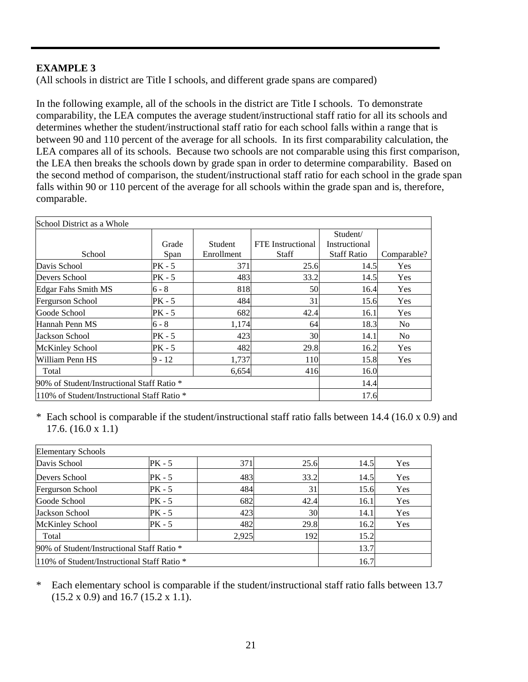(All schools in district are Title I schools, and different grade spans are compared)

In the following example, all of the schools in the district are Title I schools. To demonstrate comparability, the LEA computes the average student/instructional staff ratio for all its schools and determines whether the student/instructional staff ratio for each school falls within a range that is between 90 and 110 percent of the average for all schools. In its first comparability calculation, the LEA compares all of its schools. Because two schools are not comparable using this first comparison, the LEA then breaks the schools down by grade span in order to determine comparability. Based on the second method of comparison, the student/instructional staff ratio for each school in the grade span falls within 90 or 110 percent of the average for all schools within the grade span and is, therefore, comparable.

| School District as a Whole                  |          |            |                          |                           |                |
|---------------------------------------------|----------|------------|--------------------------|---------------------------|----------------|
|                                             | Grade    | Student    | <b>FTE</b> Instructional | Student/<br>Instructional |                |
| School                                      | Span     | Enrollment | <b>Staff</b>             | <b>Staff Ratio</b>        | Comparable?    |
| Davis School                                | PK - 5   | 371        | 25.6                     | 14.5                      | Yes            |
| Devers School                               | PK - 5   | 483        | 33.2                     | 14.5                      | Yes            |
| <b>Edgar Fahs Smith MS</b>                  | $6 - 8$  | 818        | 50                       | 16.4                      | Yes            |
| Fergurson School                            | PK - 5   | 484        | 31                       | 15.6                      | Yes            |
| Goode School                                | PK - 5   | 682        | 42.4                     | 16.1                      | Yes            |
| Hannah Penn MS                              | $6 - 8$  | 1,174      | 64                       | 18.3                      | No.            |
| Jackson School                              | $PK - 5$ | 423        | 30                       | 14.1                      | N <sub>0</sub> |
| <b>McKinley School</b>                      | PK - 5   | 482        | 29.8                     | 16.2                      | Yes            |
| William Penn HS                             | $9 - 12$ | 1,737      | 110                      | 15.8                      | Yes            |
| Total                                       |          | 6,654      | 416                      | 16.0                      |                |
| 90% of Student/Instructional Staff Ratio *  |          | 14.4       |                          |                           |                |
| 110% of Student/Instructional Staff Ratio * |          |            |                          | 17.6                      |                |

\* Each school is comparable if the student/instructional staff ratio falls between 14.4 (16.0 x 0.9) and 17.6. (16.0 x 1.1)

| <b>Elementary Schools</b>                   |          |       |      |      |            |  |  |  |
|---------------------------------------------|----------|-------|------|------|------------|--|--|--|
| Davis School                                | $PK - 5$ | 371   | 25.6 | 14.5 | Yes        |  |  |  |
| Devers School                               | $PK - 5$ | 483   | 33.2 | 14.5 | Yes        |  |  |  |
| Fergurson School                            | PK - 5   | 484   | 31   | 15.6 | Yes        |  |  |  |
| Goode School                                | PK - 5   | 682   | 42.4 | 16.1 | Yes        |  |  |  |
| Jackson School                              | $PK - 5$ | 423   | 30   | 14.1 | Yes        |  |  |  |
| <b>McKinley School</b>                      | PK - 5   | 482   | 29.8 | 16.2 | <b>Yes</b> |  |  |  |
| Total                                       |          | 2,925 | 192  | 15.2 |            |  |  |  |
| 190% of Student/Instructional Staff Ratio * | 13.7     |       |      |      |            |  |  |  |
| 110% of Student/Instructional Staff Ratio * | 16.7     |       |      |      |            |  |  |  |

\* Each elementary school is comparable if the student/instructional staff ratio falls between 13.7 (15.2 x 0.9) and 16.7 (15.2 x 1.1).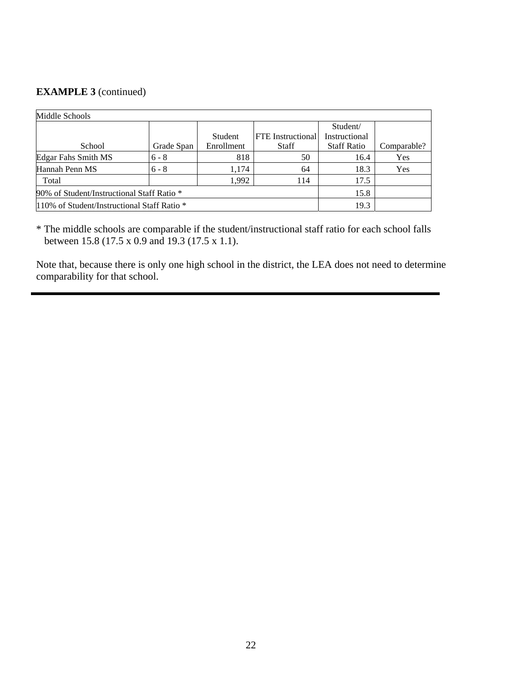# **EXAMPLE 3** (continued)

| Middle Schools                              |            |                |                          |                    |             |  |  |  |  |
|---------------------------------------------|------------|----------------|--------------------------|--------------------|-------------|--|--|--|--|
|                                             |            |                |                          | Student/           |             |  |  |  |  |
|                                             |            | <b>Student</b> | <b>FTE</b> Instructional | Instructional      |             |  |  |  |  |
| School                                      | Grade Span | Enrollment     | <b>Staff</b>             | <b>Staff Ratio</b> | Comparable? |  |  |  |  |
| <b>Edgar Fahs Smith MS</b>                  | $6 - 8$    | 818            | 50                       | 16.4               | Yes         |  |  |  |  |
| Hannah Penn MS                              | $6 - 8$    | 1,174          | 64                       | 18.3               | Yes         |  |  |  |  |
| Total                                       |            | 1,992          | 114                      | 17.5               |             |  |  |  |  |
| 90% of Student/Instructional Staff Ratio *  | 15.8       |                |                          |                    |             |  |  |  |  |
| 110% of Student/Instructional Staff Ratio * | 19.3       |                |                          |                    |             |  |  |  |  |

\* The middle schools are comparable if the student/instructional staff ratio for each school falls between 15.8 (17.5 x 0.9 and 19.3 (17.5 x 1.1).

Note that, because there is only one high school in the district, the LEA does not need to determine comparability for that school.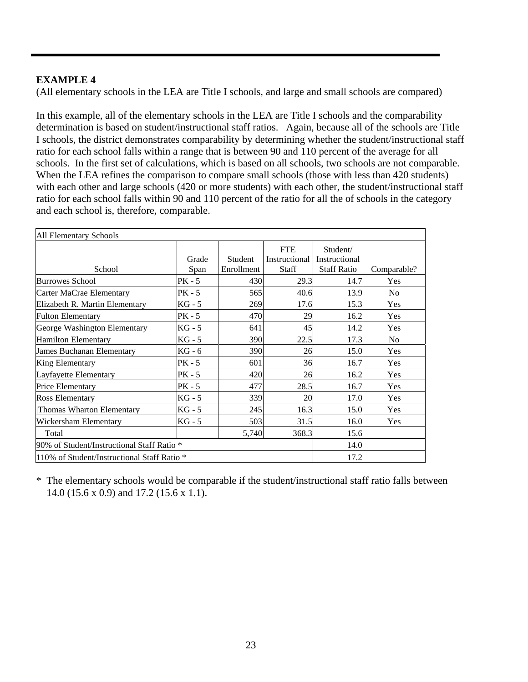(All elementary schools in the LEA are Title I schools, and large and small schools are compared)

In this example, all of the elementary schools in the LEA are Title I schools and the comparability determination is based on student/instructional staff ratios. Again, because all of the schools are Title I schools, the district demonstrates comparability by determining whether the student/instructional staff ratio for each school falls within a range that is between 90 and 110 percent of the average for all schools. In the first set of calculations, which is based on all schools, two schools are not comparable. When the LEA refines the comparison to compare small schools (those with less than 420 students) with each other and large schools (420 or more students) with each other, the student/instructional staff ratio for each school falls within 90 and 110 percent of the ratio for all the of schools in the category and each school is, therefore, comparable.

| All Elementary Schools                     |                                             |            |                             |                           |                |  |  |  |  |
|--------------------------------------------|---------------------------------------------|------------|-----------------------------|---------------------------|----------------|--|--|--|--|
|                                            | Grade                                       | Student    | <b>FTE</b><br>Instructional | Student/<br>Instructional |                |  |  |  |  |
| School                                     | Span                                        | Enrollment | Staff                       | <b>Staff Ratio</b>        | Comparable?    |  |  |  |  |
| <b>Burrowes School</b>                     | PK - 5                                      | 430        | 29.3                        | 14.7                      | Yes            |  |  |  |  |
| Carter MaCrae Elementary                   | PK - 5                                      | 565        | 40.6                        | 13.9                      | No.            |  |  |  |  |
| Elizabeth R. Martin Elementary             | KG - 5                                      | 269        | 17.6                        | 15.3                      | Yes            |  |  |  |  |
| <b>Fulton Elementary</b>                   | PK - 5                                      | 470        | 29                          | 16.2                      | Yes            |  |  |  |  |
| George Washington Elementary               | KG - 5                                      | 641        | 45                          | 14.2                      | Yes            |  |  |  |  |
| <b>Hamilton Elementary</b>                 | KG - 5                                      | 390        | 22.5                        | 17.3                      | N <sub>o</sub> |  |  |  |  |
| James Buchanan Elementary                  | KG - 6                                      | 390        | 26                          | 15.0                      | Yes            |  |  |  |  |
| King Elementary                            | PK - 5                                      | 601        | 36                          | 16.7                      | Yes            |  |  |  |  |
| Layfayette Elementary                      | PK - 5                                      | 420        | 26                          | 16.2                      | Yes            |  |  |  |  |
| Price Elementary                           | $PK - 5$                                    | 477        | 28.5                        | 16.7                      | Yes            |  |  |  |  |
| <b>Ross Elementary</b>                     | KG - 5                                      | 339        | 20                          | 17.0                      | Yes            |  |  |  |  |
| Thomas Wharton Elementary                  | $KG - 5$                                    | 245        | 16.3                        | 15.0                      | Yes            |  |  |  |  |
| Wickersham Elementary                      | KG - 5                                      | 503        | 31.5                        | 16.0                      | Yes            |  |  |  |  |
| Total                                      |                                             | 5,740      | 368.3                       | 15.6                      |                |  |  |  |  |
| 90% of Student/Instructional Staff Ratio * |                                             |            |                             | 14.0                      |                |  |  |  |  |
|                                            | 110% of Student/Instructional Staff Ratio * |            |                             |                           |                |  |  |  |  |

\* The elementary schools would be comparable if the student/instructional staff ratio falls between 14.0 (15.6 x 0.9) and 17.2 (15.6 x 1.1).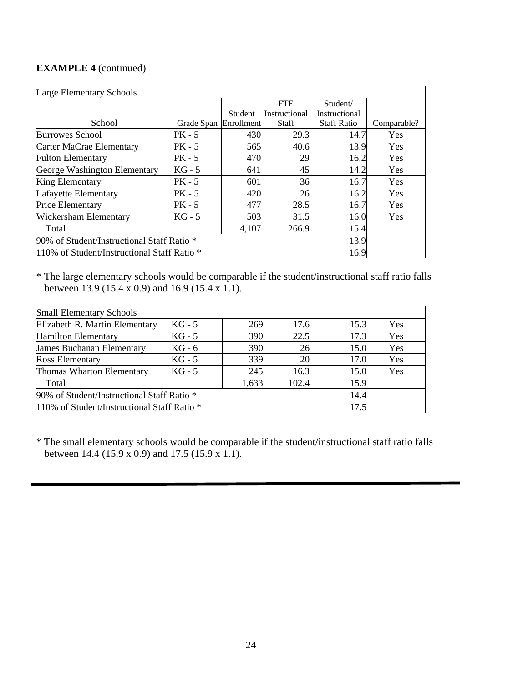# **EXAMPLE 4** (continued)

| <b>Large Elementary Schools</b>             |            |            |               |                    |             |  |  |  |  |  |
|---------------------------------------------|------------|------------|---------------|--------------------|-------------|--|--|--|--|--|
|                                             |            |            | <b>FTE</b>    | Student/           |             |  |  |  |  |  |
|                                             |            | Student    | Instructional | Instructional      |             |  |  |  |  |  |
| School                                      | Grade Span | Enrollment | <b>Staff</b>  | <b>Staff Ratio</b> | Comparable? |  |  |  |  |  |
| <b>Burrowes School</b>                      | PK - 5     | 430        | 29.3          | 14.7               | Yes         |  |  |  |  |  |
| Carter MaCrae Elementary                    | $PK - 5$   | 565        | 40.6          | 13.9               | <b>Yes</b>  |  |  |  |  |  |
| <b>Fulton Elementary</b>                    | $PK - 5$   | 470        | 29            | 16.2               | Yes         |  |  |  |  |  |
| George Washington Elementary                | $KG - 5$   | 641        | 45            | 14.2               | Yes         |  |  |  |  |  |
| <b>King Elementary</b>                      | $PK - 5$   | 601        | 36            | 16.7               | Yes         |  |  |  |  |  |
| Lafayette Elementary                        | PK - 5     | 420        | 26            | 16.2               | Yes         |  |  |  |  |  |
| <b>Price Elementary</b>                     | PK - 5     | 477        | 28.5          | 16.7               | Yes         |  |  |  |  |  |
| <b>Wickersham Elementary</b>                | $KG - 5$   | 503        | 31.5          | 16.0               | Yes         |  |  |  |  |  |
| Total                                       |            | 4,107      | 266.9         | 15.4               |             |  |  |  |  |  |
| 90% of Student/Instructional Staff Ratio *  | 13.9       |            |               |                    |             |  |  |  |  |  |
| 110% of Student/Instructional Staff Ratio * | 16.9       |            |               |                    |             |  |  |  |  |  |

\* The large elementary schools would be comparable if the student/instructional staff ratio falls between 13.9 (15.4 x 0.9) and 16.9 (15.4 x 1.1).

| <b>Small Elementary Schools</b>                                          |          |       |       |      |     |  |  |  |  |
|--------------------------------------------------------------------------|----------|-------|-------|------|-----|--|--|--|--|
| $KG - 5$<br>Elizabeth R. Martin Elementary<br>15.3<br>269<br>Yes<br>17.6 |          |       |       |      |     |  |  |  |  |
| <b>Hamilton Elementary</b>                                               | $KG - 5$ | 390   | 22.5  | 17.3 | Yes |  |  |  |  |
| <b>James Buchanan Elementary</b>                                         | $KG - 6$ | 390   | 26    | 15.0 | Yes |  |  |  |  |
| <b>Ross Elementary</b>                                                   | $KG - 5$ | 339   | 20    | 17.0 | Yes |  |  |  |  |
| Thomas Wharton Elementary                                                | $KG - 5$ | 245   | 16.3  | 15.0 | Yes |  |  |  |  |
| Total                                                                    |          | 1,633 | 102.4 | 15.9 |     |  |  |  |  |
| 90% of Student/Instructional Staff Ratio *                               | 14.4     |       |       |      |     |  |  |  |  |
| 110% of Student/Instructional Staff Ratio *                              | 17.5     |       |       |      |     |  |  |  |  |

\* The small elementary schools would be comparable if the student/instructional staff ratio falls between 14.4 (15.9 x 0.9) and 17.5 (15.9 x 1.1).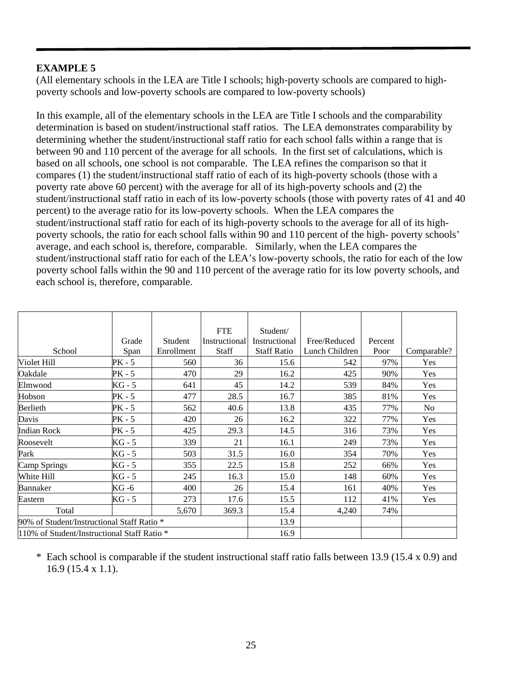(All elementary schools in the LEA are Title I schools; high-poverty schools are compared to highpoverty schools and low-poverty schools are compared to low-poverty schools)

In this example, all of the elementary schools in the LEA are Title I schools and the comparability determination is based on student/instructional staff ratios. The LEA demonstrates comparability by determining whether the student/instructional staff ratio for each school falls within a range that is between 90 and 110 percent of the average for all schools. In the first set of calculations, which is based on all schools, one school is not comparable. The LEA refines the comparison so that it compares (1) the student/instructional staff ratio of each of its high-poverty schools (those with a poverty rate above 60 percent) with the average for all of its high-poverty schools and (2) the student/instructional staff ratio in each of its low-poverty schools (those with poverty rates of 41 and 40 percent) to the average ratio for its low-poverty schools. When the LEA compares the student/instructional staff ratio for each of its high-poverty schools to the average for all of its highpoverty schools, the ratio for each school falls within 90 and 110 percent of the high- poverty schools' average, and each school is, therefore, comparable. Similarly, when the LEA compares the student/instructional staff ratio for each of the LEA's low-poverty schools, the ratio for each of the low poverty school falls within the 90 and 110 percent of the average ratio for its low poverty schools, and each school is, therefore, comparable.

|                                             |        |            | <b>FTE</b>    | Student/           |                |         |             |
|---------------------------------------------|--------|------------|---------------|--------------------|----------------|---------|-------------|
|                                             | Grade  | Student    | Instructional | Instructional      | Free/Reduced   | Percent |             |
| School                                      | Span   | Enrollment | Staff         | <b>Staff Ratio</b> | Lunch Children | Poor    | Comparable? |
| Violet Hill                                 | PK - 5 | 560        | 36            | 15.6               | 542            | 97%     | Yes         |
| Oakdale                                     | PK - 5 | 470        | 29            | 16.2               | 425            | 90%     | Yes         |
| Elmwood                                     | KG - 5 | 641        | 45            | 14.2               | 539            | 84%     | Yes         |
| Hobson                                      | PK - 5 | 477        | 28.5          | 16.7               | 385            | 81%     | Yes         |
| Berlieth                                    | PK - 5 | 562        | 40.6          | 13.8               | 435            | 77%     | No          |
| Davis                                       | PK - 5 | 420        | 26            | 16.2               | 322            | 77%     | Yes         |
| <b>Indian Rock</b>                          | PK - 5 | 425        | 29.3          | 14.5               | 316            | 73%     | Yes         |
| Roosevelt                                   | KG - 5 | 339        | 21            | 16.1               | 249            | 73%     | Yes         |
| Park                                        | KG - 5 | 503        | 31.5          | 16.0               | 354            | 70%     | Yes         |
| Camp Springs                                | KG - 5 | 355        | 22.5          | 15.8               | 252            | 66%     | Yes         |
| White Hill                                  | KG - 5 | 245        | 16.3          | 15.0               | 148            | 60%     | Yes         |
| Bannaker                                    | KG -6  | 400        | 26            | 15.4               | 161            | 40%     | Yes         |
| Eastern                                     | KG - 5 | 273        | 17.6          | 15.5               | 112            | 41%     | Yes         |
| Total                                       |        | 5,670      | 369.3         | 15.4               | 4,240          | 74%     |             |
| 90% of Student/Instructional Staff Ratio *  |        |            |               | 13.9               |                |         |             |
| 110% of Student/Instructional Staff Ratio * |        |            | 16.9          |                    |                |         |             |

\* Each school is comparable if the student instructional staff ratio falls between 13.9 (15.4 x 0.9) and 16.9 (15.4 x 1.1).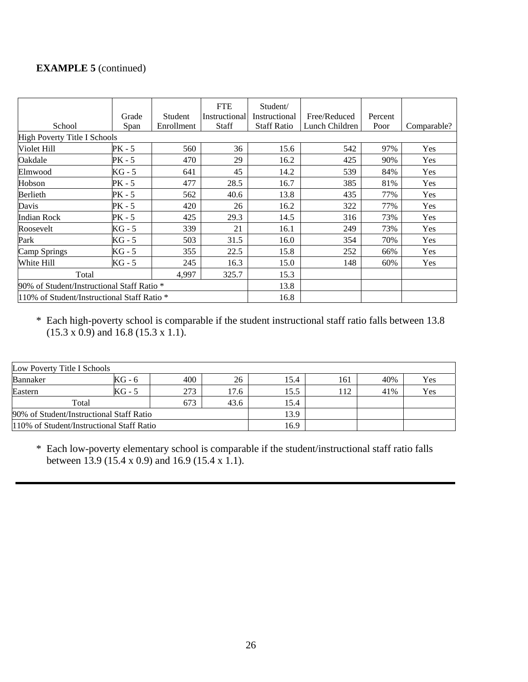# **EXAMPLE 5** (continued)

|                                             |          |            | <b>FTE</b>    | Student/           |                |         |             |
|---------------------------------------------|----------|------------|---------------|--------------------|----------------|---------|-------------|
|                                             | Grade    | Student    | Instructional | Instructional      | Free/Reduced   | Percent |             |
| School                                      | Span     | Enrollment | <b>Staff</b>  | <b>Staff Ratio</b> | Lunch Children | Poor    | Comparable? |
| <b>High Poverty Title I Schools</b>         |          |            |               |                    |                |         |             |
| Violet Hill                                 | PK - 5   | 560        | 36            | 15.6               | 542            | 97%     | Yes         |
| Oakdale                                     | PK - 5   | 470        | 29            | 16.2               | 425            | 90%     | Yes         |
| Elmwood                                     | KG - 5   | 641        | 45            | 14.2               | 539            | 84%     | Yes         |
| Hobson                                      | PK - 5   | 477        | 28.5          | 16.7               | 385            | 81%     | Yes         |
| Berlieth                                    | PK - 5   | 562        | 40.6          | 13.8               | 435            | 77%     | Yes         |
| Davis                                       | PK - 5   | 420        | 26            | 16.2               | 322            | 77%     | Yes         |
| <b>Indian Rock</b>                          | PK - 5   | 425        | 29.3          | 14.5               | 316            | 73%     | Yes         |
| Roosevelt                                   | KG - 5   | 339        | 21            | 16.1               | 249            | 73%     | <b>Yes</b>  |
| Park                                        | $KG - 5$ | 503        | 31.5          | 16.0               | 354            | 70%     | Yes         |
| Camp Springs                                | KG - 5   | 355        | 22.5          | 15.8               | 252            | 66%     | Yes         |
| White Hill                                  | KG - 5   | 245        | 16.3          | 15.0               | 148            | 60%     | Yes         |
| 325.7<br>Total<br>4,997                     |          |            | 15.3          |                    |                |         |             |
| 90% of Student/Instructional Staff Ratio *  |          |            | 13.8          |                    |                |         |             |
| 110% of Student/Instructional Staff Ratio * |          |            |               | 16.8               |                |         |             |

\* Each high-poverty school is comparable if the student instructional staff ratio falls between 13.8  $(15.3 \times 0.9)$  and 16.8 (15.3 x 1.1).

| Low Poverty Title I Schools               |        |     |       |      |     |     |     |  |
|-------------------------------------------|--------|-----|-------|------|-----|-----|-----|--|
| Bannaker                                  | KG - 6 | 400 | 26    | 15.4 | 161 | 40% | Yes |  |
| Eastern                                   | KG - 5 | 273 | l 7.6 | 15.5 | 112 | 41% | Yes |  |
| 673<br>Total<br>43.6                      |        |     |       | 15.4 |     |     |     |  |
| 90% of Student/Instructional Staff Ratio  |        |     |       | 13.9 |     |     |     |  |
| 110% of Student/Instructional Staff Ratio | 16.9   |     |       |      |     |     |     |  |

\* Each low-poverty elementary school is comparable if the student/instructional staff ratio falls between 13.9 (15.4 x 0.9) and 16.9 (15.4 x 1.1).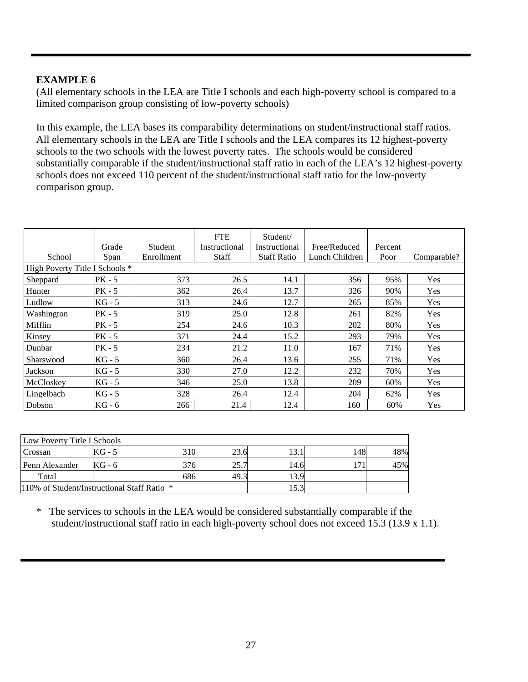(All elementary schools in the LEA are Title I schools and each high-poverty school is compared to a limited comparison group consisting of low-poverty schools)

In this example, the LEA bases its comparability determinations on student/instructional staff ratios. All elementary schools in the LEA are Title I schools and the LEA compares its 12 highest-poverty schools to the two schools with the lowest poverty rates. The schools would be considered substantially comparable if the student/instructional staff ratio in each of the LEA's 12 highest-poverty schools does not exceed 110 percent of the student/instructional staff ratio for the low-poverty comparison group.

|                                |          |                | <b>FTE</b>    | Student/           |                |         |             |
|--------------------------------|----------|----------------|---------------|--------------------|----------------|---------|-------------|
|                                | Grade    | <b>Student</b> | Instructional | Instructional      | Free/Reduced   | Percent |             |
| School                         | Span     | Enrollment     | <b>Staff</b>  | <b>Staff Ratio</b> | Lunch Children | Poor    | Comparable? |
| High Poverty Title I Schools * |          |                |               |                    |                |         |             |
| Sheppard                       | PK - 5   | 373            | 26.5          | 14.1               | 356            | 95%     | Yes         |
| Hunter                         | $PK - 5$ | 362            | 26.4          | 13.7               | 326            | 90%     | Yes         |
| Ludlow                         | KG - 5   | 313            | 24.6          | 12.7               | 265            | 85%     | Yes         |
| Washington                     | $PK - 5$ | 319            | 25.0          | 12.8               | 261            | 82%     | Yes         |
| Mifflin                        | PK - 5   | 254            | 24.6          | 10.3               | 202            | 80%     | Yes         |
| Kinsey                         | PK - 5   | 371            | 24.4          | 15.2               | 293            | 79%     | Yes         |
| Dunbar                         | PK - 5   | 234            | 21.2          | 11.0               | 167            | 71%     | Yes         |
| Sharswood                      | KG - 5   | 360            | 26.4          | 13.6               | 255            | 71%     | Yes         |
| Jackson                        | KG - 5   | 330            | 27.0          | 12.2               | 232            | 70%     | Yes         |
| McCloskey                      | KG - 5   | 346            | 25.0          | 13.8               | 209            | 60%     | Yes         |
| Lingelbach                     | KG - 5   | 328            | 26.4          | 12.4               | 204            | 62%     | Yes         |
| Dobson                         | KG - 6   | 266            | 21.4          | 12.4               | 160            | 60%     | Yes         |

| Low Poverty Title I Schools                 |        |     |      |      |    |     |  |  |
|---------------------------------------------|--------|-----|------|------|----|-----|--|--|
| Crossan                                     | $KG-5$ | 310 | 23.6 | 13.1 | 48 | 48% |  |  |
| Penn Alexander                              | KG - 6 | 376 | 25.7 | 14.6 |    | 45% |  |  |
| Total                                       |        | 686 | 49.3 | 13.9 |    |     |  |  |
| 110% of Student/Instructional Staff Ratio * |        |     |      | 15.3 |    |     |  |  |

\* The services to schools in the LEA would be considered substantially comparable if the student/instructional staff ratio in each high-poverty school does not exceed 15.3 (13.9 x 1.1).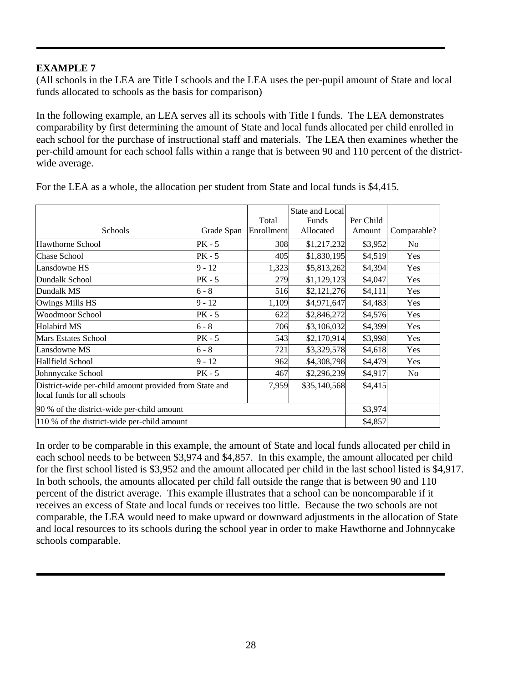(All schools in the LEA are Title I schools and the LEA uses the per-pupil amount of State and local funds allocated to schools as the basis for comparison)

In the following example, an LEA serves all its schools with Title I funds. The LEA demonstrates comparability by first determining the amount of State and local funds allocated per child enrolled in each school for the purchase of instructional staff and materials. The LEA then examines whether the per-child amount for each school falls within a range that is between 90 and 110 percent of the districtwide average.

|                                                        |            | State and Local   |              |           |                |
|--------------------------------------------------------|------------|-------------------|--------------|-----------|----------------|
|                                                        |            | Total             | Funds        | Per Child |                |
| Schools                                                | Grade Span | <b>Enrollment</b> | Allocated    | Amount    | Comparable?    |
| <b>Hawthorne School</b>                                | $PK - 5$   | 308               | \$1,217,232  | \$3,952   | N <sub>o</sub> |
| <b>Chase School</b>                                    | $PK - 5$   | 405               | \$1,830,195  | \$4,519   | Yes            |
| Lansdowne HS                                           | $9 - 12$   | 1,323             | \$5,813,262  | \$4,394   | Yes            |
| Dundalk School                                         | $PK - 5$   | 279               | \$1,129,123  | \$4,047   | Yes            |
| Dundalk MS                                             | $6 - 8$    | 516               | \$2,121,276  | \$4,111   | Yes            |
| Owings Mills HS                                        | $9 - 12$   | 1,109             | \$4,971,647  | \$4,483   | Yes            |
| <b>Woodmoor School</b>                                 | $PK - 5$   | 622               | \$2,846,272  | \$4,576   | Yes            |
| <b>Holabird MS</b>                                     | $6 - 8$    | 706               | \$3,106,032  | \$4,399   | Yes            |
| <b>Mars Estates School</b>                             | PK - 5     | 543               | \$2,170,914  | \$3,998   | Yes            |
| Lansdowne MS                                           | $6 - 8$    | 721               | \$3,329,578  | \$4,618   | Yes            |
| Hallfield School                                       | $9 - 12$   | 962               | \$4,308,798  | \$4,479   | Yes            |
| Johnnycake School                                      | $PK - 5$   | 467               | \$2,296,239  | \$4,917   | N <sub>0</sub> |
| District-wide per-child amount provided from State and |            | 7,959             | \$35,140,568 | \$4,415   |                |
| local funds for all schools                            |            |                   |              |           |                |
| 90 % of the district-wide per-child amount             | \$3,974    |                   |              |           |                |
| 110 % of the district-wide per-child amount            |            |                   |              | \$4,857   |                |

For the LEA as a whole, the allocation per student from State and local funds is \$4,415.

In order to be comparable in this example, the amount of State and local funds allocated per child in each school needs to be between \$3,974 and \$4,857. In this example, the amount allocated per child for the first school listed is \$3,952 and the amount allocated per child in the last school listed is \$4,917. In both schools, the amounts allocated per child fall outside the range that is between 90 and 110 percent of the district average. This example illustrates that a school can be noncomparable if it receives an excess of State and local funds or receives too little. Because the two schools are not comparable, the LEA would need to make upward or downward adjustments in the allocation of State and local resources to its schools during the school year in order to make Hawthorne and Johnnycake schools comparable.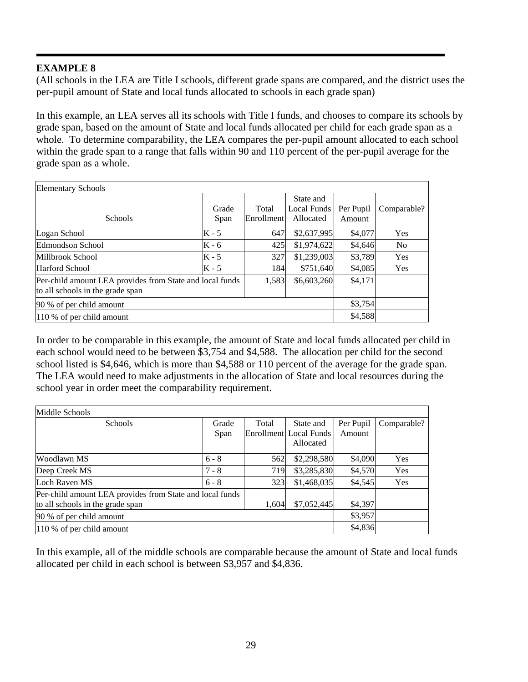(All schools in the LEA are Title I schools, different grade spans are compared, and the district uses the per-pupil amount of State and local funds allocated to schools in each grade span)

In this example, an LEA serves all its schools with Title I funds, and chooses to compare its schools by grade span, based on the amount of State and local funds allocated per child for each grade span as a whole. To determine comparability, the LEA compares the per-pupil amount allocated to each school within the grade span to a range that falls within 90 and 110 percent of the per-pupil average for the grade span as a whole.

| <b>Elementary Schools</b>                                                                    |               |                     |                                       |                     |             |  |
|----------------------------------------------------------------------------------------------|---------------|---------------------|---------------------------------------|---------------------|-------------|--|
| <b>Schools</b>                                                                               | Grade<br>Span | Total<br>Enrollment | State and<br>Local Funds<br>Allocated | Per Pupil<br>Amount | Comparable? |  |
| Logan School                                                                                 | $K - 5$       | 647                 | \$2,637,995                           | \$4,077             | Yes         |  |
| Edmondson School                                                                             | K - 6         | 425                 | \$1,974,622                           | \$4,646             | No.         |  |
| Millbrook School                                                                             | $K - 5$       | 327                 | \$1,239,003                           | \$3,789             | Yes         |  |
| Harford School                                                                               | $K - 5$       | 184                 | \$751,640                             | \$4,085             | Yes         |  |
| Per-child amount LEA provides from State and local funds<br>to all schools in the grade span | 1,583         | \$6,603,260         | \$4,171                               |                     |             |  |
| 90 % of per child amount                                                                     |               |                     |                                       |                     | \$3,754     |  |
| 110 % of per child amount                                                                    |               |                     |                                       |                     |             |  |

In order to be comparable in this example, the amount of State and local funds allocated per child in each school would need to be between \$3,754 and \$4,588. The allocation per child for the second school listed is \$4,646, which is more than \$4,588 or 110 percent of the average for the grade span. The LEA would need to make adjustments in the allocation of State and local resources during the school year in order meet the comparability requirement.

| Middle Schools                                           |         |       |                        |           |             |  |  |
|----------------------------------------------------------|---------|-------|------------------------|-----------|-------------|--|--|
| <b>Schools</b>                                           | Grade   | Total | State and              | Per Pupil | Comparable? |  |  |
|                                                          | Span    |       | Enrollment Local Funds | Amount    |             |  |  |
|                                                          |         |       | Allocated              |           |             |  |  |
| Woodlawn MS                                              | $6 - 8$ | 562   | \$2,298,580            | \$4,090   | Yes         |  |  |
| Deep Creek MS                                            | $7 - 8$ | 719   | \$3,285,830            | \$4,570   | Yes         |  |  |
| Loch Raven MS                                            | $6 - 8$ | 323   | \$1,468,035            | \$4,545   | Yes         |  |  |
| Per-child amount LEA provides from State and local funds |         |       |                        |           |             |  |  |
| to all schools in the grade span                         |         |       | \$7,052,445<br>1,604   | \$4,397   |             |  |  |
| 90 % of per child amount                                 |         |       |                        |           | \$3,957     |  |  |
| 110 % of per child amount                                | \$4,836 |       |                        |           |             |  |  |

In this example, all of the middle schools are comparable because the amount of State and local funds allocated per child in each school is between \$3,957 and \$4,836.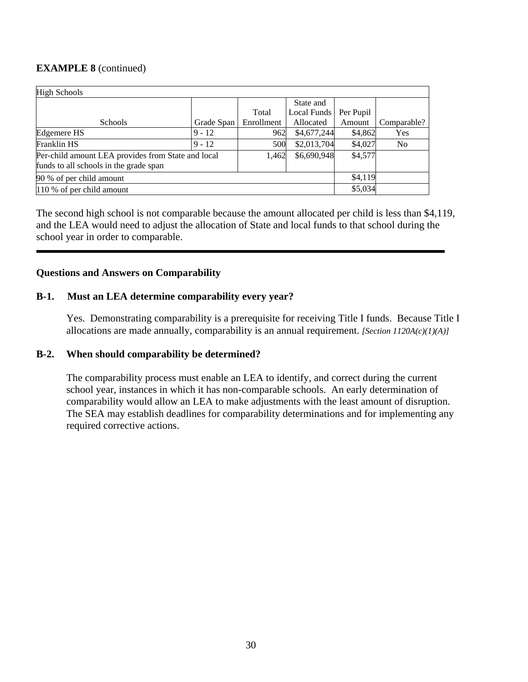# **EXAMPLE 8** (continued)

| <b>High Schools</b>                                                        |            |            |             |           |             |  |  |
|----------------------------------------------------------------------------|------------|------------|-------------|-----------|-------------|--|--|
|                                                                            |            |            | State and   |           |             |  |  |
|                                                                            |            | Total      | Local Funds | Per Pupil |             |  |  |
| <b>Schools</b>                                                             | Grade Span | Enrollment | Allocated   | Amount    | Comparable? |  |  |
| Edgemere HS                                                                | $9 - 12$   | 962        | \$4,677,244 | \$4,862   | Yes         |  |  |
| Franklin HS                                                                | $9 - 12$   | 500        | \$2,013,704 | \$4,027   | No.         |  |  |
| \$6,690,948<br>Per-child amount LEA provides from State and local<br>1,462 |            |            |             | \$4,577   |             |  |  |
| funds to all schools in the grade span                                     |            |            |             |           |             |  |  |
| 90 % of per child amount                                                   | \$4,119    |            |             |           |             |  |  |
| 110 % of per child amount                                                  |            |            |             | \$5,034   |             |  |  |

The second high school is not comparable because the amount allocated per child is less than \$4,119, and the LEA would need to adjust the allocation of State and local funds to that school during the school year in order to comparable.

# **Questions and Answers on Comparability**

#### **B-1. Must an LEA determine comparability every year?**

Yes. Demonstrating comparability is a prerequisite for receiving Title I funds. Because Title I allocations are made annually, comparability is an annual requirement. *[Section 1120A(c)(1)(A)]* 

#### **B-2. When should comparability be determined?**

The comparability process must enable an LEA to identify, and correct during the current school year, instances in which it has non-comparable schools. An early determination of comparability would allow an LEA to make adjustments with the least amount of disruption. The SEA may establish deadlines for comparability determinations and for implementing any required corrective actions.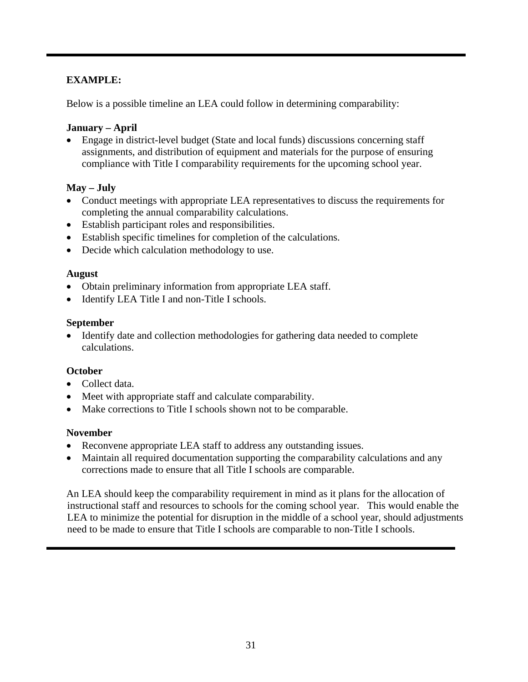Below is a possible timeline an LEA could follow in determining comparability:

### **January – April**

• Engage in district-level budget (State and local funds) discussions concerning staff assignments, and distribution of equipment and materials for the purpose of ensuring compliance with Title I comparability requirements for the upcoming school year.

#### **May – July**

- Conduct meetings with appropriate LEA representatives to discuss the requirements for completing the annual comparability calculations.
- Establish participant roles and responsibilities.
- Establish specific timelines for completion of the calculations.
- Decide which calculation methodology to use.

#### **August**

- Obtain preliminary information from appropriate LEA staff.
- Identify LEA Title I and non-Title I schools.

#### **September**

• Identify date and collection methodologies for gathering data needed to complete calculations.

#### **October**

- Collect data.
- Meet with appropriate staff and calculate comparability.
- Make corrections to Title I schools shown not to be comparable.

#### **November**

- Reconvene appropriate LEA staff to address any outstanding issues.
- Maintain all required documentation supporting the comparability calculations and any corrections made to ensure that all Title I schools are comparable.

An LEA should keep the comparability requirement in mind as it plans for the allocation of instructional staff and resources to schools for the coming school year. This would enable the LEA to minimize the potential for disruption in the middle of a school year, should adjustments need to be made to ensure that Title I schools are comparable to non-Title I schools.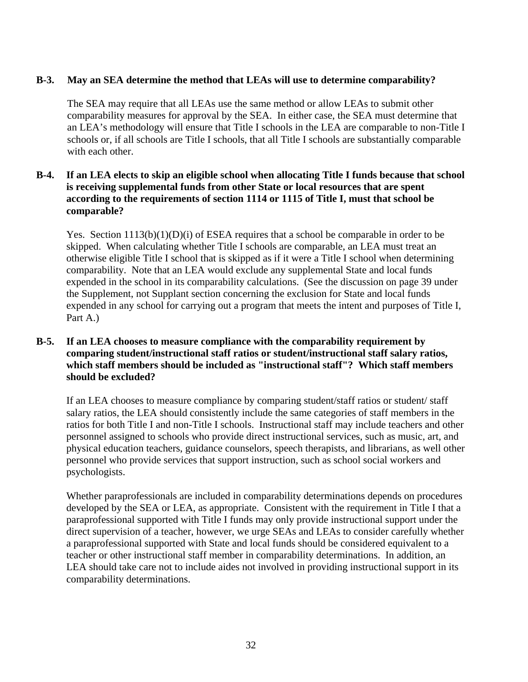#### **B-3. May an SEA determine the method that LEAs will use to determine comparability?**

 The SEA may require that all LEAs use the same method or allow LEAs to submit other comparability measures for approval by the SEA. In either case, the SEA must determine that an LEA's methodology will ensure that Title I schools in the LEA are comparable to non-Title I schools or, if all schools are Title I schools, that all Title I schools are substantially comparable with each other.

# **B-4. If an LEA elects to skip an eligible school when allocating Title I funds because that school is receiving supplemental funds from other State or local resources that are spent according to the requirements of section 1114 or 1115 of Title I, must that school be comparable?**

Yes. Section 1113(b)(1)(D)(i) of ESEA requires that a school be comparable in order to be skipped. When calculating whether Title I schools are comparable, an LEA must treat an otherwise eligible Title I school that is skipped as if it were a Title I school when determining comparability. Note that an LEA would exclude any supplemental State and local funds expended in the school in its comparability calculations. (See the discussion on page 39 under the Supplement, not Supplant section concerning the exclusion for State and local funds expended in any school for carrying out a program that meets the intent and purposes of Title I, Part A.)

### **B-5. If an LEA chooses to measure compliance with the comparability requirement by comparing student/instructional staff ratios or student/instructional staff salary ratios, which staff members should be included as "instructional staff"? Which staff members should be excluded?**

 If an LEA chooses to measure compliance by comparing student/staff ratios or student/ staff salary ratios, the LEA should consistently include the same categories of staff members in the ratios for both Title I and non-Title I schools. Instructional staff may include teachers and other personnel assigned to schools who provide direct instructional services, such as music, art, and physical education teachers, guidance counselors, speech therapists, and librarians, as well other personnel who provide services that support instruction, such as school social workers and psychologists.

Whether paraprofessionals are included in comparability determinations depends on procedures developed by the SEA or LEA, as appropriate. Consistent with the requirement in Title I that a paraprofessional supported with Title I funds may only provide instructional support under the direct supervision of a teacher, however, we urge SEAs and LEAs to consider carefully whether a paraprofessional supported with State and local funds should be considered equivalent to a teacher or other instructional staff member in comparability determinations. In addition, an LEA should take care not to include aides not involved in providing instructional support in its comparability determinations.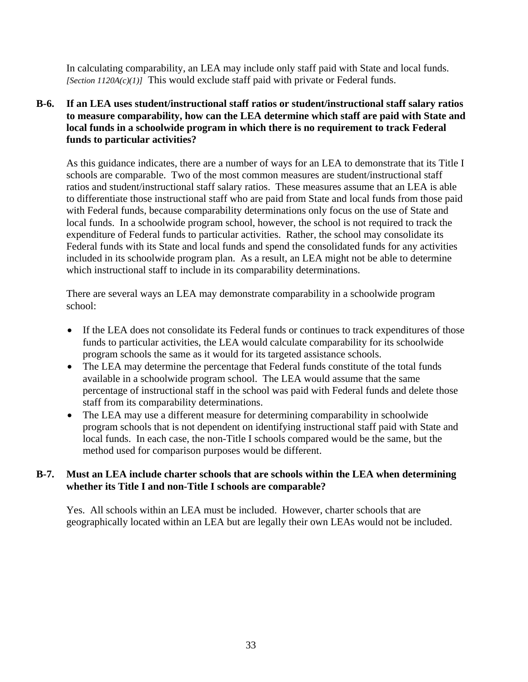In calculating comparability, an LEA may include only staff paid with State and local funds. *[Section 1120A(c)(1)]* This would exclude staff paid with private or Federal funds.

**B-6. If an LEA uses student/instructional staff ratios or student/instructional staff salary ratios to measure comparability, how can the LEA determine which staff are paid with State and local funds in a schoolwide program in which there is no requirement to track Federal funds to particular activities?**

 As this guidance indicates, there are a number of ways for an LEA to demonstrate that its Title I schools are comparable. Two of the most common measures are student/instructional staff ratios and student/instructional staff salary ratios. These measures assume that an LEA is able to differentiate those instructional staff who are paid from State and local funds from those paid with Federal funds, because comparability determinations only focus on the use of State and local funds. In a schoolwide program school, however, the school is not required to track the expenditure of Federal funds to particular activities. Rather, the school may consolidate its Federal funds with its State and local funds and spend the consolidated funds for any activities included in its schoolwide program plan. As a result, an LEA might not be able to determine which instructional staff to include in its comparability determinations.

There are several ways an LEA may demonstrate comparability in a schoolwide program school:

- If the LEA does not consolidate its Federal funds or continues to track expenditures of those funds to particular activities, the LEA would calculate comparability for its schoolwide program schools the same as it would for its targeted assistance schools.
- The LEA may determine the percentage that Federal funds constitute of the total funds available in a schoolwide program school. The LEA would assume that the same percentage of instructional staff in the school was paid with Federal funds and delete those staff from its comparability determinations.
- The LEA may use a different measure for determining comparability in schoolwide program schools that is not dependent on identifying instructional staff paid with State and local funds. In each case, the non-Title I schools compared would be the same, but the method used for comparison purposes would be different.

#### **B-7. Must an LEA include charter schools that are schools within the LEA when determining whether its Title I and non-Title I schools are comparable?**

 Yes. All schools within an LEA must be included. However, charter schools that are geographically located within an LEA but are legally their own LEAs would not be included.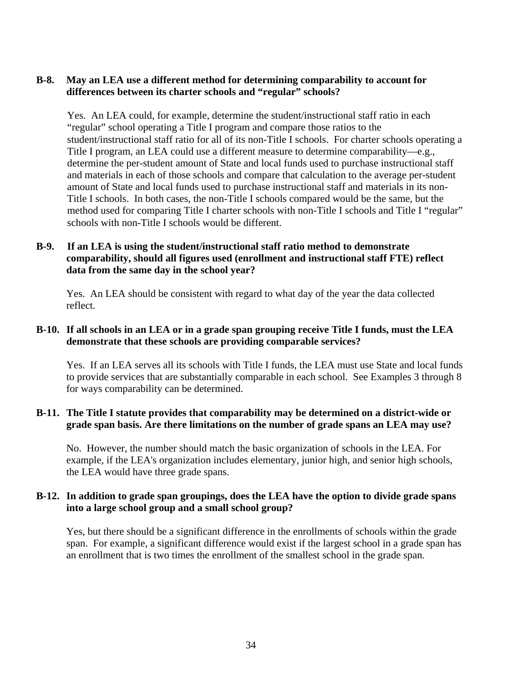### **B-8. May an LEA use a different method for determining comparability to account for differences between its charter schools and "regular" schools?**

 Yes. An LEA could, for example, determine the student/instructional staff ratio in each "regular" school operating a Title I program and compare those ratios to the student/instructional staff ratio for all of its non-Title I schools. For charter schools operating a Title I program, an LEA could use a different measure to determine comparability—e.g., determine the per-student amount of State and local funds used to purchase instructional staff and materials in each of those schools and compare that calculation to the average per-student amount of State and local funds used to purchase instructional staff and materials in its non-Title I schools. In both cases, the non-Title I schools compared would be the same, but the method used for comparing Title I charter schools with non-Title I schools and Title I "regular" schools with non-Title I schools would be different.

# **B-9. If an LEA is using the student/instructional staff ratio method to demonstrate comparability, should all figures used (enrollment and instructional staff FTE) reflect data from the same day in the school year?**

Yes. An LEA should be consistent with regard to what day of the year the data collected reflect.

#### **B-10. If all schools in an LEA or in a grade span grouping receive Title I funds, must the LEA demonstrate that these schools are providing comparable services?**

 Yes. If an LEA serves all its schools with Title I funds, the LEA must use State and local funds to provide services that are substantially comparable in each school. See Examples 3 through 8 for ways comparability can be determined.

#### **B-11. The Title I statute provides that comparability may be determined on a district-wide or grade span basis. Are there limitations on the number of grade spans an LEA may use?**

 No. However, the number should match the basic organization of schools in the LEA. For example, if the LEA's organization includes elementary, junior high, and senior high schools, the LEA would have three grade spans.

#### **B-12. In addition to grade span groupings, does the LEA have the option to divide grade spans into a large school group and a small school group?**

 Yes, but there should be a significant difference in the enrollments of schools within the grade span. For example, a significant difference would exist if the largest school in a grade span has an enrollment that is two times the enrollment of the smallest school in the grade span.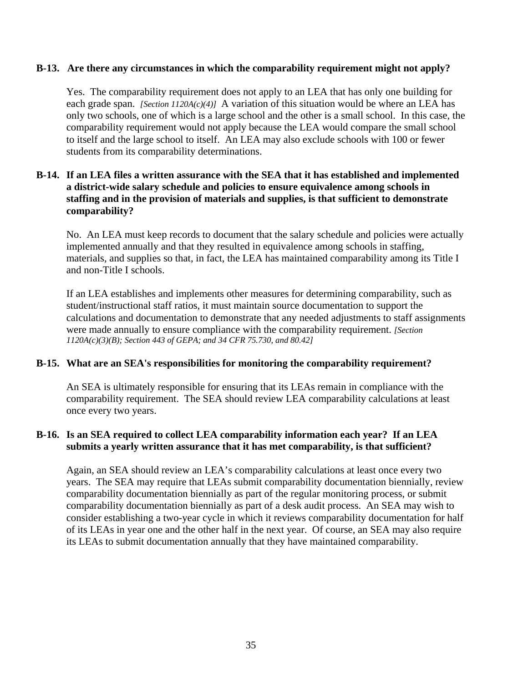#### **B-13. Are there any circumstances in which the comparability requirement might not apply?**

Yes. The comparability requirement does not apply to an LEA that has only one building for each grade span. *[Section 1120A(c)(4)]* A variation of this situation would be where an LEA has only two schools, one of which is a large school and the other is a small school. In this case, the comparability requirement would not apply because the LEA would compare the small school to itself and the large school to itself. An LEA may also exclude schools with 100 or fewer students from its comparability determinations.

### **B-14. If an LEA files a written assurance with the SEA that it has established and implemented a district-wide salary schedule and policies to ensure equivalence among schools in staffing and in the provision of materials and supplies, is that sufficient to demonstrate comparability?**

 No. An LEA must keep records to document that the salary schedule and policies were actually implemented annually and that they resulted in equivalence among schools in staffing, materials, and supplies so that, in fact, the LEA has maintained comparability among its Title I and non-Title I schools.

If an LEA establishes and implements other measures for determining comparability, such as student/instructional staff ratios, it must maintain source documentation to support the calculations and documentation to demonstrate that any needed adjustments to staff assignments were made annually to ensure compliance with the comparability requirement. *[Section 1120A(c)(3)(B); Section 443 of GEPA; and 34 CFR 75.730, and 80.42]* 

#### **B-15. What are an SEA's responsibilities for monitoring the comparability requirement?**

 An SEA is ultimately responsible for ensuring that its LEAs remain in compliance with the comparability requirement. The SEA should review LEA comparability calculations at least once every two years.

# **B-16. Is an SEA required to collect LEA comparability information each year? If an LEA submits a yearly written assurance that it has met comparability, is that sufficient?**

Again, an SEA should review an LEA's comparability calculations at least once every two years. The SEA may require that LEAs submit comparability documentation biennially, review comparability documentation biennially as part of the regular monitoring process, or submit comparability documentation biennially as part of a desk audit process. An SEA may wish to consider establishing a two-year cycle in which it reviews comparability documentation for half of its LEAs in year one and the other half in the next year. Of course, an SEA may also require its LEAs to submit documentation annually that they have maintained comparability.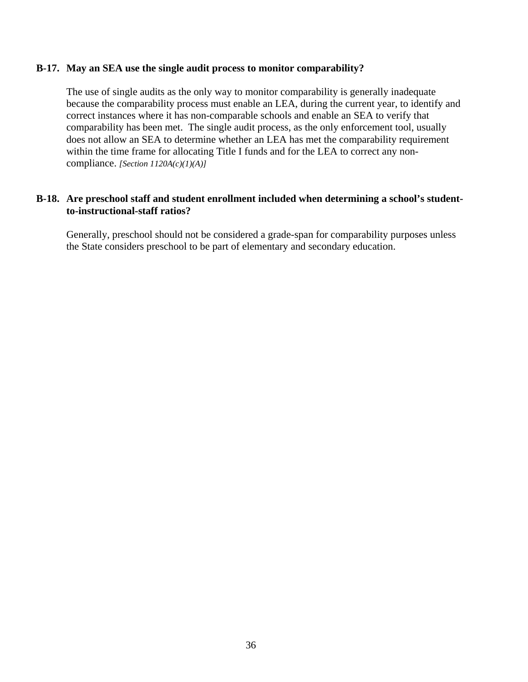#### **B-17. May an SEA use the single audit process to monitor comparability?**

The use of single audits as the only way to monitor comparability is generally inadequate because the comparability process must enable an LEA, during the current year, to identify and correct instances where it has non-comparable schools and enable an SEA to verify that comparability has been met. The single audit process, as the only enforcement tool, usually does not allow an SEA to determine whether an LEA has met the comparability requirement within the time frame for allocating Title I funds and for the LEA to correct any noncompliance. *[Section 1120A(c)(1)(A)]* 

#### **B-18. Are preschool staff and student enrollment included when determining a school's studentto-instructional-staff ratios?**

 Generally, preschool should not be considered a grade-span for comparability purposes unless the State considers preschool to be part of elementary and secondary education.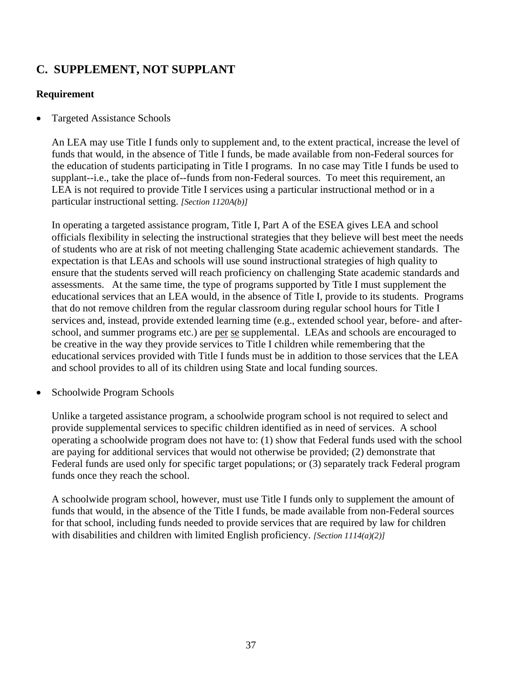# **C. SUPPLEMENT, NOT SUPPLANT**

# **Requirement**

• Targeted Assistance Schools

An LEA may use Title I funds only to supplement and, to the extent practical, increase the level of funds that would, in the absence of Title I funds, be made available from non-Federal sources for the education of students participating in Title I programs. In no case may Title I funds be used to supplant--i.e., take the place of--funds from non-Federal sources. To meet this requirement, an LEA is not required to provide Title I services using a particular instructional method or in a particular instructional setting. *[Section 1120A(b)]* 

In operating a targeted assistance program, Title I, Part A of the ESEA gives LEA and school officials flexibility in selecting the instructional strategies that they believe will best meet the needs of students who are at risk of not meeting challenging State academic achievement standards. The expectation is that LEAs and schools will use sound instructional strategies of high quality to ensure that the students served will reach proficiency on challenging State academic standards and assessments. At the same time, the type of programs supported by Title I must supplement the educational services that an LEA would, in the absence of Title I, provide to its students. Programs that do not remove children from the regular classroom during regular school hours for Title I services and, instead, provide extended learning time (e.g., extended school year, before- and afterschool, and summer programs etc.) are per se supplemental. LEAs and schools are encouraged to be creative in the way they provide services to Title I children while remembering that the educational services provided with Title I funds must be in addition to those services that the LEA and school provides to all of its children using State and local funding sources.

• Schoolwide Program Schools

Unlike a targeted assistance program, a schoolwide program school is not required to select and provide supplemental services to specific children identified as in need of services. A school operating a schoolwide program does not have to: (1) show that Federal funds used with the school are paying for additional services that would not otherwise be provided; (2) demonstrate that Federal funds are used only for specific target populations; or (3) separately track Federal program funds once they reach the school.

A schoolwide program school, however, must use Title I funds only to supplement the amount of funds that would, in the absence of the Title I funds, be made available from non-Federal sources for that school, including funds needed to provide services that are required by law for children with disabilities and children with limited English proficiency. *[Section 1114(a)(2)]*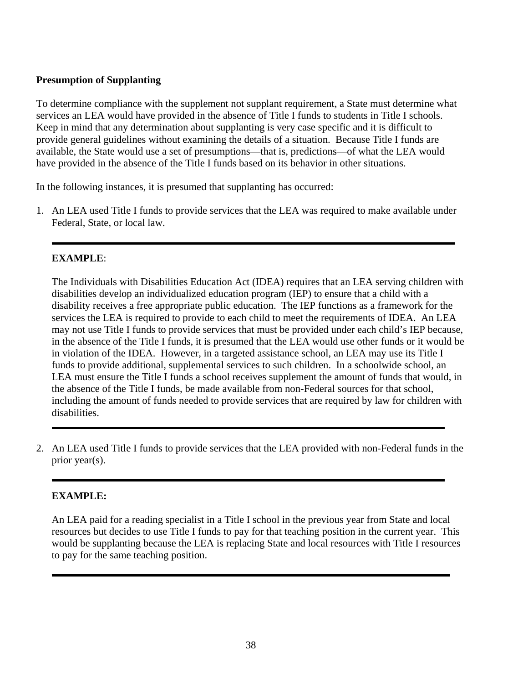# **Presumption of Supplanting**

To determine compliance with the supplement not supplant requirement, a State must determine what services an LEA would have provided in the absence of Title I funds to students in Title I schools. Keep in mind that any determination about supplanting is very case specific and it is difficult to provide general guidelines without examining the details of a situation. Because Title I funds are available, the State would use a set of presumptions—that is, predictions—of what the LEA would have provided in the absence of the Title I funds based on its behavior in other situations.

In the following instances, it is presumed that supplanting has occurred:

1. An LEA used Title I funds to provide services that the LEA was required to make available under Federal, State, or local law.

# **EXAMPLE**:

The Individuals with Disabilities Education Act (IDEA) requires that an LEA serving children with disabilities develop an individualized education program (IEP) to ensure that a child with a disability receives a free appropriate public education. The IEP functions as a framework for the services the LEA is required to provide to each child to meet the requirements of IDEA. An LEA may not use Title I funds to provide services that must be provided under each child's IEP because, in the absence of the Title I funds, it is presumed that the LEA would use other funds or it would be in violation of the IDEA. However, in a targeted assistance school, an LEA may use its Title I funds to provide additional, supplemental services to such children. In a schoolwide school, an LEA must ensure the Title I funds a school receives supplement the amount of funds that would, in the absence of the Title I funds, be made available from non-Federal sources for that school, including the amount of funds needed to provide services that are required by law for children with disabilities.

2. An LEA used Title I funds to provide services that the LEA provided with non-Federal funds in the prior year(s).

# **EXAMPLE:**

ı

An LEA paid for a reading specialist in a Title I school in the previous year from State and local resources but decides to use Title I funds to pay for that teaching position in the current year. This would be supplanting because the LEA is replacing State and local resources with Title I resources to pay for the same teaching position.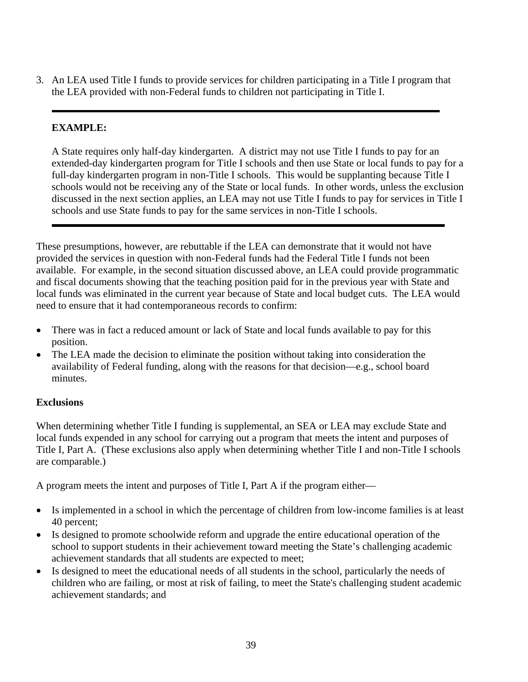3. An LEA used Title I funds to provide services for children participating in a Title I program that the LEA provided with non-Federal funds to children not participating in Title I.

# **EXAMPLE:**

 A State requires only half-day kindergarten. A district may not use Title I funds to pay for an extended-day kindergarten program for Title I schools and then use State or local funds to pay for a full-day kindergarten program in non-Title I schools. This would be supplanting because Title I schools would not be receiving any of the State or local funds. In other words, unless the exclusion discussed in the next section applies, an LEA may not use Title I funds to pay for services in Title I schools and use State funds to pay for the same services in non-Title I schools.

These presumptions, however, are rebuttable if the LEA can demonstrate that it would not have provided the services in question with non-Federal funds had the Federal Title I funds not been available. For example, in the second situation discussed above, an LEA could provide programmatic and fiscal documents showing that the teaching position paid for in the previous year with State and local funds was eliminated in the current year because of State and local budget cuts. The LEA would need to ensure that it had contemporaneous records to confirm:

- There was in fact a reduced amount or lack of State and local funds available to pay for this position.
- The LEA made the decision to eliminate the position without taking into consideration the availability of Federal funding, along with the reasons for that decision—e.g., school board minutes.

# **Exclusions**

When determining whether Title I funding is supplemental, an SEA or LEA may exclude State and local funds expended in any school for carrying out a program that meets the intent and purposes of Title I, Part A. (These exclusions also apply when determining whether Title I and non-Title I schools are comparable.)

A program meets the intent and purposes of Title I, Part A if the program either—

- Is implemented in a school in which the percentage of children from low-income families is at least 40 percent;
- Is designed to promote schoolwide reform and upgrade the entire educational operation of the school to support students in their achievement toward meeting the State's challenging academic achievement standards that all students are expected to meet;
- Is designed to meet the educational needs of all students in the school, particularly the needs of children who are failing, or most at risk of failing, to meet the State's challenging student academic achievement standards; and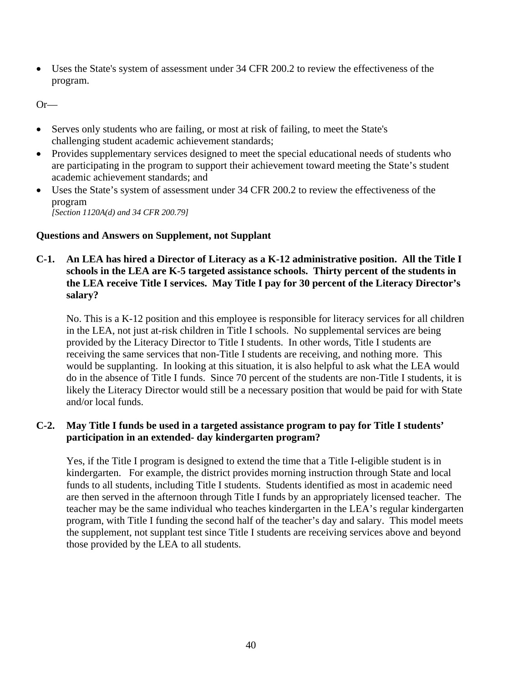• Uses the State's system of assessment under 34 CFR 200.2 to review the effectiveness of the program.

Or—

- Serves only students who are failing, or most at risk of failing, to meet the State's challenging student academic achievement standards;
- Provides supplementary services designed to meet the special educational needs of students who are participating in the program to support their achievement toward meeting the State's student academic achievement standards; and
- Uses the State's system of assessment under 34 CFR 200.2 to review the effectiveness of the program

*[Section 1120A(d) and 34 CFR 200.79]* 

#### **Questions and Answers on Supplement, not Supplant**

**C-1. An LEA has hired a Director of Literacy as a K-12 administrative position. All the Title I schools in the LEA are K-5 targeted assistance schools. Thirty percent of the students in the LEA receive Title I services. May Title I pay for 30 percent of the Literacy Director's salary?** 

 No. This is a K-12 position and this employee is responsible for literacy services for all children in the LEA, not just at-risk children in Title I schools. No supplemental services are being provided by the Literacy Director to Title I students. In other words, Title I students are receiving the same services that non-Title I students are receiving, and nothing more. This would be supplanting. In looking at this situation, it is also helpful to ask what the LEA would do in the absence of Title I funds. Since 70 percent of the students are non-Title I students, it is likely the Literacy Director would still be a necessary position that would be paid for with State and/or local funds.

# **C-2. May Title I funds be used in a targeted assistance program to pay for Title I students' participation in an extended- day kindergarten program?**

 Yes, if the Title I program is designed to extend the time that a Title I-eligible student is in kindergarten. For example, the district provides morning instruction through State and local funds to all students, including Title I students. Students identified as most in academic need are then served in the afternoon through Title I funds by an appropriately licensed teacher. The teacher may be the same individual who teaches kindergarten in the LEA's regular kindergarten program, with Title I funding the second half of the teacher's day and salary. This model meets the supplement, not supplant test since Title I students are receiving services above and beyond those provided by the LEA to all students.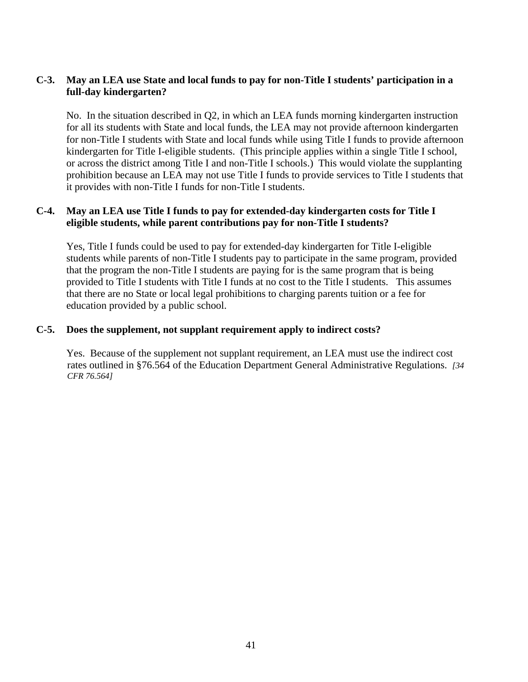# **C-3. May an LEA use State and local funds to pay for non-Title I students' participation in a full-day kindergarten?**

 No. In the situation described in Q2, in which an LEA funds morning kindergarten instruction for all its students with State and local funds, the LEA may not provide afternoon kindergarten for non-Title I students with State and local funds while using Title I funds to provide afternoon kindergarten for Title I-eligible students. (This principle applies within a single Title I school, or across the district among Title I and non-Title I schools.) This would violate the supplanting prohibition because an LEA may not use Title I funds to provide services to Title I students that it provides with non-Title I funds for non-Title I students.

### **C-4. May an LEA use Title I funds to pay for extended-day kindergarten costs for Title I eligible students, while parent contributions pay for non-Title I students?**

 Yes, Title I funds could be used to pay for extended-day kindergarten for Title I-eligible students while parents of non-Title I students pay to participate in the same program, provided that the program the non-Title I students are paying for is the same program that is being provided to Title I students with Title I funds at no cost to the Title I students. This assumes that there are no State or local legal prohibitions to charging parents tuition or a fee for education provided by a public school.

#### **C-5. Does the supplement, not supplant requirement apply to indirect costs?**

 Yes. Because of the supplement not supplant requirement, an LEA must use the indirect cost rates outlined in §76.564 of the Education Department General Administrative Regulations. *[34 CFR 76.564]*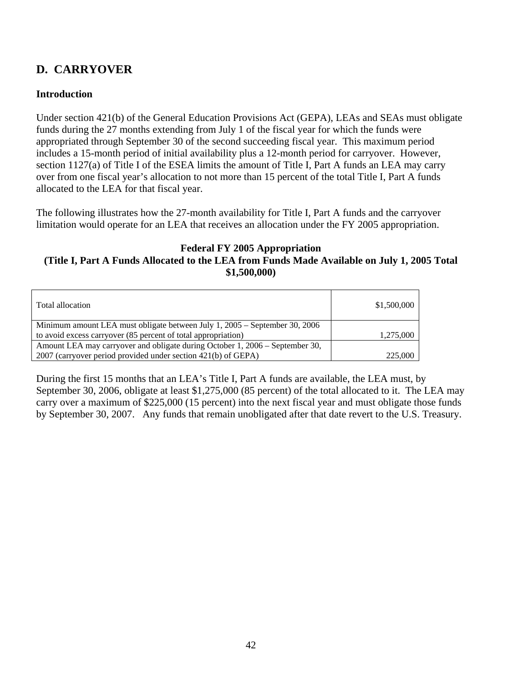# **D. CARRYOVER**

# **Introduction**

Under section 421(b) of the General Education Provisions Act (GEPA), LEAs and SEAs must obligate funds during the 27 months extending from July 1 of the fiscal year for which the funds were appropriated through September 30 of the second succeeding fiscal year. This maximum period includes a 15-month period of initial availability plus a 12-month period for carryover. However, section 1127(a) of Title I of the ESEA limits the amount of Title I, Part A funds an LEA may carry over from one fiscal year's allocation to not more than 15 percent of the total Title I, Part A funds allocated to the LEA for that fiscal year.

The following illustrates how the 27-month availability for Title I, Part A funds and the carryover limitation would operate for an LEA that receives an allocation under the FY 2005 appropriation.

#### **Federal FY 2005 Appropriation (Title I, Part A Funds Allocated to the LEA from Funds Made Available on July 1, 2005 Total \$1,500,000)**

| Total allocation                                                             | \$1,500,000 |
|------------------------------------------------------------------------------|-------------|
| Minimum amount LEA must obligate between July 1, 2005 – September 30, 2006   |             |
| to avoid excess carryover (85 percent of total appropriation)                | 1,275,000   |
| Amount LEA may carryover and obligate during October 1, 2006 – September 30, |             |
| 2007 (carryover period provided under section 421(b) of GEPA)                | 225,000     |

During the first 15 months that an LEA's Title I, Part A funds are available, the LEA must, by September 30, 2006, obligate at least \$1,275,000 (85 percent) of the total allocated to it. The LEA may carry over a maximum of \$225,000 (15 percent) into the next fiscal year and must obligate those funds by September 30, 2007. Any funds that remain unobligated after that date revert to the U.S. Treasury.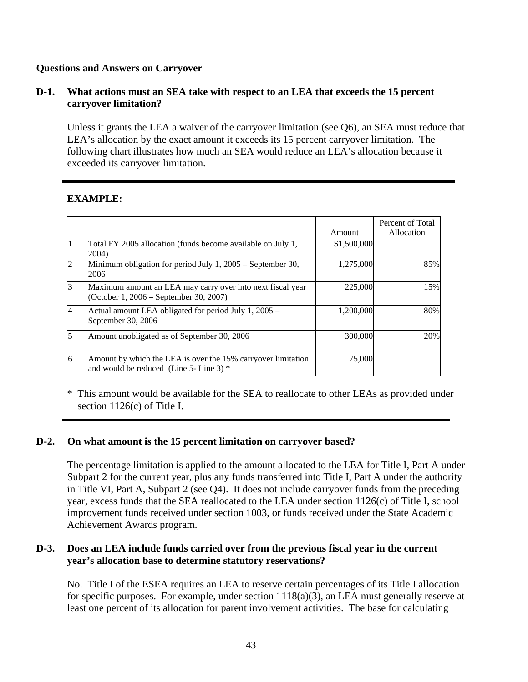# **Questions and Answers on Carryover**

### **D-1. What actions must an SEA take with respect to an LEA that exceeds the 15 percent carryover limitation?**

 Unless it grants the LEA a waiver of the carryover limitation (see Q6), an SEA must reduce that LEA's allocation by the exact amount it exceeds its 15 percent carryover limitation. The following chart illustrates how much an SEA would reduce an LEA's allocation because it exceeded its carryover limitation.

# **EXAMPLE:**

|                |                                                                                                         | Amount      | Percent of Total<br>Allocation |
|----------------|---------------------------------------------------------------------------------------------------------|-------------|--------------------------------|
|                | Total FY 2005 allocation (funds become available on July 1,<br>2004)                                    | \$1,500,000 |                                |
| $\overline{2}$ | Minimum obligation for period July 1, 2005 – September 30,<br>2006                                      | 1,275,000   | 85%                            |
| 3              | Maximum amount an LEA may carry over into next fiscal year<br>(October 1, 2006 – September 30, 2007)    | 225,000     | 15%                            |
| 4              | Actual amount LEA obligated for period July 1, 2005 -<br>September 30, 2006                             | 1,200,000   | 80%                            |
| 5              | Amount unobligated as of September 30, 2006                                                             | 300,000     | 20%                            |
| 6              | Amount by which the LEA is over the 15% carryover limitation<br>and would be reduced (Line 5- Line 3) * | 75,000      |                                |

\* This amount would be available for the SEA to reallocate to other LEAs as provided under section 1126(c) of Title I.

# **D-2. On what amount is the 15 percent limitation on carryover based?**

 The percentage limitation is applied to the amount allocated to the LEA for Title I, Part A under Subpart 2 for the current year, plus any funds transferred into Title I, Part A under the authority in Title VI, Part A, Subpart 2 (see Q4). It does not include carryover funds from the preceding year, excess funds that the SEA reallocated to the LEA under section 1126(c) of Title I, school improvement funds received under section 1003, or funds received under the State Academic Achievement Awards program.

#### **D-3. Does an LEA include funds carried over from the previous fiscal year in the current year's allocation base to determine statutory reservations?**

 No. Title I of the ESEA requires an LEA to reserve certain percentages of its Title I allocation for specific purposes. For example, under section 1118(a)(3), an LEA must generally reserve at least one percent of its allocation for parent involvement activities. The base for calculating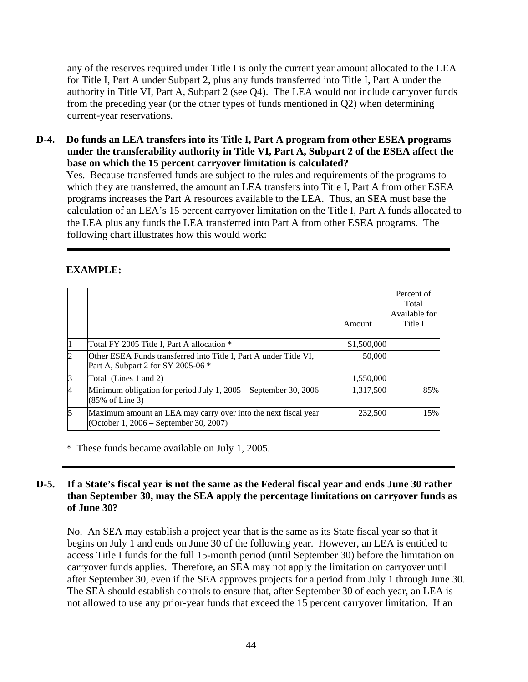any of the reserves required under Title I is only the current year amount allocated to the LEA for Title I, Part A under Subpart 2, plus any funds transferred into Title I, Part A under the authority in Title VI, Part A, Subpart 2 (see Q4). The LEA would not include carryover funds from the preceding year (or the other types of funds mentioned in Q2) when determining current-year reservations.

**D-4. Do funds an LEA transfers into its Title I, Part A program from other ESEA programs under the transferability authority in Title VI, Part A, Subpart 2 of the ESEA affect the base on which the 15 percent carryover limitation is calculated?** 

 Yes. Because transferred funds are subject to the rules and requirements of the programs to which they are transferred, the amount an LEA transfers into Title I, Part A from other ESEA programs increases the Part A resources available to the LEA. Thus, an SEA must base the calculation of an LEA's 15 percent carryover limitation on the Title I, Part A funds allocated to the LEA plus any funds the LEA transferred into Part A from other ESEA programs. The following chart illustrates how this would work:

# **EXAMPLE:**

|                |                                                                                                          | Amount      | Percent of<br>Total<br>Available for<br>Title I |
|----------------|----------------------------------------------------------------------------------------------------------|-------------|-------------------------------------------------|
| 1              | Total FY 2005 Title I, Part A allocation *                                                               | \$1,500,000 |                                                 |
| $\overline{c}$ | Other ESEA Funds transferred into Title I, Part A under Title VI,<br>Part A, Subpart 2 for SY 2005-06 *  | 50,000      |                                                 |
| 3              | Total (Lines 1 and 2)                                                                                    | 1,550,000   |                                                 |
| 4              | Minimum obligation for period July $1,2005$ – September 30, 2006<br>$(85\% \text{ of Line 3})$           | 1,317,500   | 85%                                             |
| 5              | Maximum amount an LEA may carry over into the next fiscal year<br>(October 1, 2006 – September 30, 2007) | 232,500     | 15%                                             |

\* These funds became available on July 1, 2005.

# **D-5. If a State's fiscal year is not the same as the Federal fiscal year and ends June 30 rather than September 30, may the SEA apply the percentage limitations on carryover funds as of June 30?**

 No. An SEA may establish a project year that is the same as its State fiscal year so that it begins on July 1 and ends on June 30 of the following year. However, an LEA is entitled to access Title I funds for the full 15-month period (until September 30) before the limitation on carryover funds applies. Therefore, an SEA may not apply the limitation on carryover until after September 30, even if the SEA approves projects for a period from July 1 through June 30. The SEA should establish controls to ensure that, after September 30 of each year, an LEA is not allowed to use any prior-year funds that exceed the 15 percent carryover limitation. If an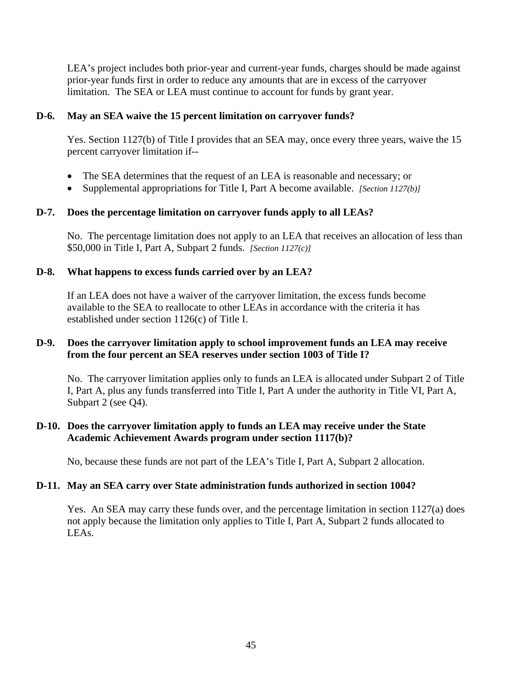LEA's project includes both prior-year and current-year funds, charges should be made against prior-year funds first in order to reduce any amounts that are in excess of the carryover limitation. The SEA or LEA must continue to account for funds by grant year.

#### **D-6. May an SEA waive the 15 percent limitation on carryover funds?**

Yes. Section 1127(b) of Title I provides that an SEA may, once every three years, waive the 15 percent carryover limitation if--

- The SEA determines that the request of an LEA is reasonable and necessary; or
- Supplemental appropriations for Title I, Part A become available. *[Section 1127(b)]*

# **D-7. Does the percentage limitation on carryover funds apply to all LEAs?**

 No. The percentage limitation does not apply to an LEA that receives an allocation of less than \$50,000 in Title I, Part A, Subpart 2 funds. *[Section 1127(c)]*

#### **D-8. What happens to excess funds carried over by an LEA?**

If an LEA does not have a waiver of the carryover limitation, the excess funds become available to the SEA to reallocate to other LEAs in accordance with the criteria it has established under section 1126(c) of Title I.

### **D-9. Does the carryover limitation apply to school improvement funds an LEA may receive from the four percent an SEA reserves under section 1003 of Title I?**

 No. The carryover limitation applies only to funds an LEA is allocated under Subpart 2 of Title I, Part A, plus any funds transferred into Title I, Part A under the authority in Title VI, Part A, Subpart 2 (see Q4).

### **D-10. Does the carryover limitation apply to funds an LEA may receive under the State Academic Achievement Awards program under section 1117(b)?**

No, because these funds are not part of the LEA's Title I, Part A, Subpart 2 allocation.

#### **D-11. May an SEA carry over State administration funds authorized in section 1004?**

Yes. An SEA may carry these funds over, and the percentage limitation in section 1127(a) does not apply because the limitation only applies to Title I, Part A, Subpart 2 funds allocated to LEAs.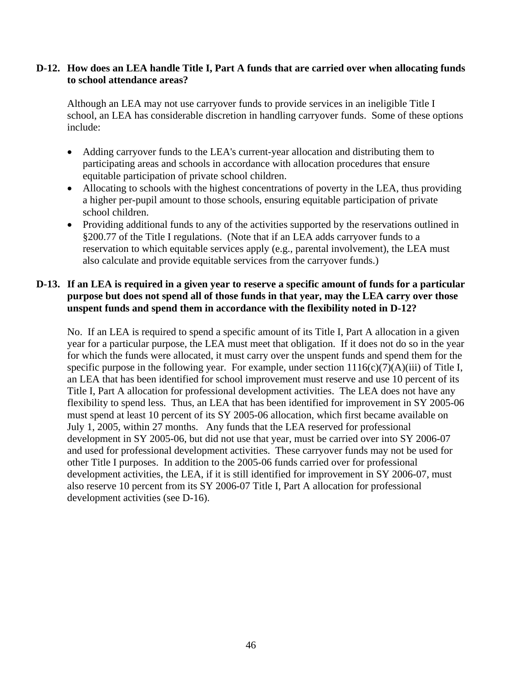#### **D-12. How does an LEA handle Title I, Part A funds that are carried over when allocating funds to school attendance areas?**

 Although an LEA may not use carryover funds to provide services in an ineligible Title I school, an LEA has considerable discretion in handling carryover funds. Some of these options include:

- Adding carryover funds to the LEA's current-year allocation and distributing them to participating areas and schools in accordance with allocation procedures that ensure equitable participation of private school children.
- Allocating to schools with the highest concentrations of poverty in the LEA, thus providing a higher per-pupil amount to those schools, ensuring equitable participation of private school children.
- Providing additional funds to any of the activities supported by the reservations outlined in §200.77 of the Title I regulations. (Note that if an LEA adds carryover funds to a reservation to which equitable services apply (e.g., parental involvement), the LEA must also calculate and provide equitable services from the carryover funds.)

#### **D-13. If an LEA is required in a given year to reserve a specific amount of funds for a particular purpose but does not spend all of those funds in that year, may the LEA carry over those unspent funds and spend them in accordance with the flexibility noted in D-12?**

 No. If an LEA is required to spend a specific amount of its Title I, Part A allocation in a given year for a particular purpose, the LEA must meet that obligation. If it does not do so in the year for which the funds were allocated, it must carry over the unspent funds and spend them for the specific purpose in the following year. For example, under section  $1116(c)(7)(A)(iii)$  of Title I, an LEA that has been identified for school improvement must reserve and use 10 percent of its Title I, Part A allocation for professional development activities. The LEA does not have any flexibility to spend less. Thus, an LEA that has been identified for improvement in SY 2005-06 must spend at least 10 percent of its SY 2005-06 allocation, which first became available on July 1, 2005, within 27 months. Any funds that the LEA reserved for professional development in SY 2005-06, but did not use that year, must be carried over into SY 2006-07 and used for professional development activities. These carryover funds may not be used for other Title I purposes. In addition to the 2005-06 funds carried over for professional development activities, the LEA, if it is still identified for improvement in SY 2006-07, must also reserve 10 percent from its SY 2006-07 Title I, Part A allocation for professional development activities (see D-16).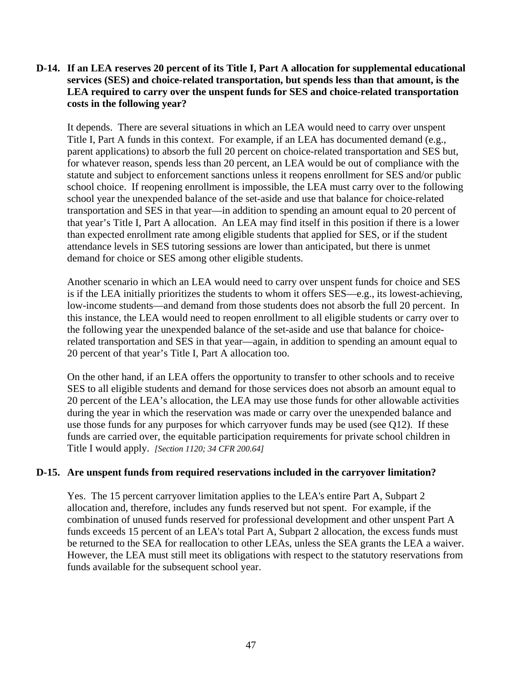#### **D-14. If an LEA reserves 20 percent of its Title I, Part A allocation for supplemental educational services (SES) and choice-related transportation, but spends less than that amount, is the LEA required to carry over the unspent funds for SES and choice-related transportation costs in the following year?**

 It depends. There are several situations in which an LEA would need to carry over unspent Title I, Part A funds in this context. For example, if an LEA has documented demand (e.g., parent applications) to absorb the full 20 percent on choice-related transportation and SES but, for whatever reason, spends less than 20 percent, an LEA would be out of compliance with the statute and subject to enforcement sanctions unless it reopens enrollment for SES and/or public school choice. If reopening enrollment is impossible, the LEA must carry over to the following school year the unexpended balance of the set-aside and use that balance for choice-related transportation and SES in that year—in addition to spending an amount equal to 20 percent of that year's Title I, Part A allocation. An LEA may find itself in this position if there is a lower than expected enrollment rate among eligible students that applied for SES, or if the student attendance levels in SES tutoring sessions are lower than anticipated, but there is unmet demand for choice or SES among other eligible students.

Another scenario in which an LEA would need to carry over unspent funds for choice and SES is if the LEA initially prioritizes the students to whom it offers SES—e.g., its lowest-achieving, low-income students—and demand from those students does not absorb the full 20 percent. In this instance, the LEA would need to reopen enrollment to all eligible students or carry over to the following year the unexpended balance of the set-aside and use that balance for choicerelated transportation and SES in that year—again, in addition to spending an amount equal to 20 percent of that year's Title I, Part A allocation too.

 On the other hand, if an LEA offers the opportunity to transfer to other schools and to receive SES to all eligible students and demand for those services does not absorb an amount equal to 20 percent of the LEA's allocation, the LEA may use those funds for other allowable activities during the year in which the reservation was made or carry over the unexpended balance and use those funds for any purposes for which carryover funds may be used (see Q12). If these funds are carried over, the equitable participation requirements for private school children in Title I would apply. *[Section 1120; 34 CFR 200.64]*

#### **D-15. Are unspent funds from required reservations included in the carryover limitation?**

 Yes. The 15 percent carryover limitation applies to the LEA's entire Part A, Subpart 2 allocation and, therefore, includes any funds reserved but not spent. For example, if the combination of unused funds reserved for professional development and other unspent Part A funds exceeds 15 percent of an LEA's total Part A, Subpart 2 allocation, the excess funds must be returned to the SEA for reallocation to other LEAs, unless the SEA grants the LEA a waiver. However, the LEA must still meet its obligations with respect to the statutory reservations from funds available for the subsequent school year.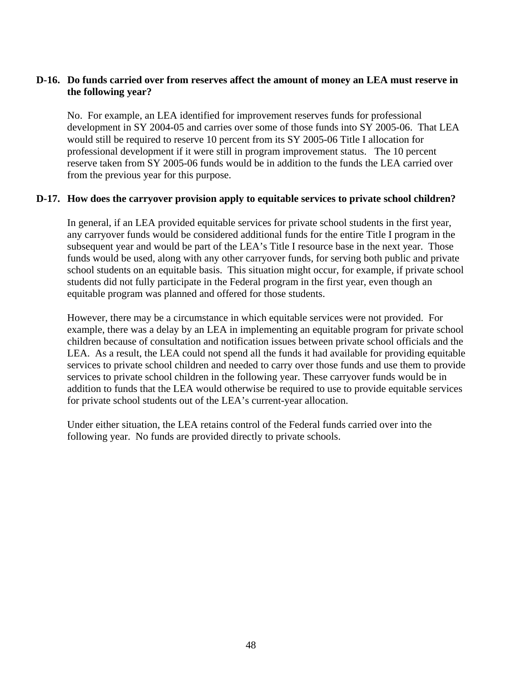### **D-16. Do funds carried over from reserves affect the amount of money an LEA must reserve in the following year?**

 No. For example, an LEA identified for improvement reserves funds for professional development in SY 2004-05 and carries over some of those funds into SY 2005-06. That LEA would still be required to reserve 10 percent from its SY 2005-06 Title I allocation for professional development if it were still in program improvement status. The 10 percent reserve taken from SY 2005-06 funds would be in addition to the funds the LEA carried over from the previous year for this purpose.

#### **D-17. How does the carryover provision apply to equitable services to private school children?**

 In general, if an LEA provided equitable services for private school students in the first year, any carryover funds would be considered additional funds for the entire Title I program in the subsequent year and would be part of the LEA's Title I resource base in the next year. Those funds would be used, along with any other carryover funds, for serving both public and private school students on an equitable basis. This situation might occur, for example, if private school students did not fully participate in the Federal program in the first year, even though an equitable program was planned and offered for those students.

 However, there may be a circumstance in which equitable services were not provided. For example, there was a delay by an LEA in implementing an equitable program for private school children because of consultation and notification issues between private school officials and the LEA. As a result, the LEA could not spend all the funds it had available for providing equitable services to private school children and needed to carry over those funds and use them to provide services to private school children in the following year. These carryover funds would be in addition to funds that the LEA would otherwise be required to use to provide equitable services for private school students out of the LEA's current-year allocation.

 Under either situation, the LEA retains control of the Federal funds carried over into the following year. No funds are provided directly to private schools.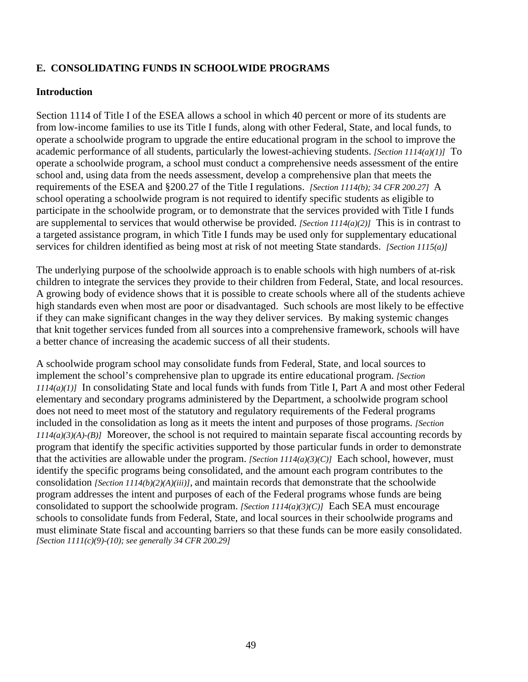# **E. CONSOLIDATING FUNDS IN SCHOOLWIDE PROGRAMS**

#### **Introduction**

Section 1114 of Title I of the ESEA allows a school in which 40 percent or more of its students are from low-income families to use its Title I funds, along with other Federal, State, and local funds, to operate a schoolwide program to upgrade the entire educational program in the school to improve the academic performance of all students, particularly the lowest-achieving students. *[Section 1114(a)(1)]* To operate a schoolwide program, a school must conduct a comprehensive needs assessment of the entire school and, using data from the needs assessment, develop a comprehensive plan that meets the requirements of the ESEA and §200.27 of the Title I regulations. *[Section 1114(b); 34 CFR 200.27]* A school operating a schoolwide program is not required to identify specific students as eligible to participate in the schoolwide program, or to demonstrate that the services provided with Title I funds are supplemental to services that would otherwise be provided. *[Section 1114(a)(2)]* This is in contrast to a targeted assistance program, in which Title I funds may be used only for supplementary educational services for children identified as being most at risk of not meeting State standards. *[Section 1115(a)]*

The underlying purpose of the schoolwide approach is to enable schools with high numbers of at-risk children to integrate the services they provide to their children from Federal, State, and local resources. A growing body of evidence shows that it is possible to create schools where all of the students achieve high standards even when most are poor or disadvantaged. Such schools are most likely to be effective if they can make significant changes in the way they deliver services. By making systemic changes that knit together services funded from all sources into a comprehensive framework, schools will have a better chance of increasing the academic success of all their students.

A schoolwide program school may consolidate funds from Federal, State, and local sources to implement the school's comprehensive plan to upgrade its entire educational program. *[Section 1114(a)(1)]* In consolidating State and local funds with funds from Title I, Part A and most other Federal elementary and secondary programs administered by the Department, a schoolwide program school does not need to meet most of the statutory and regulatory requirements of the Federal programs included in the consolidation as long as it meets the intent and purposes of those programs. *[Section 1114(a)(3)(A)-(B)]* Moreover, the school is not required to maintain separate fiscal accounting records by program that identify the specific activities supported by those particular funds in order to demonstrate that the activities are allowable under the program. *[Section 1114(a)(3)(C)]* Each school, however, must identify the specific programs being consolidated, and the amount each program contributes to the consolidation *[Section 1114(b)(2)(A)(iii)],* and maintain records that demonstrate that the schoolwide program addresses the intent and purposes of each of the Federal programs whose funds are being consolidated to support the schoolwide program. *[Section 1114(a)(3)(C)]* Each SEA must encourage schools to consolidate funds from Federal, State, and local sources in their schoolwide programs and must eliminate State fiscal and accounting barriers so that these funds can be more easily consolidated. *[Section 1111(c)(9)-(10); see generally 34 CFR 200.29]*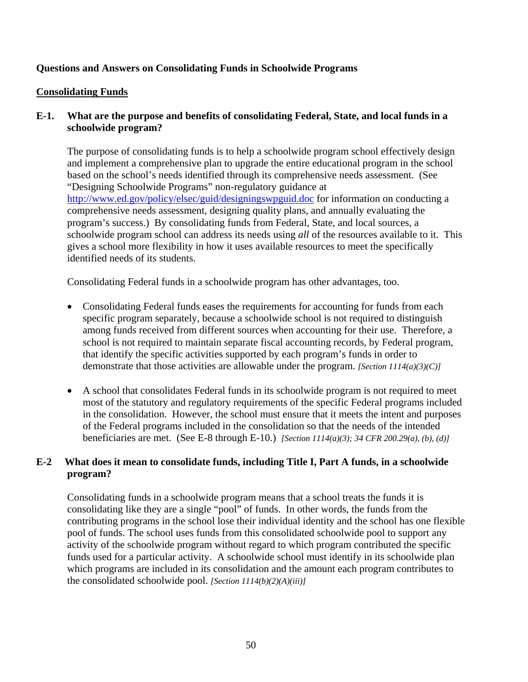# **Questions and Answers on Consolidating Funds in Schoolwide Programs**

### **Consolidating Funds**

# **E-1. What are the purpose and benefits of consolidating Federal, State, and local funds in a schoolwide program?**

The purpose of consolidating funds is to help a schoolwide program school effectively design and implement a comprehensive plan to upgrade the entire educational program in the school based on the school's needs identified through its comprehensive needs assessment. (See "Designing Schoolwide Programs" non-regulatory guidance at <http://www.ed.gov/policy/elsec/guid/designingswpguid.doc> for information on conducting a comprehensive needs assessment, designing quality plans, and annually evaluating the program's success.) By consolidating funds from Federal, State, and local sources, a schoolwide program school can address its needs using *all* of the resources available to it. This gives a school more flexibility in how it uses available resources to meet the specifically identified needs of its students.

Consolidating Federal funds in a schoolwide program has other advantages, too.

- Consolidating Federal funds eases the requirements for accounting for funds from each specific program separately, because a schoolwide school is not required to distinguish among funds received from different sources when accounting for their use. Therefore, a school is not required to maintain separate fiscal accounting records, by Federal program, that identify the specific activities supported by each program's funds in order to demonstrate that those activities are allowable under the program. *[Section 1114(a)(3)(C)]*
- A school that consolidates Federal funds in its schoolwide program is not required to meet most of the statutory and regulatory requirements of the specific Federal programs included in the consolidation. However, the school must ensure that it meets the intent and purposes of the Federal programs included in the consolidation so that the needs of the intended beneficiaries are met. (See E-8 through E-10.) *[Section 1114(a)(3); 34 CFR 200.29(a), (b), (d)]*

# **E-2 What does it mean to consolidate funds, including Title I, Part A funds, in a schoolwide program?**

Consolidating funds in a schoolwide program means that a school treats the funds it is consolidating like they are a single "pool" of funds. In other words, the funds from the contributing programs in the school lose their individual identity and the school has one flexible pool of funds. The school uses funds from this consolidated schoolwide pool to support any activity of the schoolwide program without regard to which program contributed the specific funds used for a particular activity. A schoolwide school must identify in its schoolwide plan which programs are included in its consolidation and the amount each program contributes to the consolidated schoolwide pool. *[Section 1114(b)(2)(A)(iii)]*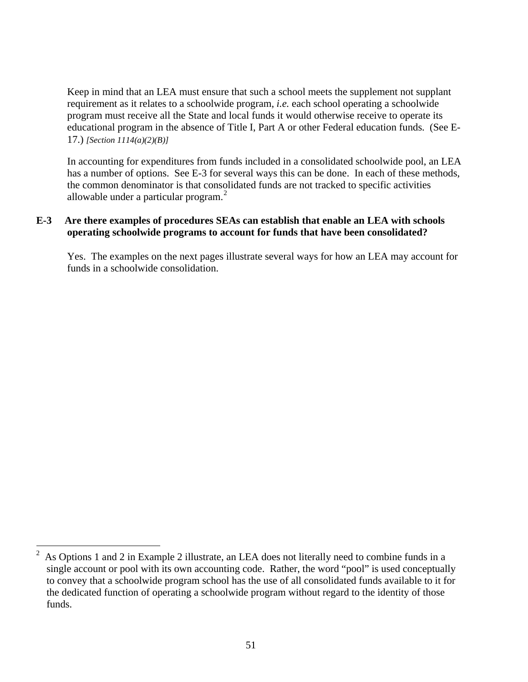Keep in mind that an LEA must ensure that such a school meets the supplement not supplant requirement as it relates to a schoolwide program, *i.e.* each school operating a schoolwide program must receive all the State and local funds it would otherwise receive to operate its educational program in the absence of Title I, Part A or other Federal education funds. (See E-17.) *[Section 1114(a)(2)(B)]*

In accounting for expenditures from funds included in a consolidated schoolwide pool, an LEA has a number of options. See E-3 for several ways this can be done. In each of these methods, the common denominator is that consolidated funds are not tracked to specific activities allowable under a particular program. $<sup>2</sup>$  $<sup>2</sup>$  $<sup>2</sup>$ </sup>

### **E-3 Are there examples of procedures SEAs can establish that enable an LEA with schools operating schoolwide programs to account for funds that have been consolidated?**

Yes. The examples on the next pages illustrate several ways for how an LEA may account for funds in a schoolwide consolidation.

<span id="page-50-0"></span> $\frac{1}{2}$  As Options 1 and 2 in Example 2 illustrate, an LEA does not literally need to combine funds in a single account or pool with its own accounting code. Rather, the word "pool" is used conceptually to convey that a schoolwide program school has the use of all consolidated funds available to it for the dedicated function of operating a schoolwide program without regard to the identity of those funds.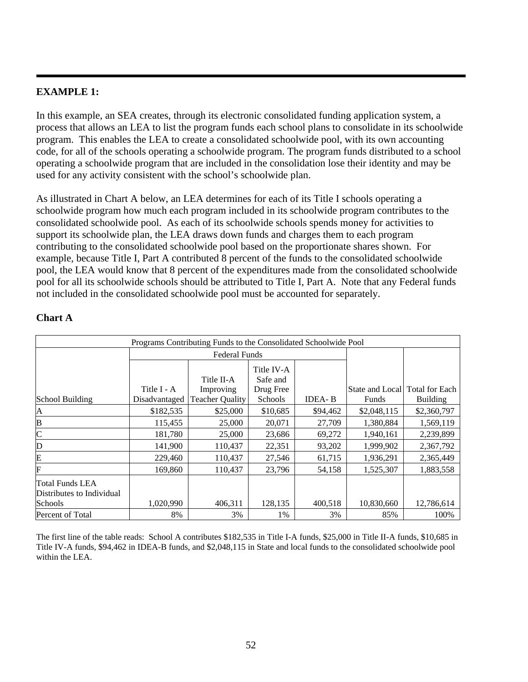# **EXAMPLE 1:**

In this example, an SEA creates, through its electronic consolidated funding application system, a process that allows an LEA to list the program funds each school plans to consolidate in its schoolwide program. This enables the LEA to create a consolidated schoolwide pool, with its own accounting code, for all of the schools operating a schoolwide program. The program funds distributed to a school operating a schoolwide program that are included in the consolidation lose their identity and may be used for any activity consistent with the school's schoolwide plan.

As illustrated in Chart A below, an LEA determines for each of its Title I schools operating a schoolwide program how much each program included in its schoolwide program contributes to the consolidated schoolwide pool. As each of its schoolwide schools spends money for activities to support its schoolwide plan, the LEA draws down funds and charges them to each program contributing to the consolidated schoolwide pool based on the proportionate shares shown. For example, because Title I, Part A contributed 8 percent of the funds to the consolidated schoolwide pool, the LEA would know that 8 percent of the expenditures made from the consolidated schoolwide pool for all its schoolwide schools should be attributed to Title I, Part A. Note that any Federal funds not included in the consolidated schoolwide pool must be accounted for separately.

| Programs Contributing Funds to the Consolidated Schoolwide Pool |               |                        |                        |               |                                |                 |
|-----------------------------------------------------------------|---------------|------------------------|------------------------|---------------|--------------------------------|-----------------|
|                                                                 |               | <b>Federal Funds</b>   |                        |               |                                |                 |
|                                                                 |               | Title II-A             | Title IV-A<br>Safe and |               |                                |                 |
|                                                                 | Title I - A   | Improving              | Drug Free              |               | State and Local Total for Each |                 |
| School Building                                                 | Disadvantaged | <b>Teacher Quality</b> | Schools                | <b>IDEA-B</b> | Funds                          | <b>Building</b> |
| A                                                               | \$182,535     | \$25,000               | \$10,685               | \$94,462      | \$2,048,115                    | \$2,360,797     |
| B                                                               | 115,455       | 25,000                 | 20,071                 | 27,709        | 1,380,884                      | 1,569,119       |
| $\mathsf{C}$                                                    | 181,780       | 25,000                 | 23,686                 | 69,272        | 1,940,161                      | 2,239,899       |
| D                                                               | 141,900       | 110,437                | 22,351                 | 93,202        | 1,999,902                      | 2,367,792       |
| E                                                               | 229,460       | 110.437                | 27,546                 | 61,715        | 1,936,291                      | 2,365,449       |
| F                                                               | 169,860       | 110,437                | 23,796                 | 54,158        | 1,525,307                      | 1,883,558       |
| Total Funds LEA<br>Distributes to Individual<br>Schools         | 1,020,990     | 406,311                | 128,135                | 400,518       | 10,830,660                     | 12,786,614      |
| Percent of Total                                                | 8%            | 3%                     | 1%                     | 3%            | 85%                            | 100%            |

# **Chart A**

The first line of the table reads: School A contributes \$182,535 in Title I-A funds, \$25,000 in Title II-A funds, \$10,685 in Title IV-A funds, \$94,462 in IDEA-B funds, and \$2,048,115 in State and local funds to the consolidated schoolwide pool within the LEA.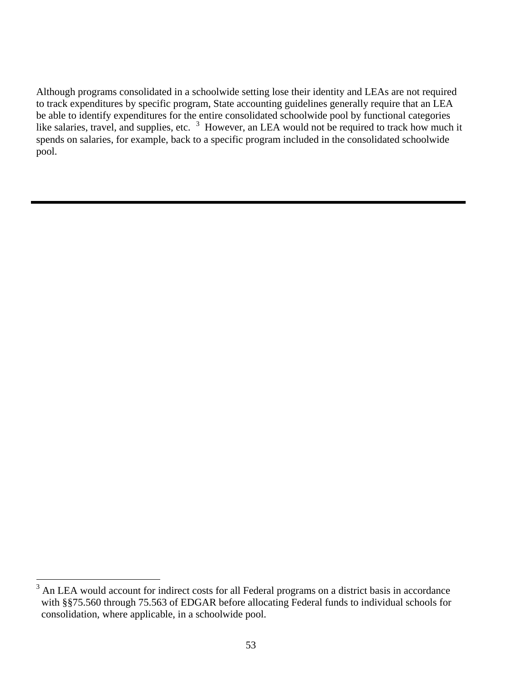Although programs consolidated in a schoolwide setting lose their identity and LEAs are not required to track expenditures by specific program, State accounting guidelines generally require that an LEA be able to identify expenditures for the entire consolidated schoolwide pool by functional categories like salaries, travel, and supplies, etc. <sup>[3](#page-52-0)</sup> However, an LEA would not be required to track how much it spends on salaries, for example, back to a specific program included in the consolidated schoolwide pool.

 $\overline{a}$ 

<span id="page-52-0"></span><sup>3</sup> An LEA would account for indirect costs for all Federal programs on a district basis in accordance with §§75.560 through 75.563 of EDGAR before allocating Federal funds to individual schools for consolidation, where applicable, in a schoolwide pool.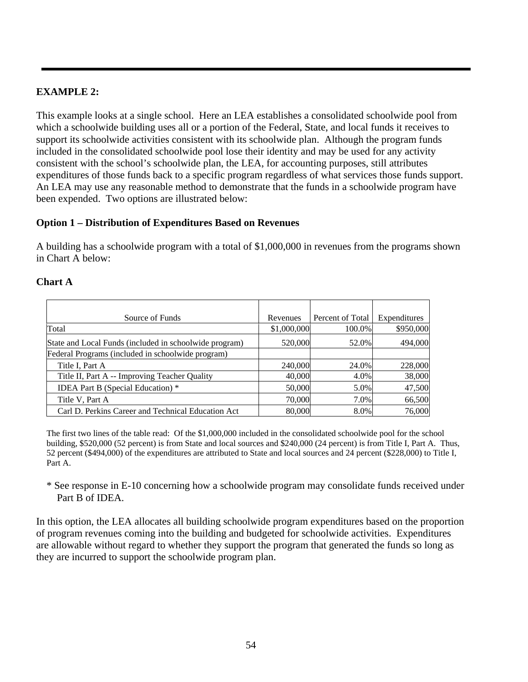# **EXAMPLE 2:**

This example looks at a single school. Here an LEA establishes a consolidated schoolwide pool from which a schoolwide building uses all or a portion of the Federal, State, and local funds it receives to support its schoolwide activities consistent with its schoolwide plan. Although the program funds included in the consolidated schoolwide pool lose their identity and may be used for any activity consistent with the school's schoolwide plan, the LEA, for accounting purposes, still attributes expenditures of those funds back to a specific program regardless of what services those funds support. An LEA may use any reasonable method to demonstrate that the funds in a schoolwide program have been expended. Two options are illustrated below:

# **Option 1 – Distribution of Expenditures Based on Revenues**

A building has a schoolwide program with a total of \$1,000,000 in revenues from the programs shown in Chart A below:

#### **Chart A**

| Source of Funds                                        | Revenues    | Percent of Total | Expenditures |
|--------------------------------------------------------|-------------|------------------|--------------|
| Total                                                  | \$1,000,000 | 100.0%           | \$950,000    |
| State and Local Funds (included in schoolwide program) | 520,000     | 52.0%            | 494,000      |
| Federal Programs (included in schoolwide program)      |             |                  |              |
| Title I, Part A                                        | 240,000     | 24.0%            | 228,000      |
| Title II, Part A -- Improving Teacher Quality          | 40,000      | 4.0%             | 38,000       |
| <b>IDEA Part B (Special Education)</b> *               | 50,000      | 5.0%             | 47,500       |
| Title V, Part A                                        | 70,000      | 7.0%             | 66,500       |
| Carl D. Perkins Career and Technical Education Act     | 80,000      | 8.0%             | 76,000       |

The first two lines of the table read: Of the \$1,000,000 included in the consolidated schoolwide pool for the school building, \$520,000 (52 percent) is from State and local sources and \$240,000 (24 percent) is from Title I, Part A. Thus, 52 percent (\$494,000) of the expenditures are attributed to State and local sources and 24 percent (\$228,000) to Title I, Part A.

\* See response in E-10 concerning how a schoolwide program may consolidate funds received under Part B of IDEA.

In this option, the LEA allocates all building schoolwide program expenditures based on the proportion of program revenues coming into the building and budgeted for schoolwide activities. Expenditures are allowable without regard to whether they support the program that generated the funds so long as they are incurred to support the schoolwide program plan.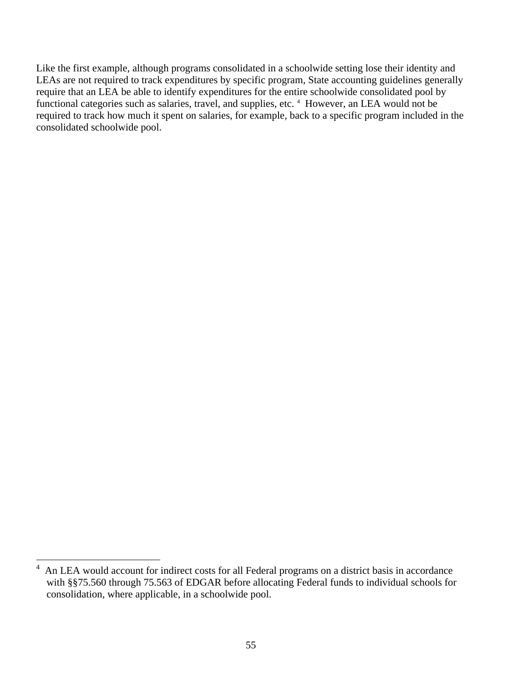Like the first example, although programs consolidated in a schoolwide setting lose their identity and LEAs are not required to track expenditures by specific program, State accounting guidelines generally require that an LEA be able to identify expenditures for the entire schoolwide consolidated pool by functional categories such as salaries, travel, and supplies, etc.<sup>[4](#page-54-0)</sup> However, an LEA would not be required to track how much it spent on salaries, for example, back to a specific program included in the consolidated schoolwide pool.

<span id="page-54-0"></span> $\frac{1}{4}$  An LEA would account for indirect costs for all Federal programs on a district basis in accordance with §§75.560 through 75.563 of EDGAR before allocating Federal funds to individual schools for consolidation, where applicable, in a schoolwide pool.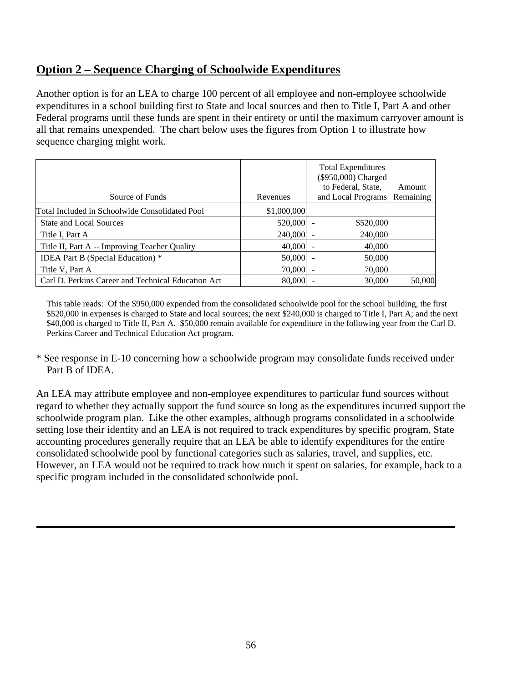# **Option 2 – Sequence Charging of Schoolwide Expenditures**

Another option is for an LEA to charge 100 percent of all employee and non-employee schoolwide expenditures in a school building first to State and local sources and then to Title I, Part A and other Federal programs until these funds are spent in their entirety or until the maximum carryover amount is all that remains unexpended. The chart below uses the figures from Option 1 to illustrate how sequence charging might work.

|                                                    |             | <b>Total Expenditures</b><br>(\$950,000) Charged<br>to Federal, State, | Amount    |
|----------------------------------------------------|-------------|------------------------------------------------------------------------|-----------|
| Source of Funds                                    | Revenues    | and Local Programs                                                     | Remaining |
| Total Included in Schoolwide Consolidated Pool     | \$1,000,000 |                                                                        |           |
| <b>State and Local Sources</b>                     | $520,000$ - | \$520,000                                                              |           |
| Title I, Part A                                    | 240,000     | 240,000                                                                |           |
| Title II, Part A -- Improving Teacher Quality      | $40,000 -$  | 40,000                                                                 |           |
| <b>IDEA Part B (Special Education)</b> *           | 50,000      | 50,000                                                                 |           |
| Title V, Part A                                    | 70,000      | 70,000                                                                 |           |
| Carl D. Perkins Career and Technical Education Act | 80,000      | 30,000                                                                 | 50,000    |

This table reads: Of the \$950,000 expended from the consolidated schoolwide pool for the school building, the first \$520,000 in expenses is charged to State and local sources; the next \$240,000 is charged to Title I, Part A; and the next \$40,000 is charged to Title II, Part A. \$50,000 remain available for expenditure in the following year from the Carl D. Perkins Career and Technical Education Act program.

\* See response in E-10 concerning how a schoolwide program may consolidate funds received under Part B of IDEA.

An LEA may attribute employee and non-employee expenditures to particular fund sources without regard to whether they actually support the fund source so long as the expenditures incurred support the schoolwide program plan. Like the other examples, although programs consolidated in a schoolwide setting lose their identity and an LEA is not required to track expenditures by specific program, State accounting procedures generally require that an LEA be able to identify expenditures for the entire consolidated schoolwide pool by functional categories such as salaries, travel, and supplies, etc. However, an LEA would not be required to track how much it spent on salaries, for example, back to a specific program included in the consolidated schoolwide pool.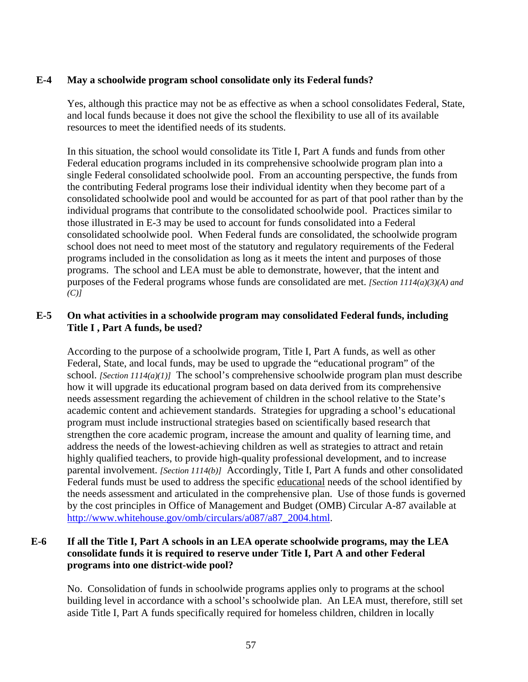#### **E-4 May a schoolwide program school consolidate only its Federal funds?**

Yes, although this practice may not be as effective as when a school consolidates Federal, State, and local funds because it does not give the school the flexibility to use all of its available resources to meet the identified needs of its students.

In this situation, the school would consolidate its Title I, Part A funds and funds from other Federal education programs included in its comprehensive schoolwide program plan into a single Federal consolidated schoolwide pool. From an accounting perspective, the funds from the contributing Federal programs lose their individual identity when they become part of a consolidated schoolwide pool and would be accounted for as part of that pool rather than by the individual programs that contribute to the consolidated schoolwide pool. Practices similar to those illustrated in E-3 may be used to account for funds consolidated into a Federal consolidated schoolwide pool. When Federal funds are consolidated, the schoolwide program school does not need to meet most of the statutory and regulatory requirements of the Federal programs included in the consolidation as long as it meets the intent and purposes of those programs. The school and LEA must be able to demonstrate, however, that the intent and purposes of the Federal programs whose funds are consolidated are met. *[Section 1114(a)(3)(A) and (C)]*

# **E-5 On what activities in a schoolwide program may consolidated Federal funds, including Title I , Part A funds, be used?**

According to the purpose of a schoolwide program, Title I, Part A funds, as well as other Federal, State, and local funds, may be used to upgrade the "educational program" of the school. *[Section 1114(a)(1)]* The school's comprehensive schoolwide program plan must describe how it will upgrade its educational program based on data derived from its comprehensive needs assessment regarding the achievement of children in the school relative to the State's academic content and achievement standards. Strategies for upgrading a school's educational program must include instructional strategies based on scientifically based research that strengthen the core academic program, increase the amount and quality of learning time, and address the needs of the lowest-achieving children as well as strategies to attract and retain highly qualified teachers, to provide high-quality professional development, and to increase parental involvement. *[Section 1114(b)]* Accordingly, Title I, Part A funds and other consolidated Federal funds must be used to address the specific educational needs of the school identified by the needs assessment and articulated in the comprehensive plan. Use of those funds is governed by the cost principles in Office of Management and Budget (OMB) Circular A-87 available at [http://www.whitehouse.gov/omb/circulars/a087/a87\\_2004.html.](http://www.whitehouse.gov/omb/circulars/a087/a87_2004.html)

# **E-6 If all the Title I, Part A schools in an LEA operate schoolwide programs, may the LEA consolidate funds it is required to reserve under Title I, Part A and other Federal programs into one district-wide pool?**

No. Consolidation of funds in schoolwide programs applies only to programs at the school building level in accordance with a school's schoolwide plan. An LEA must, therefore, still set aside Title I, Part A funds specifically required for homeless children, children in locally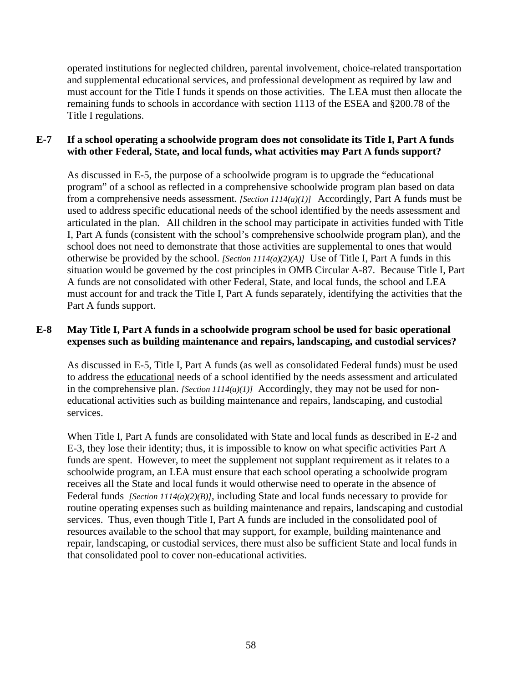operated institutions for neglected children, parental involvement, choice-related transportation and supplemental educational services, and professional development as required by law and must account for the Title I funds it spends on those activities. The LEA must then allocate the remaining funds to schools in accordance with section 1113 of the ESEA and §200.78 of the Title I regulations.

### **E-7 If a school operating a schoolwide program does not consolidate its Title I, Part A funds with other Federal, State, and local funds, what activities may Part A funds support?**

As discussed in E-5, the purpose of a schoolwide program is to upgrade the "educational program" of a school as reflected in a comprehensive schoolwide program plan based on data from a comprehensive needs assessment. *[Section 1114(a)(1)]* Accordingly, Part A funds must be used to address specific educational needs of the school identified by the needs assessment and articulated in the plan.All children in the school may participate in activities funded with Title I, Part A funds (consistent with the school's comprehensive schoolwide program plan), and the school does not need to demonstrate that those activities are supplemental to ones that would otherwise be provided by the school. *[Section 1114(a)(2)(A)]* Use of Title I, Part A funds in this situation would be governed by the cost principles in OMB Circular A-87. Because Title I, Part A funds are not consolidated with other Federal, State, and local funds, the school and LEA must account for and track the Title I, Part A funds separately, identifying the activities that the Part A funds support.

# **E-8 May Title I, Part A funds in a schoolwide program school be used for basic operational expenses such as building maintenance and repairs, landscaping, and custodial services?**

As discussed in E-5, Title I, Part A funds (as well as consolidated Federal funds) must be used to address the educational needs of a school identified by the needs assessment and articulated in the comprehensive plan. *[Section 1114(a)(1)]* Accordingly, they may not be used for noneducational activities such as building maintenance and repairs, landscaping, and custodial services.

When Title I, Part A funds are consolidated with State and local funds as described in E-2 and E-3, they lose their identity; thus, it is impossible to know on what specific activities Part A funds are spent. However, to meet the supplement not supplant requirement as it relates to a schoolwide program, an LEA must ensure that each school operating a schoolwide program receives all the State and local funds it would otherwise need to operate in the absence of Federal funds *[Section 1114(a)(2)(B)]*, including State and local funds necessary to provide for routine operating expenses such as building maintenance and repairs, landscaping and custodial services. Thus, even though Title I, Part A funds are included in the consolidated pool of resources available to the school that may support, for example, building maintenance and repair, landscaping, or custodial services, there must also be sufficient State and local funds in that consolidated pool to cover non-educational activities.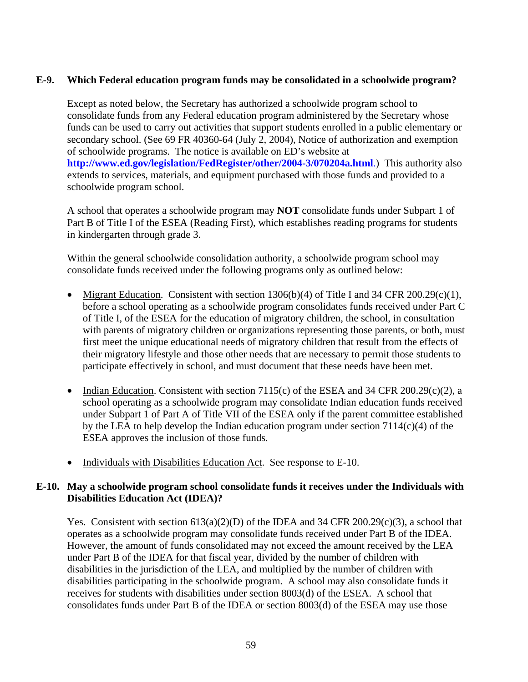### **E-9. Which Federal education program funds may be consolidated in a schoolwide program?**

 Except as noted below, the Secretary has authorized a schoolwide program school to consolidate funds from any Federal education program administered by the Secretary whose funds can be used to carry out activities that support students enrolled in a public elementary or secondary school. (See 69 FR 40360-64 (July 2, 2004), Notice of authorization and exemption of schoolwide programs. The notice is available on ED's website at **<http://www.ed.gov/legislation/FedRegister/other/2004-3/070204a.html>**.) This authority also extends to services, materials, and equipment purchased with those funds and provided to a schoolwide program school.

A school that operates a schoolwide program may **NOT** consolidate funds under Subpart 1 of Part B of Title I of the ESEA (Reading First), which establishes reading programs for students in kindergarten through grade 3.

Within the general schoolwide consolidation authority, a schoolwide program school may consolidate funds received under the following programs only as outlined below:

- Migrant Education. Consistent with section  $1306(b)(4)$  of Title I and 34 CFR 200.29(c)(1), before a school operating as a schoolwide program consolidates funds received under Part C of Title I, of the ESEA for the education of migratory children, the school, in consultation with parents of migratory children or organizations representing those parents, or both, must first meet the unique educational needs of migratory children that result from the effects of their migratory lifestyle and those other needs that are necessary to permit those students to participate effectively in school, and must document that these needs have been met.
- Indian Education. Consistent with section 7115(c) of the ESEA and 34 CFR 200.29(c)(2), a school operating as a schoolwide program may consolidate Indian education funds received under Subpart 1 of Part A of Title VII of the ESEA only if the parent committee established by the LEA to help develop the Indian education program under section 7114(c)(4) of the ESEA approves the inclusion of those funds.
- Individuals with Disabilities Education Act. See response to E-10.

# **E-10. May a schoolwide program school consolidate funds it receives under the Individuals with Disabilities Education Act (IDEA)?**

Yes. Consistent with section  $613(a)(2)(D)$  of the IDEA and 34 CFR 200.29(c)(3), a school that operates as a schoolwide program may consolidate funds received under Part B of the IDEA. However, the amount of funds consolidated may not exceed the amount received by the LEA under Part B of the IDEA for that fiscal year, divided by the number of children with disabilities in the jurisdiction of the LEA, and multiplied by the number of children with disabilities participating in the schoolwide program. A school may also consolidate funds it receives for students with disabilities under section 8003(d) of the ESEA. A school that consolidates funds under Part B of the IDEA or section 8003(d) of the ESEA may use those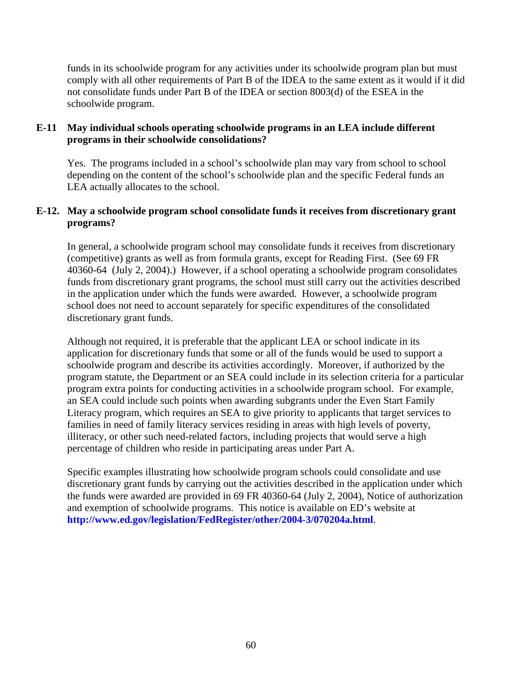funds in its schoolwide program for any activities under its schoolwide program plan but must comply with all other requirements of Part B of the IDEA to the same extent as it would if it did not consolidate funds under Part B of the IDEA or section 8003(d) of the ESEA in the schoolwide program.

#### **E-11 May individual schools operating schoolwide programs in an LEA include different programs in their schoolwide consolidations?**

Yes. The programs included in a school's schoolwide plan may vary from school to school depending on the content of the school's schoolwide plan and the specific Federal funds an LEA actually allocates to the school.

### **E-12. May a schoolwide program school consolidate funds it receives from discretionary grant programs?**

 In general, a schoolwide program school may consolidate funds it receives from discretionary (competitive) grants as well as from formula grants, except for Reading First. (See 69 FR 40360-64 (July 2, 2004).) However, if a school operating a schoolwide program consolidates funds from discretionary grant programs, the school must still carry out the activities described in the application under which the funds were awarded. However, a schoolwide program school does not need to account separately for specific expenditures of the consolidated discretionary grant funds.

 Although not required, it is preferable that the applicant LEA or school indicate in its application for discretionary funds that some or all of the funds would be used to support a schoolwide program and describe its activities accordingly. Moreover, if authorized by the program statute, the Department or an SEA could include in its selection criteria for a particular program extra points for conducting activities in a schoolwide program school. For example, an SEA could include such points when awarding subgrants under the Even Start Family Literacy program, which requires an SEA to give priority to applicants that target services to families in need of family literacy services residing in areas with high levels of poverty, illiteracy, or other such need-related factors, including projects that would serve a high percentage of children who reside in participating areas under Part A.

Specific examples illustrating how schoolwide program schools could consolidate and use discretionary grant funds by carrying out the activities described in the application under which the funds were awarded are provided in 69 FR 40360-64 (July 2, 2004), Notice of authorization and exemption of schoolwide programs. This notice is available on ED's website at **<http://www.ed.gov/legislation/FedRegister/other/2004-3/070204a.html>**.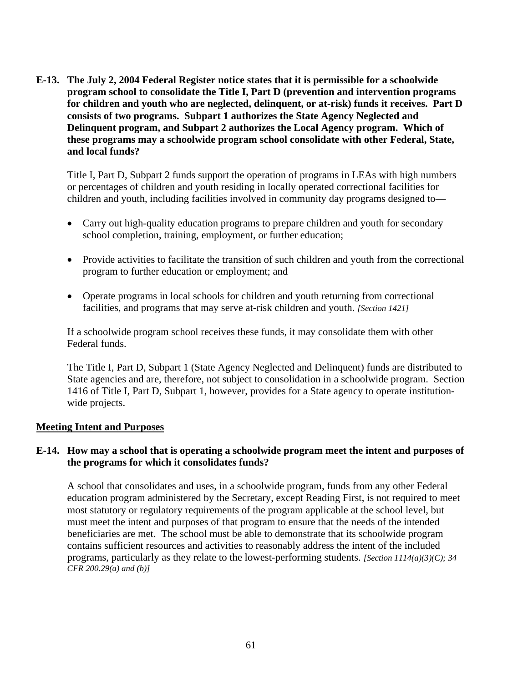**E-13. The July 2, 2004 Federal Register notice states that it is permissible for a schoolwide program school to consolidate the Title I, Part D (prevention and intervention programs for children and youth who are neglected, delinquent, or at-risk) funds it receives. Part D consists of two programs. Subpart 1 authorizes the State Agency Neglected and Delinquent program, and Subpart 2 authorizes the Local Agency program. Which of these programs may a schoolwide program school consolidate with other Federal, State, and local funds?** 

 Title I, Part D, Subpart 2 funds support the operation of programs in LEAs with high numbers or percentages of children and youth residing in locally operated correctional facilities for children and youth, including facilities involved in community day programs designed to—

- Carry out high-quality education programs to prepare children and youth for secondary school completion, training, employment, or further education;
- Provide activities to facilitate the transition of such children and youth from the correctional program to further education or employment; and
- Operate programs in local schools for children and youth returning from correctional facilities, and programs that may serve at-risk children and youth. *[Section 1421]*

If a schoolwide program school receives these funds, it may consolidate them with other Federal funds.

The Title I, Part D, Subpart 1 (State Agency Neglected and Delinquent) funds are distributed to State agencies and are, therefore, not subject to consolidation in a schoolwide program. Section 1416 of Title I, Part D, Subpart 1, however, provides for a State agency to operate institutionwide projects.

#### **Meeting Intent and Purposes**

#### **E-14. How may a school that is operating a schoolwide program meet the intent and purposes of the programs for which it consolidates funds?**

 A school that consolidates and uses, in a schoolwide program, funds from any other Federal education program administered by the Secretary, except Reading First, is not required to meet most statutory or regulatory requirements of the program applicable at the school level, but must meet the intent and purposes of that program to ensure that the needs of the intended beneficiaries are met. The school must be able to demonstrate that its schoolwide program contains sufficient resources and activities to reasonably address the intent of the included programs, particularly as they relate to the lowest-performing students. *[Section 1114(a)(3)(C); 34 CFR 200.29(a) and (b)]*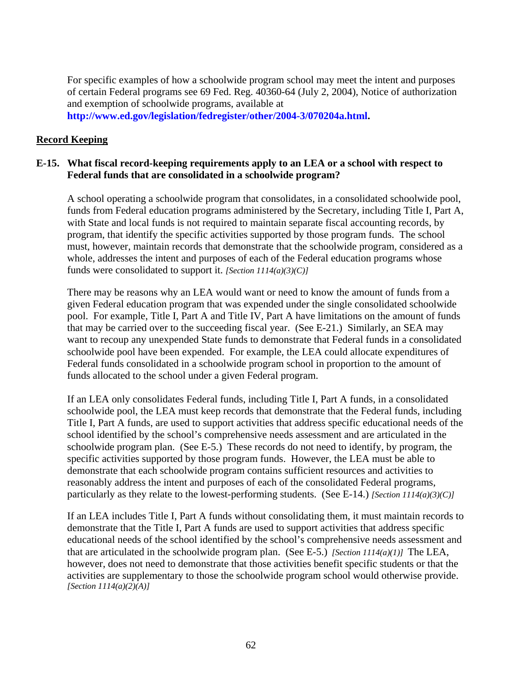For specific examples of how a schoolwide program school may meet the intent and purposes of certain Federal programs see 69 Fed. Reg. 40360-64 (July 2, 2004), Notice of authorization and exemption of schoolwide programs, available at **[http://www.ed.gov/legislation/fedregister/other/2004-3/070204a.html](http://www.ed.gov/legislation/FedRegister/other/2004-3/070204a.html).**

#### **Record Keeping**

#### **E-15. What fiscal record-keeping requirements apply to an LEA or a school with respect to Federal funds that are consolidated in a schoolwide program?**

 A school operating a schoolwide program that consolidates, in a consolidated schoolwide pool, funds from Federal education programs administered by the Secretary, including Title I, Part A, with State and local funds is not required to maintain separate fiscal accounting records, by program, that identify the specific activities supported by those program funds. The school must, however, maintain records that demonstrate that the schoolwide program, considered as a whole, addresses the intent and purposes of each of the Federal education programs whose funds were consolidated to support it. *[Section 1114(a)(3)(C)]*

 There may be reasons why an LEA would want or need to know the amount of funds from a given Federal education program that was expended under the single consolidated schoolwide pool. For example, Title I, Part A and Title IV, Part A have limitations on the amount of funds that may be carried over to the succeeding fiscal year. (See E-21.) Similarly, an SEA may want to recoup any unexpended State funds to demonstrate that Federal funds in a consolidated schoolwide pool have been expended. For example, the LEA could allocate expenditures of Federal funds consolidated in a schoolwide program school in proportion to the amount of funds allocated to the school under a given Federal program.

If an LEA only consolidates Federal funds, including Title I, Part A funds, in a consolidated schoolwide pool, the LEA must keep records that demonstrate that the Federal funds, including Title I, Part A funds, are used to support activities that address specific educational needs of the school identified by the school's comprehensive needs assessment and are articulated in the schoolwide program plan. (See E-5.) These records do not need to identify, by program, the specific activities supported by those program funds.However, the LEA must be able to demonstrate that each schoolwide program contains sufficient resources and activities to reasonably address the intent and purposes of each of the consolidated Federal programs, particularly as they relate to the lowest-performing students. (See E-14.) *[Section 1114(a)(3)(C)]* 

If an LEA includes Title I, Part A funds without consolidating them, it must maintain records to demonstrate that the Title I, Part A funds are used to support activities that address specific educational needs of the school identified by the school's comprehensive needs assessment and that are articulated in the schoolwide program plan. (See E-5.) *[Section 1114(a)(1)]* The LEA, however, does not need to demonstrate that those activities benefit specific students or that the activities are supplementary to those the schoolwide program school would otherwise provide. *[Section 1114(a)(2)(A)]*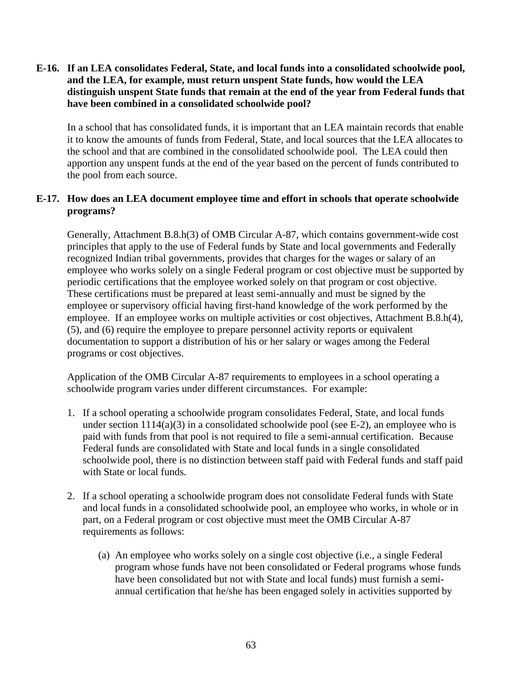### **E-16. If an LEA consolidates Federal, State, and local funds into a consolidated schoolwide pool, and the LEA, for example, must return unspent State funds, how would the LEA distinguish unspent State funds that remain at the end of the year from Federal funds that have been combined in a consolidated schoolwide pool?**

In a school that has consolidated funds, it is important that an LEA maintain records that enable it to know the amounts of funds from Federal, State, and local sources that the LEA allocates to the school and that are combined in the consolidated schoolwide pool. The LEA could then apportion any unspent funds at the end of the year based on the percent of funds contributed to the pool from each source.

# **E-17. How does an LEA document employee time and effort in schools that operate schoolwide programs?**

Generally, Attachment B.8.h(3) of OMB Circular A-87, which contains government-wide cost principles that apply to the use of Federal funds by State and local governments and Federally recognized Indian tribal governments, provides that charges for the wages or salary of an employee who works solely on a single Federal program or cost objective must be supported by periodic certifications that the employee worked solely on that program or cost objective. These certifications must be prepared at least semi-annually and must be signed by the employee or supervisory official having first-hand knowledge of the work performed by the employee. If an employee works on multiple activities or cost objectives, Attachment B.8.h(4), (5), and (6) require the employee to prepare personnel activity reports or equivalent documentation to support a distribution of his or her salary or wages among the Federal programs or cost objectives.

Application of the OMB Circular A-87 requirements to employees in a school operating a schoolwide program varies under different circumstances. For example:

- 1. If a school operating a schoolwide program consolidates Federal, State, and local funds under section  $1114(a)(3)$  in a consolidated schoolwide pool (see E-2), an employee who is paid with funds from that pool is not required to file a semi-annual certification. Because Federal funds are consolidated with State and local funds in a single consolidated schoolwide pool, there is no distinction between staff paid with Federal funds and staff paid with State or local funds.
- 2. If a school operating a schoolwide program does not consolidate Federal funds with State and local funds in a consolidated schoolwide pool, an employee who works, in whole or in part, on a Federal program or cost objective must meet the OMB Circular A-87 requirements as follows:
	- (a) An employee who works solely on a single cost objective (i.e., a single Federal program whose funds have not been consolidated or Federal programs whose funds have been consolidated but not with State and local funds) must furnish a semiannual certification that he/she has been engaged solely in activities supported by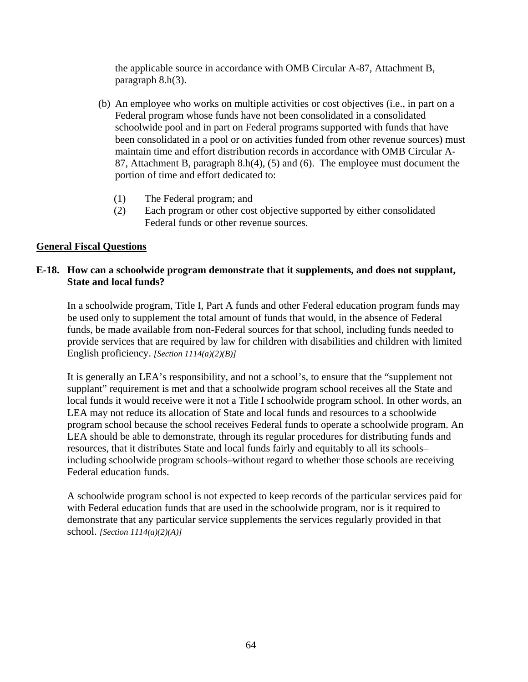the applicable source in accordance with OMB Circular A-87, Attachment B, paragraph 8.h(3).

- (b) An employee who works on multiple activities or cost objectives (i.e., in part on a Federal program whose funds have not been consolidated in a consolidated schoolwide pool and in part on Federal programs supported with funds that have been consolidated in a pool or on activities funded from other revenue sources) must maintain time and effort distribution records in accordance with OMB Circular A-87, Attachment B, paragraph 8.h(4), (5) and (6). The employee must document the portion of time and effort dedicated to:
	- (1) The Federal program; and
	- (2) Each program or other cost objective supported by either consolidated Federal funds or other revenue sources.

# **General Fiscal Questions**

# **E-18. How can a schoolwide program demonstrate that it supplements, and does not supplant, State and local funds?**

 In a schoolwide program, Title I, Part A funds and other Federal education program funds may be used only to supplement the total amount of funds that would, in the absence of Federal funds, be made available from non-Federal sources for that school, including funds needed to provide services that are required by law for children with disabilities and children with limited English proficiency. *[Section 1114(a)(2)(B)]*

 It is generally an LEA's responsibility, and not a school's, to ensure that the "supplement not supplant" requirement is met and that a schoolwide program school receives all the State and local funds it would receive were it not a Title I schoolwide program school. In other words, an LEA may not reduce its allocation of State and local funds and resources to a schoolwide program school because the school receives Federal funds to operate a schoolwide program. An LEA should be able to demonstrate, through its regular procedures for distributing funds and resources, that it distributes State and local funds fairly and equitably to all its schools– including schoolwide program schools–without regard to whether those schools are receiving Federal education funds.

 A schoolwide program school is not expected to keep records of the particular services paid for with Federal education funds that are used in the schoolwide program, nor is it required to demonstrate that any particular service supplements the services regularly provided in that school. *[Section 1114(a)(2)(A)]*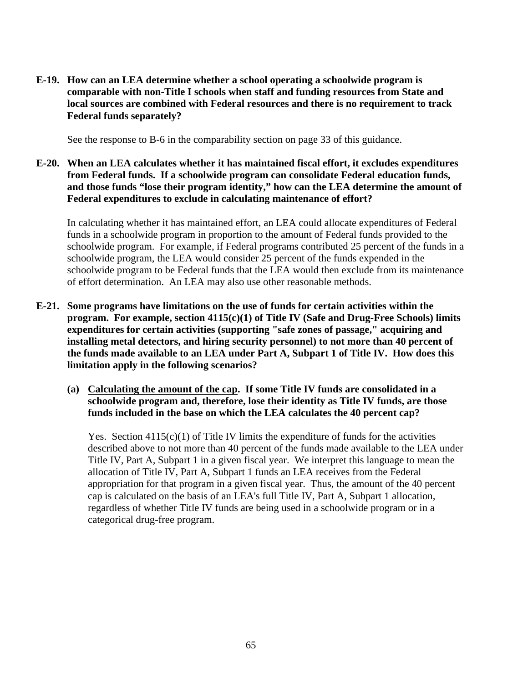**E-19. How can an LEA determine whether a school operating a schoolwide program is comparable with non-Title I schools when staff and funding resources from State and local sources are combined with Federal resources and there is no requirement to track Federal funds separately?** 

See the response to B-6 in the comparability section on page 33 of this guidance.

**E-20. When an LEA calculates whether it has maintained fiscal effort, it excludes expenditures from Federal funds. If a schoolwide program can consolidate Federal education funds, and those funds "lose their program identity," how can the LEA determine the amount of Federal expenditures to exclude in calculating maintenance of effort?** 

 In calculating whether it has maintained effort, an LEA could allocate expenditures of Federal funds in a schoolwide program in proportion to the amount of Federal funds provided to the schoolwide program. For example, if Federal programs contributed 25 percent of the funds in a schoolwide program, the LEA would consider 25 percent of the funds expended in the schoolwide program to be Federal funds that the LEA would then exclude from its maintenance of effort determination. An LEA may also use other reasonable methods.

- **E-21. Some programs have limitations on the use of funds for certain activities within the program. For example, section 4115(c)(1) of Title IV (Safe and Drug-Free Schools) limits expenditures for certain activities (supporting "safe zones of passage," acquiring and installing metal detectors, and hiring security personnel) to not more than 40 percent of the funds made available to an LEA under Part A, Subpart 1 of Title IV. How does this limitation apply in the following scenarios?** 
	- **(a) Calculating the amount of the cap. If some Title IV funds are consolidated in a schoolwide program and, therefore, lose their identity as Title IV funds, are those funds included in the base on which the LEA calculates the 40 percent cap?**

Yes. Section  $4115(c)(1)$  of Title IV limits the expenditure of funds for the activities described above to not more than 40 percent of the funds made available to the LEA under Title IV, Part A, Subpart 1 in a given fiscal year. We interpret this language to mean the allocation of Title IV, Part A, Subpart 1 funds an LEA receives from the Federal appropriation for that program in a given fiscal year. Thus, the amount of the 40 percent cap is calculated on the basis of an LEA's full Title IV, Part A, Subpart 1 allocation, regardless of whether Title IV funds are being used in a schoolwide program or in a categorical drug-free program.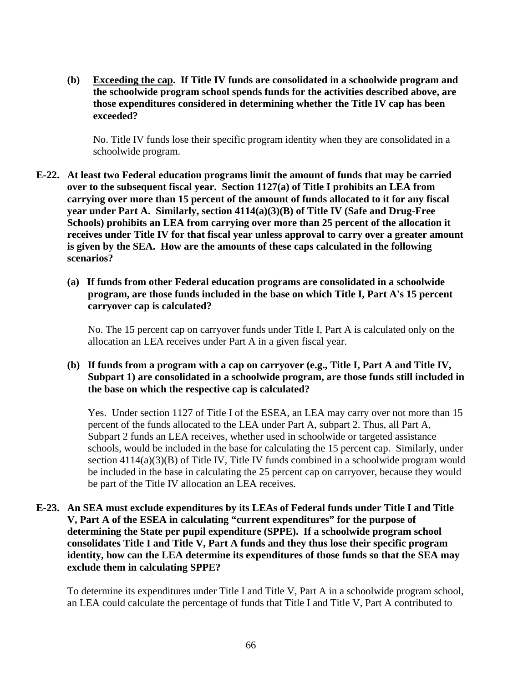**(b) Exceeding the cap. If Title IV funds are consolidated in a schoolwide program and the schoolwide program school spends funds for the activities described above, are those expenditures considered in determining whether the Title IV cap has been exceeded?** 

 No. Title IV funds lose their specific program identity when they are consolidated in a schoolwide program.

- **E-22. At least two Federal education programs limit the amount of funds that may be carried over to the subsequent fiscal year. Section 1127(a) of Title I prohibits an LEA from carrying over more than 15 percent of the amount of funds allocated to it for any fiscal year under Part A. Similarly, section 4114(a)(3)(B) of Title IV (Safe and Drug-Free Schools) prohibits an LEA from carrying over more than 25 percent of the allocation it receives under Title IV for that fiscal year unless approval to carry over a greater amount is given by the SEA. How are the amounts of these caps calculated in the following scenarios?** 
	- **(a) If funds from other Federal education programs are consolidated in a schoolwide program, are those funds included in the base on which Title I, Part A's 15 percent carryover cap is calculated?**

 No. The 15 percent cap on carryover funds under Title I, Part A is calculated only on the allocation an LEA receives under Part A in a given fiscal year.

# **(b) If funds from a program with a cap on carryover (e.g., Title I, Part A and Title IV, Subpart 1) are consolidated in a schoolwide program, are those funds still included in the base on which the respective cap is calculated?**

 Yes. Under section 1127 of Title I of the ESEA, an LEA may carry over not more than 15 percent of the funds allocated to the LEA under Part A, subpart 2. Thus, all Part A, Subpart 2 funds an LEA receives, whether used in schoolwide or targeted assistance schools, would be included in the base for calculating the 15 percent cap. Similarly, under section 4114(a)(3)(B) of Title IV, Title IV funds combined in a schoolwide program would be included in the base in calculating the 25 percent cap on carryover, because they would be part of the Title IV allocation an LEA receives.

# **E-23. An SEA must exclude expenditures by its LEAs of Federal funds under Title I and Title V, Part A of the ESEA in calculating "current expenditures" for the purpose of determining the State per pupil expenditure (SPPE). If a schoolwide program school consolidates Title I and Title V, Part A funds and they thus lose their specific program identity, how can the LEA determine its expenditures of those funds so that the SEA may exclude them in calculating SPPE?**

 To determine its expenditures under Title I and Title V, Part A in a schoolwide program school, an LEA could calculate the percentage of funds that Title I and Title V, Part A contributed to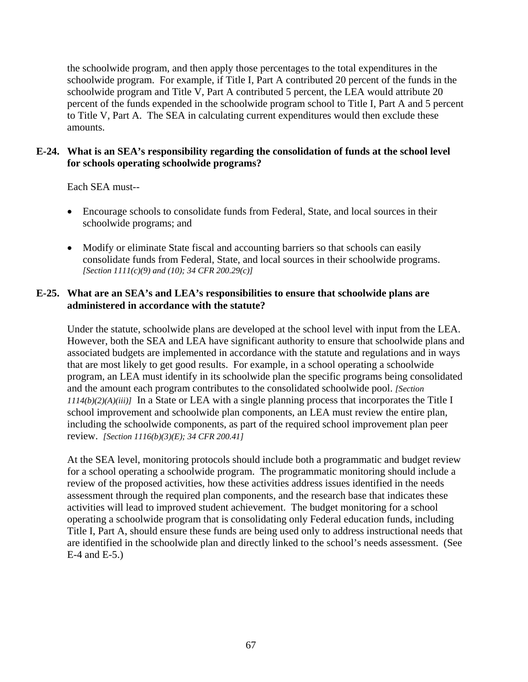the schoolwide program, and then apply those percentages to the total expenditures in the schoolwide program. For example, if Title I, Part A contributed 20 percent of the funds in the schoolwide program and Title V, Part A contributed 5 percent, the LEA would attribute 20 percent of the funds expended in the schoolwide program school to Title I, Part A and 5 percent to Title V, Part A. The SEA in calculating current expenditures would then exclude these amounts.

#### **E-24. What is an SEA's responsibility regarding the consolidation of funds at the school level for schools operating schoolwide programs?**

Each SEA must--

- Encourage schools to consolidate funds from Federal, State, and local sources in their schoolwide programs; and
- Modify or eliminate State fiscal and accounting barriers so that schools can easily consolidate funds from Federal, State, and local sources in their schoolwide programs. *[Section 1111(c)(9) and (10); 34 CFR 200.29(c)]*

# **E-25. What are an SEA's and LEA's responsibilities to ensure that schoolwide plans are administered in accordance with the statute?**

Under the statute, schoolwide plans are developed at the school level with input from the LEA. However, both the SEA and LEA have significant authority to ensure that schoolwide plans and associated budgets are implemented in accordance with the statute and regulations and in ways that are most likely to get good results. For example, in a school operating a schoolwide program, an LEA must identify in its schoolwide plan the specific programs being consolidated and the amount each program contributes to the consolidated schoolwide pool. *[Section 1114(b)(2)(A)(iii)]* In a State or LEA with a single planning process that incorporates the Title I school improvement and schoolwide plan components, an LEA must review the entire plan, including the schoolwide components, as part of the required school improvement plan peer review. *[Section 1116(b)(3)(E); 34 CFR 200.41]*

At the SEA level, monitoring protocols should include both a programmatic and budget review for a school operating a schoolwide program. The programmatic monitoring should include a review of the proposed activities, how these activities address issues identified in the needs assessment through the required plan components, and the research base that indicates these activities will lead to improved student achievement. The budget monitoring for a school operating a schoolwide program that is consolidating only Federal education funds, including Title I, Part A, should ensure these funds are being used only to address instructional needs that are identified in the schoolwide plan and directly linked to the school's needs assessment. (See E-4 and E-5.)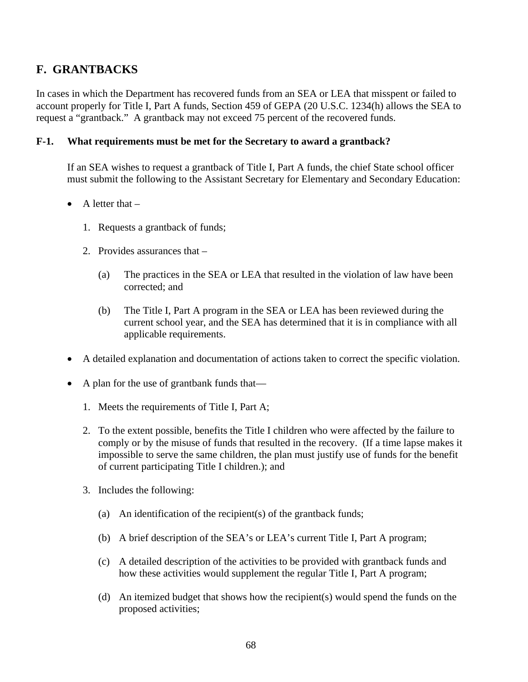# **F. GRANTBACKS**

In cases in which the Department has recovered funds from an SEA or LEA that misspent or failed to account properly for Title I, Part A funds, Section 459 of GEPA (20 U.S.C. 1234(h) allows the SEA to request a "grantback." A grantback may not exceed 75 percent of the recovered funds.

#### **F-1. What requirements must be met for the Secretary to award a grantback?**

 If an SEA wishes to request a grantback of Title I, Part A funds, the chief State school officer must submit the following to the Assistant Secretary for Elementary and Secondary Education:

- $\bullet$  A letter that  $-$ 
	- 1. Requests a grantback of funds;
	- 2. Provides assurances that
		- (a) The practices in the SEA or LEA that resulted in the violation of law have been corrected; and
		- (b) The Title I, Part A program in the SEA or LEA has been reviewed during the current school year, and the SEA has determined that it is in compliance with all applicable requirements.
- A detailed explanation and documentation of actions taken to correct the specific violation.
- A plan for the use of grantbank funds that—
	- 1. Meets the requirements of Title I, Part A;
	- 2. To the extent possible, benefits the Title I children who were affected by the failure to comply or by the misuse of funds that resulted in the recovery. (If a time lapse makes it impossible to serve the same children, the plan must justify use of funds for the benefit of current participating Title I children.); and
	- 3. Includes the following:
		- (a) An identification of the recipient(s) of the grantback funds;
		- (b) A brief description of the SEA's or LEA's current Title I, Part A program;
		- (c) A detailed description of the activities to be provided with grantback funds and how these activities would supplement the regular Title I, Part A program;
		- (d) An itemized budget that shows how the recipient(s) would spend the funds on the proposed activities;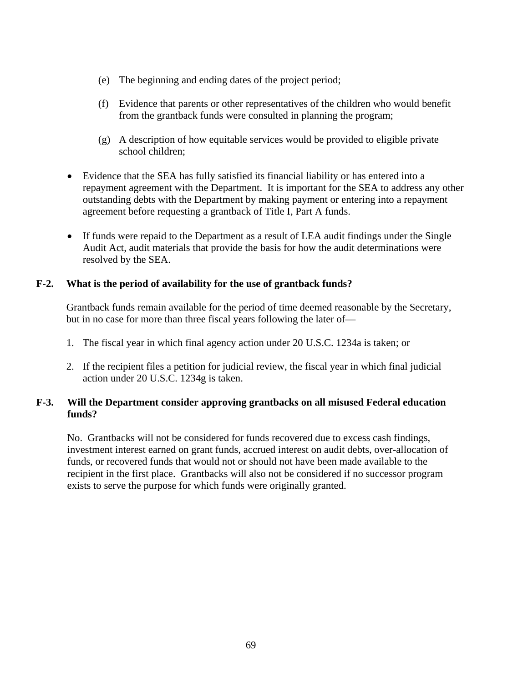- (e) The beginning and ending dates of the project period;
- (f) Evidence that parents or other representatives of the children who would benefit from the grantback funds were consulted in planning the program;
- (g) A description of how equitable services would be provided to eligible private school children;
- Evidence that the SEA has fully satisfied its financial liability or has entered into a repayment agreement with the Department. It is important for the SEA to address any other outstanding debts with the Department by making payment or entering into a repayment agreement before requesting a grantback of Title I, Part A funds.
- If funds were repaid to the Department as a result of LEA audit findings under the Single Audit Act, audit materials that provide the basis for how the audit determinations were resolved by the SEA.

#### **F-2. What is the period of availability for the use of grantback funds?**

 Grantback funds remain available for the period of time deemed reasonable by the Secretary, but in no case for more than three fiscal years following the later of—

- 1. The fiscal year in which final agency action under 20 U.S.C. 1234a is taken; or
- 2. If the recipient files a petition for judicial review, the fiscal year in which final judicial action under 20 U.S.C. 1234g is taken.

# **F-3. Will the Department consider approving grantbacks on all misused Federal education funds?**

No. Grantbacks will not be considered for funds recovered due to excess cash findings, investment interest earned on grant funds, accrued interest on audit debts, over-allocation of funds, or recovered funds that would not or should not have been made available to the recipient in the first place. Grantbacks will also not be considered if no successor program exists to serve the purpose for which funds were originally granted.